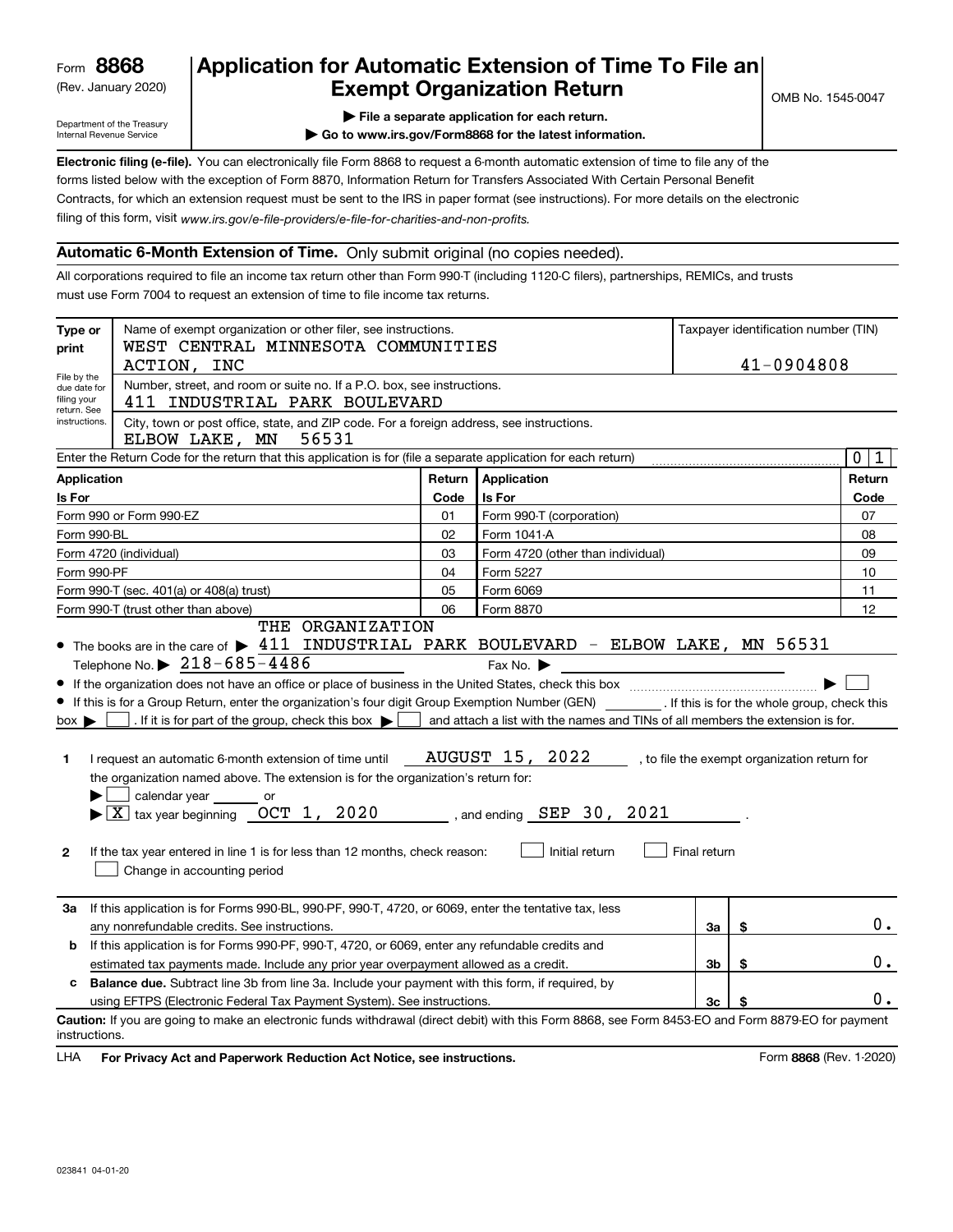(Rev. January 2020)

# **Application for Automatic Extension of Time To File an Exempt Organization Return**

Department of the Treasury Internal Revenue Service

**| File a separate application for each return.**

**| Go to www.irs.gov/Form8868 for the latest information.**

**Electronic filing (e-file).**  You can electronically file Form 8868 to request a 6-month automatic extension of time to file any of the filing of this form, visit www.irs.gov/e-file-providers/e-file-for-charities-and-non-profits. forms listed below with the exception of Form 8870, Information Return for Transfers Associated With Certain Personal Benefit Contracts, for which an extension request must be sent to the IRS in paper format (see instructions). For more details on the electronic

# **Automatic 6-Month Extension of Time.** Only submit original (no copies needed).

All corporations required to file an income tax return other than Form 990-T (including 1120-C filers), partnerships, REMICs, and trusts must use Form 7004 to request an extension of time to file income tax returns.

| Type or<br>print                                          | Name of exempt organization or other filer, see instructions.<br>WEST CENTRAL MINNESOTA COMMUNITIES                                                                                                                                                                                                                                                                                                                                                                                                                                                                                                                                |        |                                                                                                                                                                                                 |              | Taxpayer identification number (TIN)         |       |  |
|-----------------------------------------------------------|------------------------------------------------------------------------------------------------------------------------------------------------------------------------------------------------------------------------------------------------------------------------------------------------------------------------------------------------------------------------------------------------------------------------------------------------------------------------------------------------------------------------------------------------------------------------------------------------------------------------------------|--------|-------------------------------------------------------------------------------------------------------------------------------------------------------------------------------------------------|--------------|----------------------------------------------|-------|--|
|                                                           | 41-0904808<br>ACTION, INC                                                                                                                                                                                                                                                                                                                                                                                                                                                                                                                                                                                                          |        |                                                                                                                                                                                                 |              |                                              |       |  |
| File by the<br>due date for<br>filing your<br>return. See | Number, street, and room or suite no. If a P.O. box, see instructions.<br>411 INDUSTRIAL PARK BOULEVARD                                                                                                                                                                                                                                                                                                                                                                                                                                                                                                                            |        |                                                                                                                                                                                                 |              |                                              |       |  |
|                                                           | instructions.<br>City, town or post office, state, and ZIP code. For a foreign address, see instructions.<br>ELBOW LAKE, MN<br>56531                                                                                                                                                                                                                                                                                                                                                                                                                                                                                               |        |                                                                                                                                                                                                 |              |                                              |       |  |
|                                                           | Enter the Return Code for the return that this application is for (file a separate application for each return)                                                                                                                                                                                                                                                                                                                                                                                                                                                                                                                    |        |                                                                                                                                                                                                 |              |                                              |       |  |
| <b>Application</b>                                        |                                                                                                                                                                                                                                                                                                                                                                                                                                                                                                                                                                                                                                    | Return | <b>Application</b>                                                                                                                                                                              | Return       |                                              |       |  |
| Is For                                                    |                                                                                                                                                                                                                                                                                                                                                                                                                                                                                                                                                                                                                                    | Code   | <b>Is For</b>                                                                                                                                                                                   |              |                                              | Code  |  |
|                                                           | Form 990 or Form 990-EZ                                                                                                                                                                                                                                                                                                                                                                                                                                                                                                                                                                                                            | 01     | Form 990-T (corporation)                                                                                                                                                                        |              |                                              | 07    |  |
| Form 990-BL                                               |                                                                                                                                                                                                                                                                                                                                                                                                                                                                                                                                                                                                                                    | 02     | Form 1041-A                                                                                                                                                                                     |              |                                              | 08    |  |
|                                                           | Form 4720 (individual)                                                                                                                                                                                                                                                                                                                                                                                                                                                                                                                                                                                                             | 03     | Form 4720 (other than individual)                                                                                                                                                               |              |                                              | 09    |  |
| Form 990-PF                                               |                                                                                                                                                                                                                                                                                                                                                                                                                                                                                                                                                                                                                                    | 04     | Form 5227                                                                                                                                                                                       |              |                                              | 10    |  |
|                                                           | Form 990-T (sec. 401(a) or 408(a) trust)                                                                                                                                                                                                                                                                                                                                                                                                                                                                                                                                                                                           | 05     | Form 6069                                                                                                                                                                                       | 11           |                                              |       |  |
|                                                           | Form 990-T (trust other than above)                                                                                                                                                                                                                                                                                                                                                                                                                                                                                                                                                                                                | 06     | Form 8870                                                                                                                                                                                       |              |                                              | 12    |  |
| $box \blacktriangleright$<br>1<br>$\mathbf{2}$            | Telephone No. $\triangleright$ 218-685-4486<br>If this is for a Group Return, enter the organization's four digit Group Exemption Number (GEN) [f this is for the whole group, check this<br>. If it is for part of the group, check this box $\blacktriangleright$<br>I request an automatic 6-month extension of time until<br>the organization named above. The extension is for the organization's return for:<br>calendar year<br>or<br>$\blacktriangleright$ $\boxed{\text{X}}$ tax year beginning OCT 1, 2020<br>If the tax year entered in line 1 is for less than 12 months, check reason:<br>Change in accounting period |        | Fax No. $\blacktriangleright$<br>and attach a list with the names and TINs of all members the extension is for.<br><b>AUGUST 15, 2022</b><br>$\sim$ , and ending SEP 30, 2021<br>Initial return | Final return | , to file the exempt organization return for |       |  |
| За                                                        | If this application is for Forms 990-BL, 990-PF, 990-T, 4720, or 6069, enter the tentative tax, less<br>any nonrefundable credits. See instructions.                                                                                                                                                                                                                                                                                                                                                                                                                                                                               |        |                                                                                                                                                                                                 | За           | \$                                           | $0$ . |  |
| b                                                         | If this application is for Forms 990-PF, 990-T, 4720, or 6069, enter any refundable credits and                                                                                                                                                                                                                                                                                                                                                                                                                                                                                                                                    |        |                                                                                                                                                                                                 |              |                                              |       |  |
|                                                           | estimated tax payments made. Include any prior year overpayment allowed as a credit.                                                                                                                                                                                                                                                                                                                                                                                                                                                                                                                                               |        |                                                                                                                                                                                                 | 3b           | \$                                           | 0.    |  |
|                                                           | c Balance due. Subtract line 3b from line 3a. Include your payment with this form, if required, by                                                                                                                                                                                                                                                                                                                                                                                                                                                                                                                                 |        |                                                                                                                                                                                                 |              |                                              |       |  |
|                                                           | using EFTPS (Electronic Federal Tax Payment System). See instructions.                                                                                                                                                                                                                                                                                                                                                                                                                                                                                                                                                             |        |                                                                                                                                                                                                 | 3c           |                                              | υ.    |  |
| instructions.                                             | Caution: If you are going to make an electronic funds withdrawal (direct debit) with this Form 8868, see Form 8453-EO and Form 8879-EO for payment                                                                                                                                                                                                                                                                                                                                                                                                                                                                                 |        |                                                                                                                                                                                                 |              |                                              |       |  |

**HA** For Privacy Act and Paperwork Reduction Act Notice, see instructions. **But a struction of the Constantion Constant** Form 8868 (Rev. 1-2020) LHA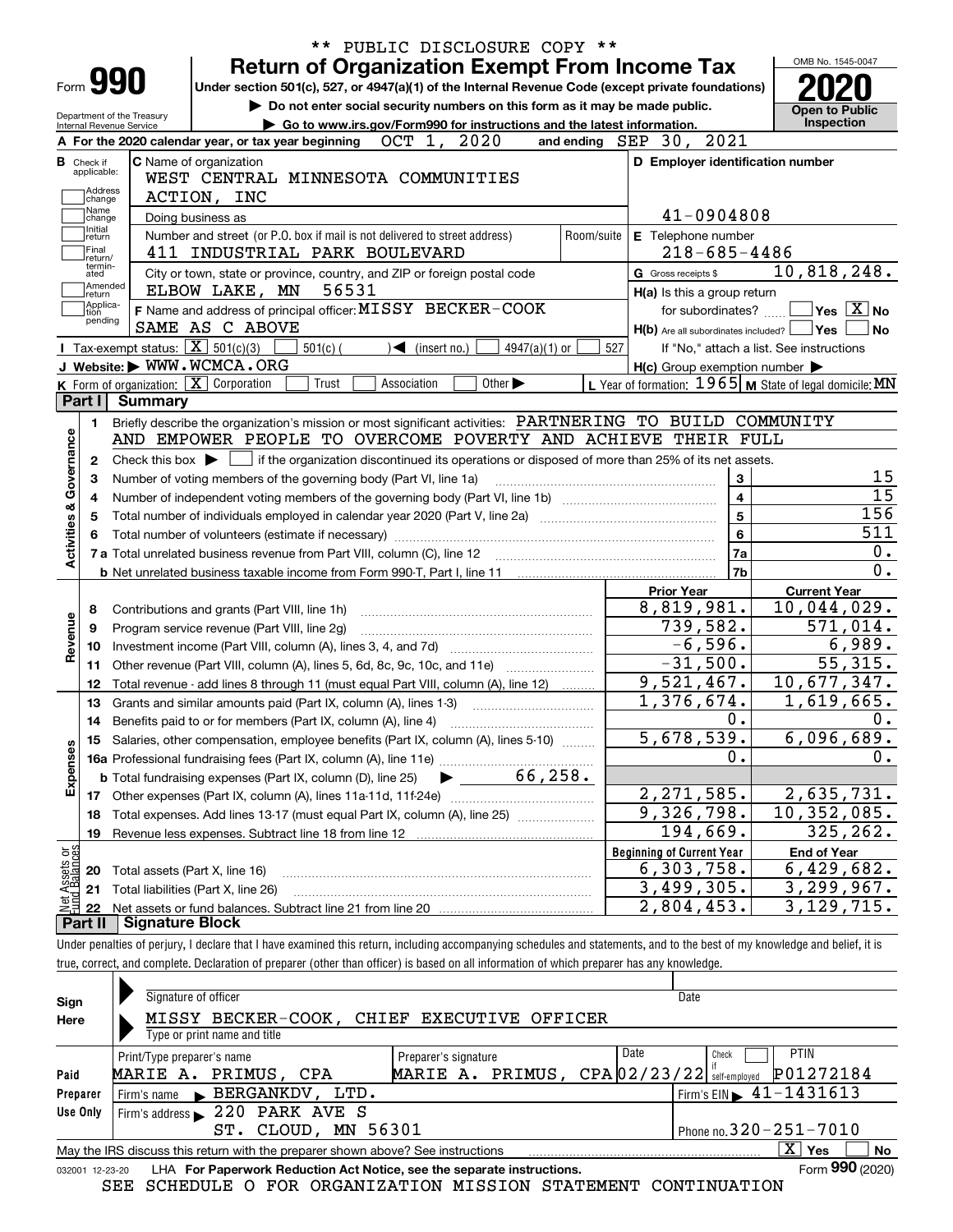|                                                      | Form 990           |                                                        | <b>Return of Organization Exempt From Income Tax</b> |                                                                                                                                                                                   |             |                              |                             |                 |                         |                                         |                                                     |                                                           |            |
|------------------------------------------------------|--------------------|--------------------------------------------------------|------------------------------------------------------|-----------------------------------------------------------------------------------------------------------------------------------------------------------------------------------|-------------|------------------------------|-----------------------------|-----------------|-------------------------|-----------------------------------------|-----------------------------------------------------|-----------------------------------------------------------|------------|
|                                                      |                    |                                                        |                                                      | Under section 501(c), 527, or 4947(a)(1) of the Internal Revenue Code (except private foundations)<br>Do not enter social security numbers on this form as it may be made public. |             |                              |                             |                 |                         |                                         |                                                     |                                                           |            |
|                                                      |                    | Department of the Treasury<br>Internal Revenue Service |                                                      | Go to www.irs.gov/Form990 for instructions and the latest information.                                                                                                            |             |                              |                             |                 |                         |                                         |                                                     | <b>Open to Public</b><br>Inspection                       |            |
|                                                      |                    |                                                        |                                                      | A For the 2020 calendar year, or tax year beginning                                                                                                                               | OCT 1,      |                              | 2020                        |                 | and ending SEP 30, 2021 |                                         |                                                     |                                                           |            |
| <b>B</b> Check if                                    |                    |                                                        | <b>C</b> Name of organization                        |                                                                                                                                                                                   |             |                              |                             |                 |                         |                                         | D Employer identification number                    |                                                           |            |
| applicable:                                          |                    |                                                        |                                                      | WEST CENTRAL MINNESOTA COMMUNITIES                                                                                                                                                |             |                              |                             |                 |                         |                                         |                                                     |                                                           |            |
|                                                      | Address<br>change  |                                                        | ACTION, INC                                          |                                                                                                                                                                                   |             |                              |                             |                 |                         |                                         |                                                     |                                                           |            |
|                                                      | Name<br>change     |                                                        | Doing business as                                    |                                                                                                                                                                                   |             |                              |                             |                 |                         |                                         | 41-0904808                                          |                                                           |            |
|                                                      | Initial<br>return  |                                                        |                                                      | Number and street (or P.O. box if mail is not delivered to street address)                                                                                                        |             |                              |                             |                 | Room/suite              |                                         | E Telephone number                                  |                                                           |            |
| Final                                                | return/            |                                                        |                                                      | 411 INDUSTRIAL PARK BOULEVARD                                                                                                                                                     |             |                              |                             |                 |                         |                                         | $218 - 685 - 4486$                                  |                                                           |            |
| ated                                                 | termin-            |                                                        |                                                      | City or town, state or province, country, and ZIP or foreign postal code                                                                                                          |             |                              |                             |                 |                         | G Gross receipts \$                     |                                                     | 10,818,248.                                               |            |
|                                                      | Amended<br>∣return |                                                        | ELBOW LAKE, MN                                       | 56531                                                                                                                                                                             |             |                              |                             |                 |                         |                                         | H(a) Is this a group return                         |                                                           |            |
| tion                                                 | Applica-           |                                                        |                                                      | F Name and address of principal officer: MISSY BECKER-COOK                                                                                                                        |             |                              |                             |                 |                         |                                         | for subordinates?                                   | $\sqrt{}$ Yes $\sqrt{}$ X $\sqrt{}$ No                    |            |
|                                                      | pending            |                                                        | SAME AS C ABOVE                                      |                                                                                                                                                                                   |             |                              |                             |                 |                         |                                         |                                                     | $H(b)$ Are all subordinates included? $\Box$ Yes          |            |
|                                                      |                    |                                                        | Tax-exempt status: $\boxed{\mathbf{X}}$ 501(c)(3)    | $501(c)$ (                                                                                                                                                                        |             | $\triangleleft$ (insert no.) |                             | $4947(a)(1)$ or | 527                     |                                         |                                                     | If "No," attach a list. See instructions                  |            |
|                                                      |                    |                                                        | J Website: WWW.WCMCA.ORG                             |                                                                                                                                                                                   |             |                              |                             |                 |                         |                                         | $H(c)$ Group exemption number $\blacktriangleright$ |                                                           |            |
|                                                      |                    |                                                        | K Form of organization: X Corporation                | Trust                                                                                                                                                                             | Association |                              | Other $\blacktriangleright$ |                 |                         |                                         |                                                     | L Year of formation: $1965$ M State of legal domicile: MN |            |
| Part I                                               |                    | <b>Summary</b>                                         |                                                      |                                                                                                                                                                                   |             |                              |                             |                 |                         |                                         |                                                     |                                                           |            |
|                                                      | 1.                 |                                                        |                                                      | Briefly describe the organization's mission or most significant activities: PARTNERING TO BUILD COMMUNITY                                                                         |             |                              |                             |                 |                         |                                         |                                                     |                                                           |            |
|                                                      |                    |                                                        |                                                      | AND EMPOWER PEOPLE TO OVERCOME POVERTY AND ACHIEVE THEIR FULL                                                                                                                     |             |                              |                             |                 |                         |                                         |                                                     |                                                           |            |
|                                                      |                    |                                                        |                                                      |                                                                                                                                                                                   |             |                              |                             |                 |                         |                                         |                                                     |                                                           |            |
|                                                      |                    |                                                        |                                                      |                                                                                                                                                                                   |             |                              |                             |                 |                         |                                         |                                                     |                                                           |            |
| $\mathbf{2}$                                         |                    |                                                        |                                                      | Check this box $\blacktriangleright$ $\Box$ if the organization discontinued its operations or disposed of more than 25% of its net assets.                                       |             |                              |                             |                 |                         |                                         |                                                     |                                                           |            |
| з                                                    |                    |                                                        |                                                      | Number of voting members of the governing body (Part VI, line 1a)                                                                                                                 |             |                              |                             |                 |                         |                                         | 3                                                   |                                                           |            |
| 4                                                    |                    |                                                        |                                                      |                                                                                                                                                                                   |             |                              |                             |                 |                         |                                         | 4                                                   |                                                           |            |
| 5                                                    |                    |                                                        |                                                      |                                                                                                                                                                                   |             |                              |                             |                 |                         |                                         | 5                                                   |                                                           |            |
|                                                      |                    |                                                        |                                                      |                                                                                                                                                                                   |             |                              |                             |                 |                         |                                         | 6                                                   |                                                           |            |
|                                                      |                    |                                                        |                                                      |                                                                                                                                                                                   |             |                              |                             |                 |                         |                                         | 7a                                                  |                                                           |            |
|                                                      |                    |                                                        |                                                      |                                                                                                                                                                                   |             |                              |                             |                 |                         |                                         | 7b                                                  |                                                           |            |
|                                                      |                    |                                                        |                                                      |                                                                                                                                                                                   |             |                              |                             |                 |                         | <b>Prior Year</b>                       |                                                     | <b>Current Year</b>                                       |            |
| 8                                                    |                    |                                                        | Contributions and grants (Part VIII, line 1h)        |                                                                                                                                                                                   |             |                              |                             |                 |                         | 8,819,981.                              |                                                     | $\overline{10}$ , 044, 029.                               |            |
| 9                                                    |                    |                                                        | Program service revenue (Part VIII, line 2g)         |                                                                                                                                                                                   |             |                              |                             |                 |                         | 739,582.                                |                                                     | 571,014.                                                  |            |
| 10                                                   |                    |                                                        |                                                      |                                                                                                                                                                                   |             |                              |                             |                 |                         |                                         | $-6,596.$                                           | 6,989.                                                    |            |
| 11                                                   |                    |                                                        |                                                      | Other revenue (Part VIII, column (A), lines 5, 6d, 8c, 9c, 10c, and 11e)                                                                                                          |             |                              |                             |                 |                         | $-31,500.$                              |                                                     | $\overline{55,315}$ .                                     |            |
| 12                                                   |                    |                                                        |                                                      | Total revenue - add lines 8 through 11 (must equal Part VIII, column (A), line 12)                                                                                                |             |                              |                             |                 |                         | 9,521,467.                              |                                                     | 10,677,347.                                               |            |
| 13                                                   |                    |                                                        |                                                      | Grants and similar amounts paid (Part IX, column (A), lines 1-3)                                                                                                                  |             |                              |                             |                 |                         | $\overline{1,376,674}$ .                |                                                     | $\overline{1,619,665}$ .                                  |            |
| 14                                                   |                    |                                                        |                                                      |                                                                                                                                                                                   |             |                              |                             |                 |                         |                                         | 0.                                                  |                                                           |            |
|                                                      |                    |                                                        |                                                      | 15 Salaries, other compensation, employee benefits (Part IX, column (A), lines 5-10)                                                                                              |             |                              |                             |                 |                         | 5,678,539.                              |                                                     | 6,096,689.                                                |            |
|                                                      |                    |                                                        |                                                      |                                                                                                                                                                                   |             |                              |                             |                 |                         |                                         | 0.                                                  |                                                           |            |
|                                                      |                    |                                                        |                                                      | <b>b</b> Total fundraising expenses (Part IX, column (D), line 25)                                                                                                                |             |                              |                             | 66, 258.        |                         |                                         |                                                     |                                                           |            |
| 17                                                   |                    |                                                        |                                                      |                                                                                                                                                                                   |             |                              |                             |                 |                         | 2, 271, 585.                            |                                                     | 2,635,731.                                                |            |
| 18                                                   |                    |                                                        |                                                      | Total expenses. Add lines 13-17 (must equal Part IX, column (A), line 25) [11, 11, 1201, 1301, 1301, 1301, 130                                                                    |             |                              |                             |                 |                         | 9,326,798.                              |                                                     | 10,352,085.                                               |            |
| 19                                                   |                    |                                                        |                                                      | Revenue less expenses. Subtract line 18 from line 12                                                                                                                              |             |                              |                             |                 |                         | 194,669.                                |                                                     | 325, 262.                                                 |            |
|                                                      |                    |                                                        |                                                      |                                                                                                                                                                                   |             |                              |                             |                 |                         | <b>Beginning of Current Year</b>        |                                                     | <b>End of Year</b>                                        |            |
| Activities & Governance<br>Revenue<br>Expenses<br>20 |                    |                                                        | Total assets (Part X, line 16)                       |                                                                                                                                                                                   |             |                              |                             |                 |                         | 6,303,758.                              |                                                     | 6,429,682.                                                | 156<br>511 |
| t Assets or<br>d Balances<br>21<br>22                |                    |                                                        | Total liabilities (Part X, line 26)                  |                                                                                                                                                                                   |             |                              |                             |                 |                         | 3,499,305.<br>$\overline{2,804}$ , 453. |                                                     | 3, 299, 967.<br>3, 129, 715.                              |            |

| Sign            | Signature of officer                                                            | Date                                       |
|-----------------|---------------------------------------------------------------------------------|--------------------------------------------|
| Here            | MISSY BECKER-COOK, CHIEF EXECUTIVE OFFICER<br>Type or print name and title      |                                            |
|                 | Date<br>Preparer's signature<br>Print/Type preparer's name                      | PTIN<br>Check                              |
| Paid            | MARIE A. PRIMUS, $CPA[02/23/22]$ self-employed<br>MARIE A. PRIMUS, CPA          | P01272184                                  |
| Preparer        | Firm's name BERGANKDV,<br>LTD.                                                  | $1$ Firm's EIN $\triangleright$ 41-1431613 |
| <b>Use Only</b> | Firm's address 220 PARK AVE S                                                   |                                            |
|                 | MN 56301<br>CLOUD,<br>ST.                                                       | Phone no. $320 - 251 - 7010$               |
|                 | May the IRS discuss this return with the preparer shown above? See instructions | X.<br>Yes<br>No                            |

| 032001 12-23-20 LHA For Paperwork Reduction Act Notice, see the separate instructions. | Form 990 (2020) |
|----------------------------------------------------------------------------------------|-----------------|
|                                                                                        |                 |

true, correct, and complete. Declaration of preparer (other than officer) is based on all information of which preparer has any knowledge.

SEE SCHEDULE O FOR ORGANIZATION MISSION STATEMENT CONTINUATION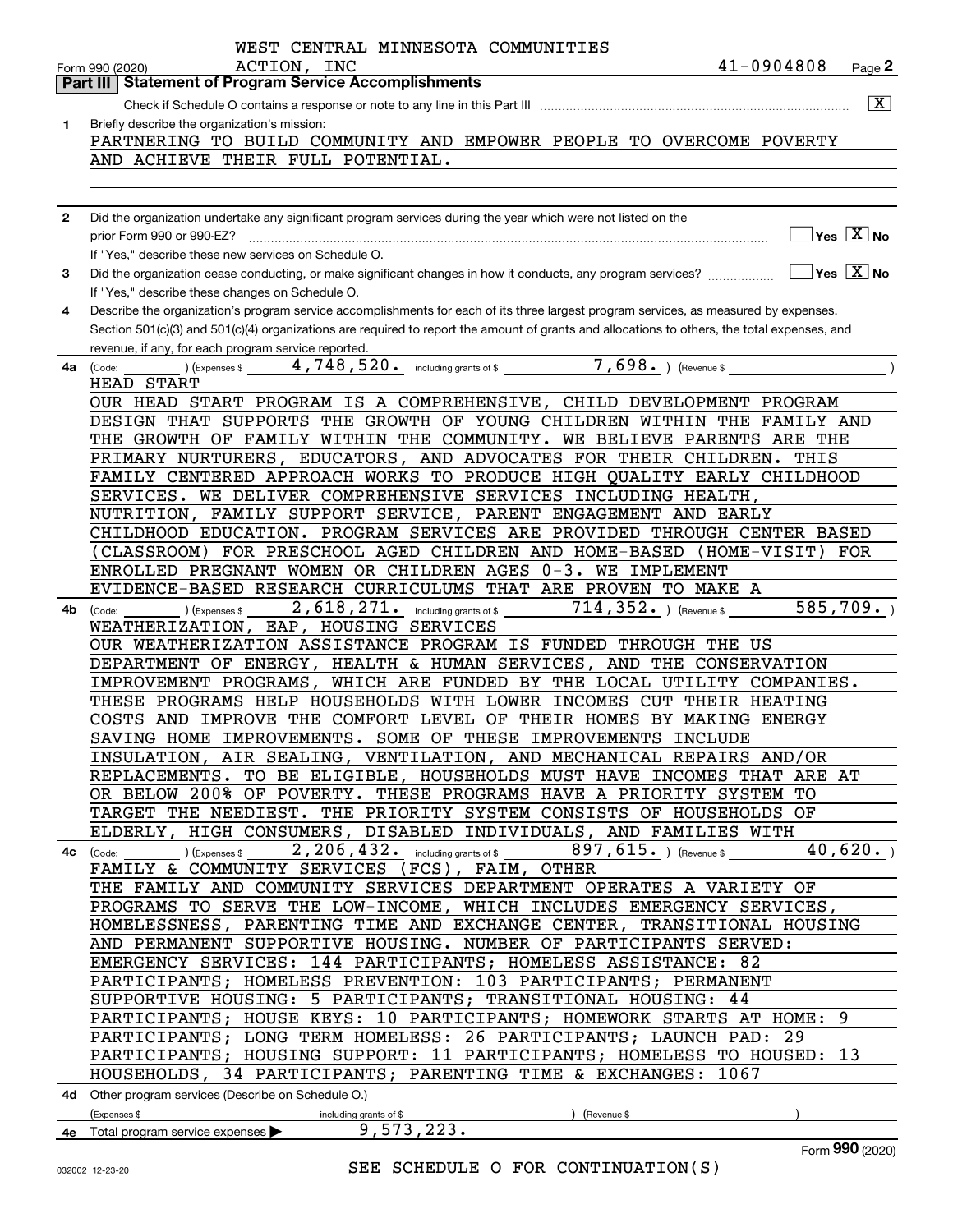|              | WEST CENTRAL MINNESOTA COMMUNITIES                                                                                                                                   |
|--------------|----------------------------------------------------------------------------------------------------------------------------------------------------------------------|
|              | 41-0904808<br>ACTION, INC<br>Page 2<br>Form 990 (2020)                                                                                                               |
|              | <b>Statement of Program Service Accomplishments</b><br>Part III                                                                                                      |
|              | $ \mathbf{X} $<br>Check if Schedule O contains a response or note to any line in this Part III                                                                       |
| 1            | Briefly describe the organization's mission:<br>PARTNERING TO BUILD COMMUNITY AND EMPOWER PEOPLE TO OVERCOME POVERTY                                                 |
|              | AND ACHIEVE THEIR FULL POTENTIAL.                                                                                                                                    |
|              |                                                                                                                                                                      |
|              |                                                                                                                                                                      |
| $\mathbf{2}$ | Did the organization undertake any significant program services during the year which were not listed on the                                                         |
|              | $\sqrt{}$ Yes $\sqrt{}$ X $\sqrt{}$ No<br>prior Form 990 or 990-EZ?                                                                                                  |
|              | If "Yes," describe these new services on Schedule O.                                                                                                                 |
| 3            | $\overline{\mathsf{Yes}}$ $\overline{\mathsf{X}}$ No<br>Did the organization cease conducting, or make significant changes in how it conducts, any program services? |
|              | If "Yes," describe these changes on Schedule O.                                                                                                                      |
| 4            | Describe the organization's program service accomplishments for each of its three largest program services, as measured by expenses.                                 |
|              | Section 501(c)(3) and 501(c)(4) organizations are required to report the amount of grants and allocations to others, the total expenses, and                         |
|              | revenue, if any, for each program service reported.                                                                                                                  |
| 4a           | $(1.5, 1.5)$ (Expenses \$ 4,748,520. including grants of \$ 7,698. ) (Revenue \$<br>(Code:                                                                           |
|              | HEAD START                                                                                                                                                           |
|              | OUR HEAD START PROGRAM IS A COMPREHENSIVE, CHILD DEVELOPMENT PROGRAM<br>DESIGN THAT SUPPORTS THE GROWTH OF YOUNG CHILDREN WITHIN THE FAMILY AND                      |
|              | THE GROWTH OF FAMILY WITHIN THE COMMUNITY. WE BELIEVE PARENTS ARE THE                                                                                                |
|              | PRIMARY NURTURERS, EDUCATORS, AND ADVOCATES FOR THEIR CHILDREN. THIS                                                                                                 |
|              | FAMILY CENTERED APPROACH WORKS TO PRODUCE HIGH QUALITY EARLY CHILDHOOD                                                                                               |
|              | SERVICES. WE DELIVER COMPREHENSIVE SERVICES INCLUDING HEALTH,                                                                                                        |
|              | NUTRITION, FAMILY SUPPORT SERVICE, PARENT ENGAGEMENT AND EARLY                                                                                                       |
|              | CHILDHOOD EDUCATION. PROGRAM SERVICES ARE PROVIDED THROUGH CENTER BASED                                                                                              |
|              | (CLASSROOM) FOR PRESCHOOL AGED CHILDREN AND HOME-BASED (HOME-VISIT) FOR                                                                                              |
|              | ENROLLED PREGNANT WOMEN OR CHILDREN AGES 0-3. WE IMPLEMENT                                                                                                           |
|              | EVIDENCE-BASED RESEARCH CURRICULUMS THAT ARE PROVEN TO MAKE A                                                                                                        |
| 4b           | 585, 709.<br>2,618,271. including grants of \$<br>$714$ , $352$ $\cdot$ ) (Revenue \$<br>(Expenses \$<br>(Code:                                                      |
|              | WEATHERIZATION, EAP, HOUSING SERVICES                                                                                                                                |
|              | OUR WEATHERIZATION ASSISTANCE PROGRAM IS FUNDED THROUGH THE US                                                                                                       |
|              | DEPARTMENT OF ENERGY, HEALTH & HUMAN SERVICES, AND THE CONSERVATION<br>IMPROVEMENT PROGRAMS, WHICH ARE FUNDED BY THE LOCAL UTILITY COMPANIES.                        |
|              | THESE PROGRAMS HELP HOUSEHOLDS WITH LOWER INCOMES CUT THEIR HEATING                                                                                                  |
|              | COSTS AND IMPROVE THE COMFORT LEVEL OF THEIR HOMES BY MAKING ENERGY                                                                                                  |
|              | SAVING HOME IMPROVEMENTS. SOME OF THESE IMPROVEMENTS INCLUDE                                                                                                         |
|              | INSULATION, AIR SEALING, VENTILATION, AND MECHANICAL REPAIRS AND/OR                                                                                                  |
|              | REPLACEMENTS. TO BE ELIGIBLE, HOUSEHOLDS MUST HAVE INCOMES THAT ARE AT                                                                                               |
|              | OR BELOW 200% OF POVERTY. THESE PROGRAMS HAVE A PRIORITY SYSTEM TO                                                                                                   |
|              | TARGET THE NEEDIEST. THE PRIORITY SYSTEM CONSISTS OF HOUSEHOLDS OF                                                                                                   |
|              | ELDERLY, HIGH CONSUMERS, DISABLED INDIVIDUALS, AND FAMILIES WITH                                                                                                     |
|              | 40,620.<br>4c $\left(\text{Code:}\_\_\_\_\$ \right) (Expenses \$ $\_\_\_\_\_\_2$ , 206, 432. including grants of \$ $\_\_\_\_\_\_897$ , 615. ) (Revenue \$           |
|              | FAMILY & COMMUNITY SERVICES (FCS), FAIM, OTHER                                                                                                                       |
|              | THE FAMILY AND COMMUNITY SERVICES DEPARTMENT OPERATES A VARIETY OF                                                                                                   |
|              | PROGRAMS TO SERVE THE LOW-INCOME, WHICH INCLUDES EMERGENCY SERVICES,<br>HOMELESSNESS, PARENTING TIME AND EXCHANGE CENTER, TRANSITIONAL HOUSING                       |
|              | AND PERMANENT SUPPORTIVE HOUSING. NUMBER OF PARTICIPANTS SERVED:                                                                                                     |
|              | EMERGENCY SERVICES: 144 PARTICIPANTS; HOMELESS ASSISTANCE: 82                                                                                                        |
|              | PARTICIPANTS; HOMELESS PREVENTION: 103 PARTICIPANTS; PERMANENT                                                                                                       |
|              | SUPPORTIVE HOUSING: 5 PARTICIPANTS; TRANSITIONAL HOUSING: 44                                                                                                         |
|              | PARTICIPANTS; HOUSE KEYS: 10 PARTICIPANTS; HOMEWORK STARTS AT HOME: 9                                                                                                |
|              | PARTICIPANTS; LONG TERM HOMELESS: 26 PARTICIPANTS; LAUNCH PAD: 29                                                                                                    |
|              | PARTICIPANTS; HOUSING SUPPORT: 11 PARTICIPANTS; HOMELESS TO HOUSED: 13                                                                                               |
|              | HOUSEHOLDS, 34 PARTICIPANTS; PARENTING TIME & EXCHANGES: 1067                                                                                                        |
|              | 4d Other program services (Describe on Schedule O.)                                                                                                                  |
|              | (Expenses \$<br>including grants of \$<br>) (Revenue \$                                                                                                              |
|              | 9,573,223.<br>4e Total program service expenses                                                                                                                      |

Form (2020) **990**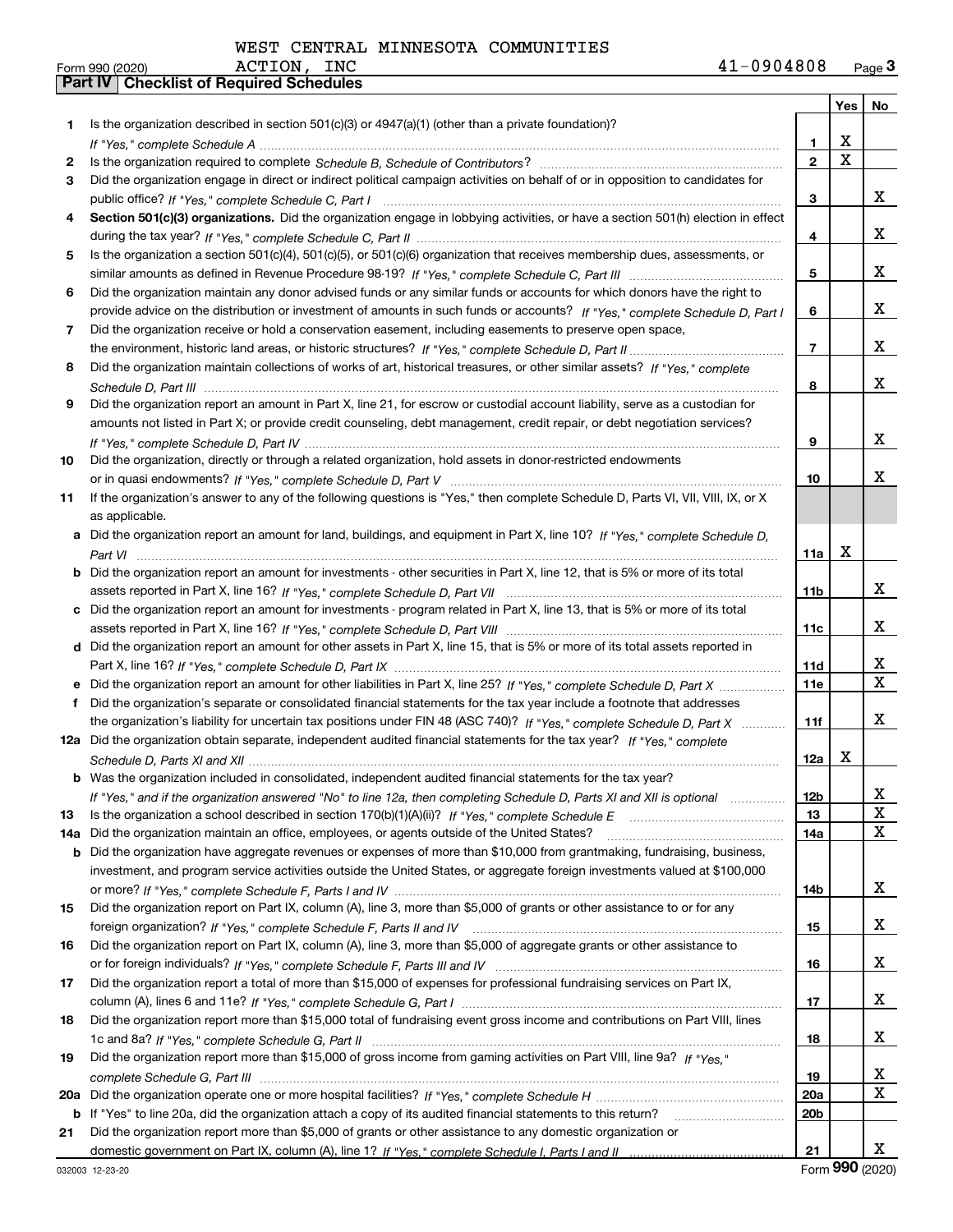|     |                                                                                                                                                                                                                                |                 | Yes                     | No                      |
|-----|--------------------------------------------------------------------------------------------------------------------------------------------------------------------------------------------------------------------------------|-----------------|-------------------------|-------------------------|
| 1   | Is the organization described in section 501(c)(3) or 4947(a)(1) (other than a private foundation)?                                                                                                                            |                 |                         |                         |
|     |                                                                                                                                                                                                                                | 1               | X                       |                         |
| 2   | Is the organization required to complete Schedule B, Schedule of Contributors? [11] Content of Content of Content of Contributors? [11] All of Contributors and Content of Content of the Organization required to complete th | $\mathbf{2}$    | $\overline{\mathbf{x}}$ |                         |
| 3   | Did the organization engage in direct or indirect political campaign activities on behalf of or in opposition to candidates for                                                                                                |                 |                         |                         |
|     |                                                                                                                                                                                                                                | 3               |                         | X.                      |
| 4   | Section 501(c)(3) organizations. Did the organization engage in lobbying activities, or have a section 501(h) election in effect                                                                                               |                 |                         |                         |
|     |                                                                                                                                                                                                                                | 4               |                         | X.                      |
| 5   | Is the organization a section 501(c)(4), 501(c)(5), or 501(c)(6) organization that receives membership dues, assessments, or                                                                                                   |                 |                         |                         |
|     |                                                                                                                                                                                                                                | 5               |                         | X.                      |
| 6   | Did the organization maintain any donor advised funds or any similar funds or accounts for which donors have the right to                                                                                                      |                 |                         |                         |
|     | provide advice on the distribution or investment of amounts in such funds or accounts? If "Yes," complete Schedule D, Part I                                                                                                   | 6               |                         | X.                      |
| 7   | Did the organization receive or hold a conservation easement, including easements to preserve open space,                                                                                                                      |                 |                         |                         |
|     |                                                                                                                                                                                                                                | $\overline{7}$  |                         | X.                      |
| 8   | Did the organization maintain collections of works of art, historical treasures, or other similar assets? If "Yes," complete                                                                                                   |                 |                         |                         |
|     |                                                                                                                                                                                                                                | 8               |                         | x                       |
| 9   | Did the organization report an amount in Part X, line 21, for escrow or custodial account liability, serve as a custodian for                                                                                                  |                 |                         |                         |
|     | amounts not listed in Part X; or provide credit counseling, debt management, credit repair, or debt negotiation services?                                                                                                      |                 |                         |                         |
|     |                                                                                                                                                                                                                                | 9               |                         | x                       |
| 10  | Did the organization, directly or through a related organization, hold assets in donor-restricted endowments                                                                                                                   |                 |                         |                         |
|     |                                                                                                                                                                                                                                | 10              |                         | x                       |
| 11  | If the organization's answer to any of the following questions is "Yes," then complete Schedule D, Parts VI, VII, VIII, IX, or X                                                                                               |                 |                         |                         |
|     | as applicable.                                                                                                                                                                                                                 |                 |                         |                         |
| a   | Did the organization report an amount for land, buildings, and equipment in Part X, line 10? If "Yes," complete Schedule D,                                                                                                    |                 |                         |                         |
|     |                                                                                                                                                                                                                                | 11a             | X                       |                         |
| b   | Did the organization report an amount for investments - other securities in Part X, line 12, that is 5% or more of its total                                                                                                   |                 |                         |                         |
|     |                                                                                                                                                                                                                                | 11b             |                         | X.                      |
| с   | Did the organization report an amount for investments - program related in Part X, line 13, that is 5% or more of its total                                                                                                    |                 |                         |                         |
|     |                                                                                                                                                                                                                                | 11c             |                         | X.                      |
|     | d Did the organization report an amount for other assets in Part X, line 15, that is 5% or more of its total assets reported in                                                                                                |                 |                         |                         |
|     |                                                                                                                                                                                                                                | 11d             |                         | x                       |
| е   | Did the organization report an amount for other liabilities in Part X, line 25? If "Yes," complete Schedule D, Part X                                                                                                          | <b>11e</b>      |                         | $\overline{\mathbf{x}}$ |
| f   | Did the organization's separate or consolidated financial statements for the tax year include a footnote that addresses                                                                                                        |                 |                         |                         |
|     | the organization's liability for uncertain tax positions under FIN 48 (ASC 740)? If "Yes," complete Schedule D, Part X                                                                                                         | 11f             |                         | x                       |
|     | 12a Did the organization obtain separate, independent audited financial statements for the tax year? If "Yes," complete                                                                                                        |                 |                         |                         |
|     |                                                                                                                                                                                                                                | 12a             | X                       |                         |
|     | <b>b</b> Was the organization included in consolidated, independent audited financial statements for the tax year?                                                                                                             |                 |                         |                         |
|     | If "Yes," and if the organization answered "No" to line 12a, then completing Schedule D, Parts XI and XII is optional                                                                                                          | 12 <sub>b</sub> |                         | $\overline{\mathbf{x}}$ |
| 13  |                                                                                                                                                                                                                                | 13              |                         | X                       |
| 14a | Did the organization maintain an office, employees, or agents outside of the United States?                                                                                                                                    | 14a             |                         | X                       |
| b   | Did the organization have aggregate revenues or expenses of more than \$10,000 from grantmaking, fundraising, business,                                                                                                        |                 |                         |                         |
|     | investment, and program service activities outside the United States, or aggregate foreign investments valued at \$100,000                                                                                                     |                 |                         |                         |
|     |                                                                                                                                                                                                                                | 14b             |                         | X.                      |
| 15  | Did the organization report on Part IX, column (A), line 3, more than \$5,000 of grants or other assistance to or for any                                                                                                      |                 |                         |                         |
|     |                                                                                                                                                                                                                                | 15              |                         | X.                      |
| 16  | Did the organization report on Part IX, column (A), line 3, more than \$5,000 of aggregate grants or other assistance to                                                                                                       |                 |                         |                         |
|     |                                                                                                                                                                                                                                | 16              |                         | X.                      |
| 17  | Did the organization report a total of more than \$15,000 of expenses for professional fundraising services on Part IX,                                                                                                        |                 |                         |                         |
|     |                                                                                                                                                                                                                                | 17              |                         | X.                      |
| 18  | Did the organization report more than \$15,000 total of fundraising event gross income and contributions on Part VIII, lines                                                                                                   |                 |                         |                         |
|     |                                                                                                                                                                                                                                | 18              |                         | X.                      |
| 19  | Did the organization report more than \$15,000 of gross income from gaming activities on Part VIII, line 9a? If "Yes."                                                                                                         |                 |                         |                         |
|     |                                                                                                                                                                                                                                | 19              |                         | X                       |
| 20a |                                                                                                                                                                                                                                | 20a             |                         | $\overline{\mathbf{X}}$ |
| b   | If "Yes" to line 20a, did the organization attach a copy of its audited financial statements to this return?                                                                                                                   | 20 <sub>b</sub> |                         |                         |
| 21  | Did the organization report more than \$5,000 of grants or other assistance to any domestic organization or                                                                                                                    |                 |                         |                         |
|     |                                                                                                                                                                                                                                | 21              |                         | X.                      |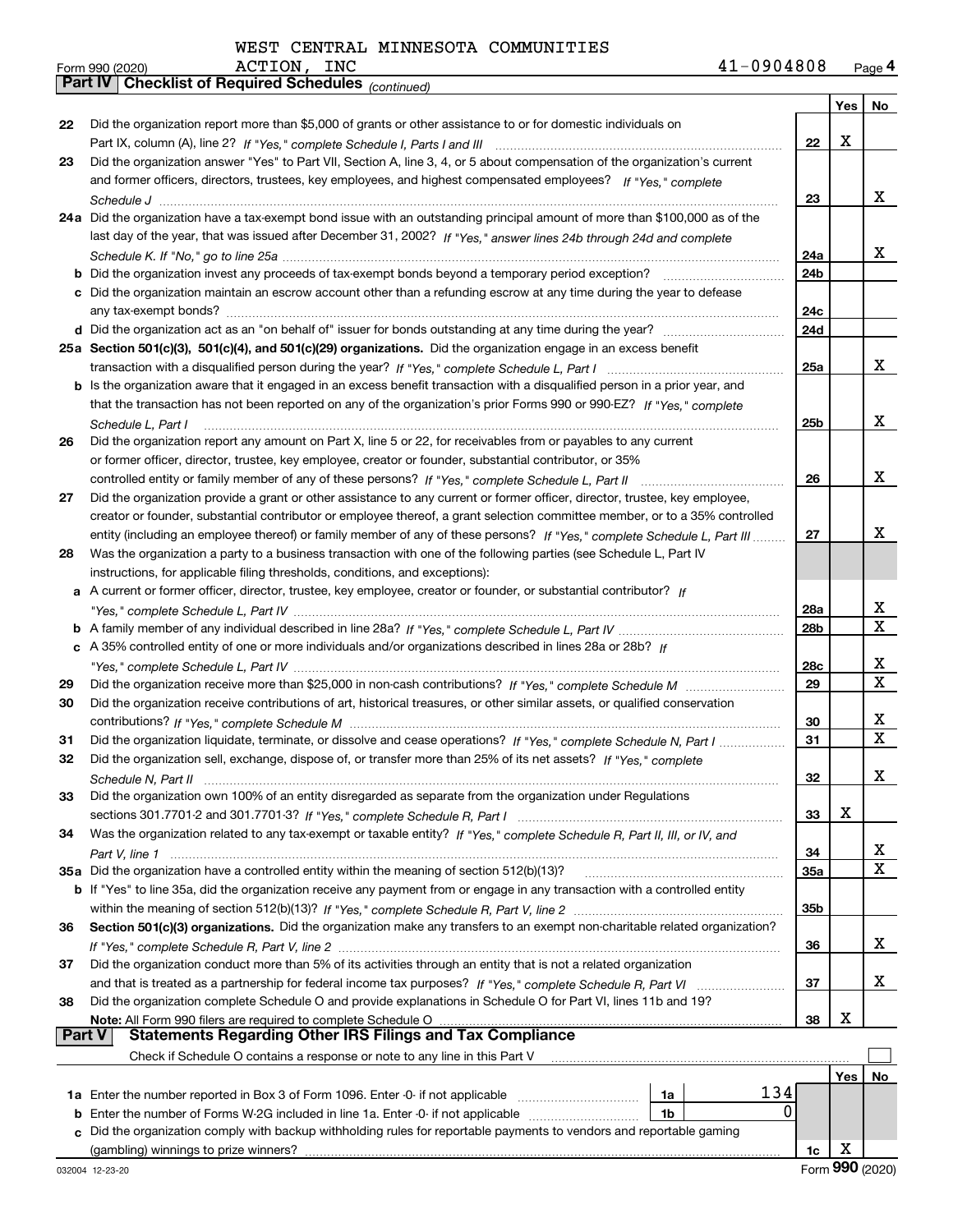*(continued)*

|    |                                                                                                                              |                 | Yes | No          |
|----|------------------------------------------------------------------------------------------------------------------------------|-----------------|-----|-------------|
| 22 | Did the organization report more than \$5,000 of grants or other assistance to or for domestic individuals on                |                 |     |             |
|    |                                                                                                                              | 22              | x   |             |
| 23 | Did the organization answer "Yes" to Part VII, Section A, line 3, 4, or 5 about compensation of the organization's current   |                 |     |             |
|    | and former officers, directors, trustees, key employees, and highest compensated employees? If "Yes," complete               |                 |     |             |
|    |                                                                                                                              | 23              |     | x           |
|    | 24a Did the organization have a tax-exempt bond issue with an outstanding principal amount of more than \$100,000 as of the  |                 |     |             |
|    | last day of the year, that was issued after December 31, 2002? If "Yes," answer lines 24b through 24d and complete           |                 |     |             |
|    |                                                                                                                              | 24a             |     | x           |
| b  | Did the organization invest any proceeds of tax-exempt bonds beyond a temporary period exception?                            | 24b             |     |             |
|    | c Did the organization maintain an escrow account other than a refunding escrow at any time during the year to defease       |                 |     |             |
|    |                                                                                                                              | 24c             |     |             |
|    |                                                                                                                              | 24d             |     |             |
|    | 25a Section 501(c)(3), 501(c)(4), and 501(c)(29) organizations. Did the organization engage in an excess benefit             |                 |     |             |
|    |                                                                                                                              | 25a             |     | x           |
|    | b Is the organization aware that it engaged in an excess benefit transaction with a disqualified person in a prior year, and |                 |     |             |
|    | that the transaction has not been reported on any of the organization's prior Forms 990 or 990-EZ? If "Yes," complete        |                 |     |             |
|    | Schedule L. Part I                                                                                                           | 25b             |     | x           |
| 26 | Did the organization report any amount on Part X, line 5 or 22, for receivables from or payables to any current              |                 |     |             |
|    | or former officer, director, trustee, key employee, creator or founder, substantial contributor, or 35%                      |                 |     |             |
|    | controlled entity or family member of any of these persons? If "Yes," complete Schedule L, Part II                           | 26              |     | x           |
| 27 | Did the organization provide a grant or other assistance to any current or former officer, director, trustee, key employee,  |                 |     |             |
|    | creator or founder, substantial contributor or employee thereof, a grant selection committee member, or to a 35% controlled  |                 |     |             |
|    | entity (including an employee thereof) or family member of any of these persons? If "Yes," complete Schedule L, Part III     | 27              |     | x           |
| 28 | Was the organization a party to a business transaction with one of the following parties (see Schedule L, Part IV            |                 |     |             |
|    | instructions, for applicable filing thresholds, conditions, and exceptions):                                                 |                 |     |             |
| а  | A current or former officer, director, trustee, key employee, creator or founder, or substantial contributor? If             |                 |     |             |
|    |                                                                                                                              | 28a             |     | x           |
|    |                                                                                                                              | 28 <sub>b</sub> |     | X           |
|    | c A 35% controlled entity of one or more individuals and/or organizations described in lines 28a or 28b? If                  |                 |     |             |
|    |                                                                                                                              | 28c             |     | x           |
| 29 |                                                                                                                              | 29              |     | $\mathbf x$ |
| 30 | Did the organization receive contributions of art, historical treasures, or other similar assets, or qualified conservation  |                 |     |             |
|    |                                                                                                                              | 30              |     | x           |
| 31 | Did the organization liquidate, terminate, or dissolve and cease operations? If "Yes," complete Schedule N, Part I           | 31              |     | X           |
| 32 | Did the organization sell, exchange, dispose of, or transfer more than 25% of its net assets? If "Yes," complete             |                 |     |             |
|    |                                                                                                                              | 32              |     | x           |
| 33 | Did the organization own 100% of an entity disregarded as separate from the organization under Regulations                   |                 |     |             |
|    |                                                                                                                              | 33              | Χ   |             |
| 34 | Was the organization related to any tax-exempt or taxable entity? If "Yes," complete Schedule R, Part II, III, or IV, and    |                 |     |             |
|    | Part V, line 1                                                                                                               | 34              |     | x           |
|    | 35a Did the organization have a controlled entity within the meaning of section 512(b)(13)?                                  | 35a             |     | X.          |
|    | b If "Yes" to line 35a, did the organization receive any payment from or engage in any transaction with a controlled entity  |                 |     |             |
|    |                                                                                                                              | 35b             |     |             |
| 36 | Section 501(c)(3) organizations. Did the organization make any transfers to an exempt non-charitable related organization?   |                 |     |             |
|    |                                                                                                                              | 36              |     | X.          |
| 37 | Did the organization conduct more than 5% of its activities through an entity that is not a related organization             |                 |     |             |
|    | and that is treated as a partnership for federal income tax purposes? If "Yes." complete Schedule R, Part VI                 | 37              |     | x           |
| 38 | Did the organization complete Schedule O and provide explanations in Schedule O for Part VI, lines 11b and 19?               |                 |     |             |
|    | Note: All Form 990 filers are required to complete Schedule O                                                                | 38              | х   |             |
|    | <b>Statements Regarding Other IRS Filings and Tax Compliance</b><br><b>Part V</b>                                            |                 |     |             |
|    | Check if Schedule O contains a response or note to any line in this Part V                                                   |                 |     |             |
|    |                                                                                                                              |                 | Yes | No          |
|    | 134<br>1a Enter the number reported in Box 3 of Form 1096. Enter -0- if not applicable<br>1a                                 |                 |     |             |
| b  | 0<br>Enter the number of Forms W-2G included in line 1a. Enter -0- if not applicable<br>1b                                   |                 |     |             |
| c  | Did the organization comply with backup withholding rules for reportable payments to vendors and reportable gaming           |                 |     |             |
|    | (gambling) winnings to prize winners?                                                                                        | 1c              | х   |             |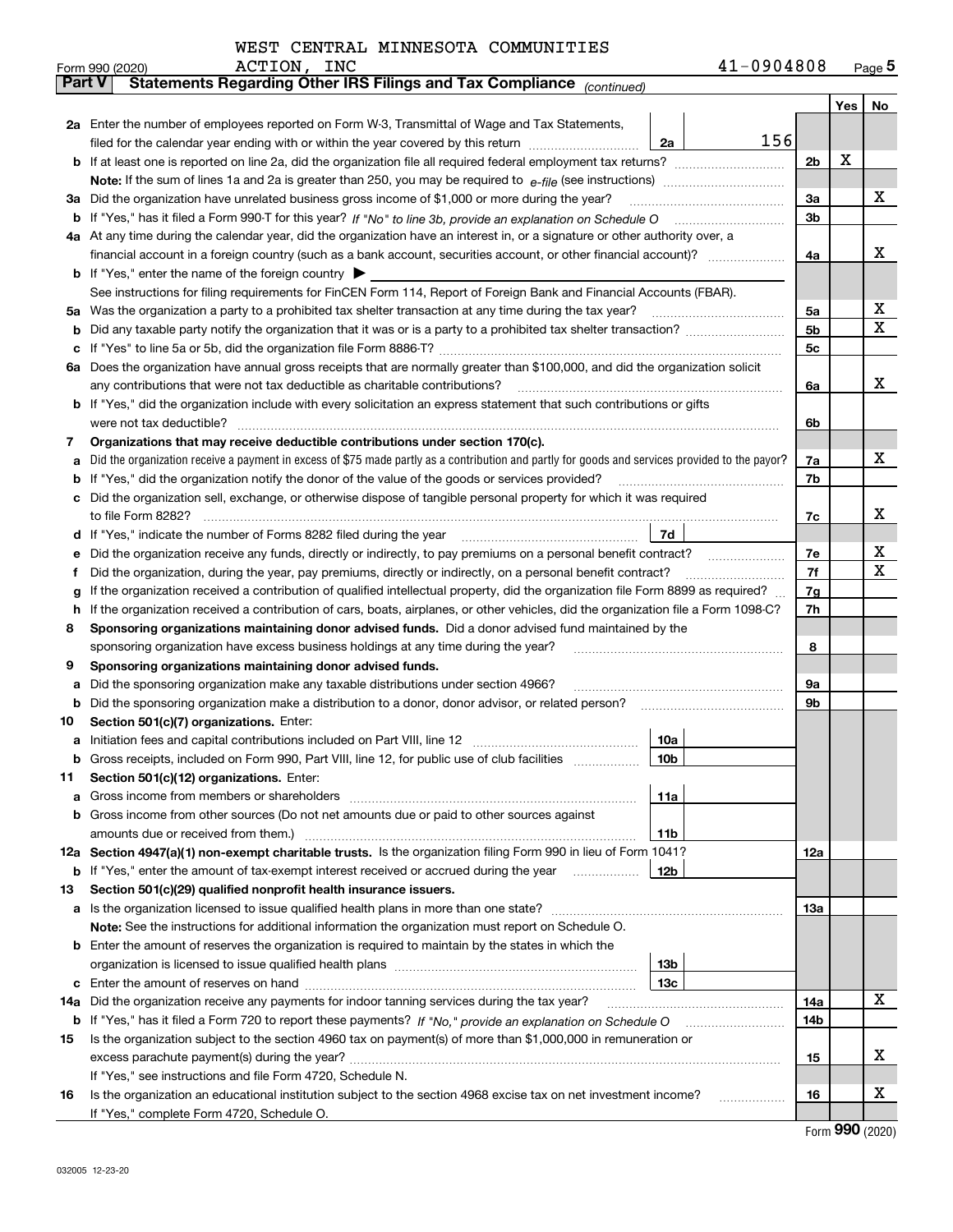|  | WEST CENTRAL MINNESOTA COMMUNITIES |
|--|------------------------------------|
|  |                                    |

|               | ACTION, INC<br>Form 990 (2020)                                                                                                                                                                                                                                         |                 | 41-0904808 |                |     | $_{\text{Page}}$ 5 |
|---------------|------------------------------------------------------------------------------------------------------------------------------------------------------------------------------------------------------------------------------------------------------------------------|-----------------|------------|----------------|-----|--------------------|
| <b>Part V</b> | Statements Regarding Other IRS Filings and Tax Compliance (continued)                                                                                                                                                                                                  |                 |            |                |     |                    |
|               |                                                                                                                                                                                                                                                                        |                 |            |                | Yes | No                 |
|               | 2a Enter the number of employees reported on Form W-3, Transmittal of Wage and Tax Statements,                                                                                                                                                                         |                 |            |                |     |                    |
|               | filed for the calendar year ending with or within the year covered by this return <i>manumumumum</i>                                                                                                                                                                   | 2a              | 156        |                |     |                    |
|               |                                                                                                                                                                                                                                                                        |                 |            | 2 <sub>b</sub> | х   |                    |
|               |                                                                                                                                                                                                                                                                        |                 |            |                |     |                    |
| За            | Did the organization have unrelated business gross income of \$1,000 or more during the year?                                                                                                                                                                          |                 |            | 3a             |     | х                  |
|               |                                                                                                                                                                                                                                                                        |                 |            | 3b             |     |                    |
|               | 4a At any time during the calendar year, did the organization have an interest in, or a signature or other authority over, a                                                                                                                                           |                 |            |                |     |                    |
|               |                                                                                                                                                                                                                                                                        |                 |            | 4a             |     | x                  |
|               | <b>b</b> If "Yes," enter the name of the foreign country $\blacktriangleright$                                                                                                                                                                                         |                 |            |                |     |                    |
|               | See instructions for filing requirements for FinCEN Form 114, Report of Foreign Bank and Financial Accounts (FBAR).                                                                                                                                                    |                 |            |                |     |                    |
| 5a            | Was the organization a party to a prohibited tax shelter transaction at any time during the tax year?                                                                                                                                                                  |                 |            | 5a             |     | х                  |
| b             |                                                                                                                                                                                                                                                                        |                 |            | 5 <sub>b</sub> |     | X                  |
| c             |                                                                                                                                                                                                                                                                        |                 |            | 5c             |     |                    |
|               | 6a Does the organization have annual gross receipts that are normally greater than \$100,000, and did the organization solicit                                                                                                                                         |                 |            |                |     |                    |
|               | any contributions that were not tax deductible as charitable contributions?                                                                                                                                                                                            |                 |            | 6a             |     | x                  |
|               | b If "Yes," did the organization include with every solicitation an express statement that such contributions or gifts                                                                                                                                                 |                 |            |                |     |                    |
|               | were not tax deductible?                                                                                                                                                                                                                                               |                 |            | 6b             |     |                    |
| 7             | Organizations that may receive deductible contributions under section 170(c).                                                                                                                                                                                          |                 |            |                |     |                    |
| a             | Did the organization receive a payment in excess of \$75 made partly as a contribution and partly for goods and services provided to the payor?                                                                                                                        |                 |            | 7a             |     | x                  |
| b             | If "Yes," did the organization notify the donor of the value of the goods or services provided?                                                                                                                                                                        |                 |            | 7b             |     |                    |
|               | Did the organization sell, exchange, or otherwise dispose of tangible personal property for which it was required                                                                                                                                                      |                 |            |                |     | x                  |
|               |                                                                                                                                                                                                                                                                        |                 |            | 7c             |     |                    |
| d             |                                                                                                                                                                                                                                                                        | 7d              |            |                |     | х                  |
| е             | Did the organization receive any funds, directly or indirectly, to pay premiums on a personal benefit contract?                                                                                                                                                        |                 |            | 7e<br>7f       |     | X                  |
| f             | Did the organization, during the year, pay premiums, directly or indirectly, on a personal benefit contract?                                                                                                                                                           |                 |            |                |     |                    |
| g<br>h.       | If the organization received a contribution of qualified intellectual property, did the organization file Form 8899 as required?<br>If the organization received a contribution of cars, boats, airplanes, or other vehicles, did the organization file a Form 1098-C? |                 |            | 7g<br>7h       |     |                    |
| 8             | Sponsoring organizations maintaining donor advised funds. Did a donor advised fund maintained by the                                                                                                                                                                   |                 |            |                |     |                    |
|               | sponsoring organization have excess business holdings at any time during the year?                                                                                                                                                                                     |                 |            | 8              |     |                    |
| 9             | Sponsoring organizations maintaining donor advised funds.                                                                                                                                                                                                              |                 |            |                |     |                    |
| a             | Did the sponsoring organization make any taxable distributions under section 4966?                                                                                                                                                                                     |                 |            | 9а             |     |                    |
| b             | Did the sponsoring organization make a distribution to a donor, donor advisor, or related person?                                                                                                                                                                      |                 |            | 9b             |     |                    |
| 10            | Section 501(c)(7) organizations. Enter:                                                                                                                                                                                                                                |                 |            |                |     |                    |
|               | a Initiation fees and capital contributions included on Part VIII, line 12 [11] [12] [11] [12] [11] [12] [11] [12] [11] [12] [11] [12] [11] [12] [11] [12] [11] [12] [11] [12] [11] [12] [11] [12] [11] [12] [11] [12] [11] [1                                         | 10a             |            |                |     |                    |
|               | Gross receipts, included on Form 990, Part VIII, line 12, for public use of club facilities                                                                                                                                                                            | 10b             |            |                |     |                    |
| 11            | Section 501(c)(12) organizations. Enter:                                                                                                                                                                                                                               |                 |            |                |     |                    |
| a             | Gross income from members or shareholders                                                                                                                                                                                                                              | 11a             |            |                |     |                    |
|               | b Gross income from other sources (Do not net amounts due or paid to other sources against                                                                                                                                                                             |                 |            |                |     |                    |
|               |                                                                                                                                                                                                                                                                        | 11 <sub>b</sub> |            |                |     |                    |
|               | 12a Section 4947(a)(1) non-exempt charitable trusts. Is the organization filing Form 990 in lieu of Form 1041?                                                                                                                                                         |                 |            | <b>12a</b>     |     |                    |
|               | <b>b</b> If "Yes," enter the amount of tax-exempt interest received or accrued during the year <b>contained</b>                                                                                                                                                        | 12b             |            |                |     |                    |
| 13            | Section 501(c)(29) qualified nonprofit health insurance issuers.                                                                                                                                                                                                       |                 |            |                |     |                    |
|               | <b>a</b> Is the organization licensed to issue qualified health plans in more than one state?                                                                                                                                                                          |                 |            | <b>13a</b>     |     |                    |
|               | Note: See the instructions for additional information the organization must report on Schedule O.                                                                                                                                                                      |                 |            |                |     |                    |
|               | <b>b</b> Enter the amount of reserves the organization is required to maintain by the states in which the                                                                                                                                                              |                 |            |                |     |                    |
|               |                                                                                                                                                                                                                                                                        | 13 <sub>b</sub> |            |                |     |                    |
|               |                                                                                                                                                                                                                                                                        | 13 <sub>c</sub> |            |                |     |                    |
| 14a           | Did the organization receive any payments for indoor tanning services during the tax year?                                                                                                                                                                             |                 |            | 14a            |     | x                  |
|               |                                                                                                                                                                                                                                                                        |                 |            | 14b            |     |                    |
| 15            | Is the organization subject to the section 4960 tax on payment(s) of more than \$1,000,000 in remuneration or                                                                                                                                                          |                 |            |                |     |                    |
|               |                                                                                                                                                                                                                                                                        |                 |            | 15             |     | х                  |
|               | If "Yes," see instructions and file Form 4720, Schedule N.                                                                                                                                                                                                             |                 |            |                |     |                    |
| 16            | Is the organization an educational institution subject to the section 4968 excise tax on net investment income?                                                                                                                                                        |                 |            | 16             |     | х                  |
|               | If "Yes," complete Form 4720, Schedule O.                                                                                                                                                                                                                              |                 |            |                |     |                    |

Form (2020) **990**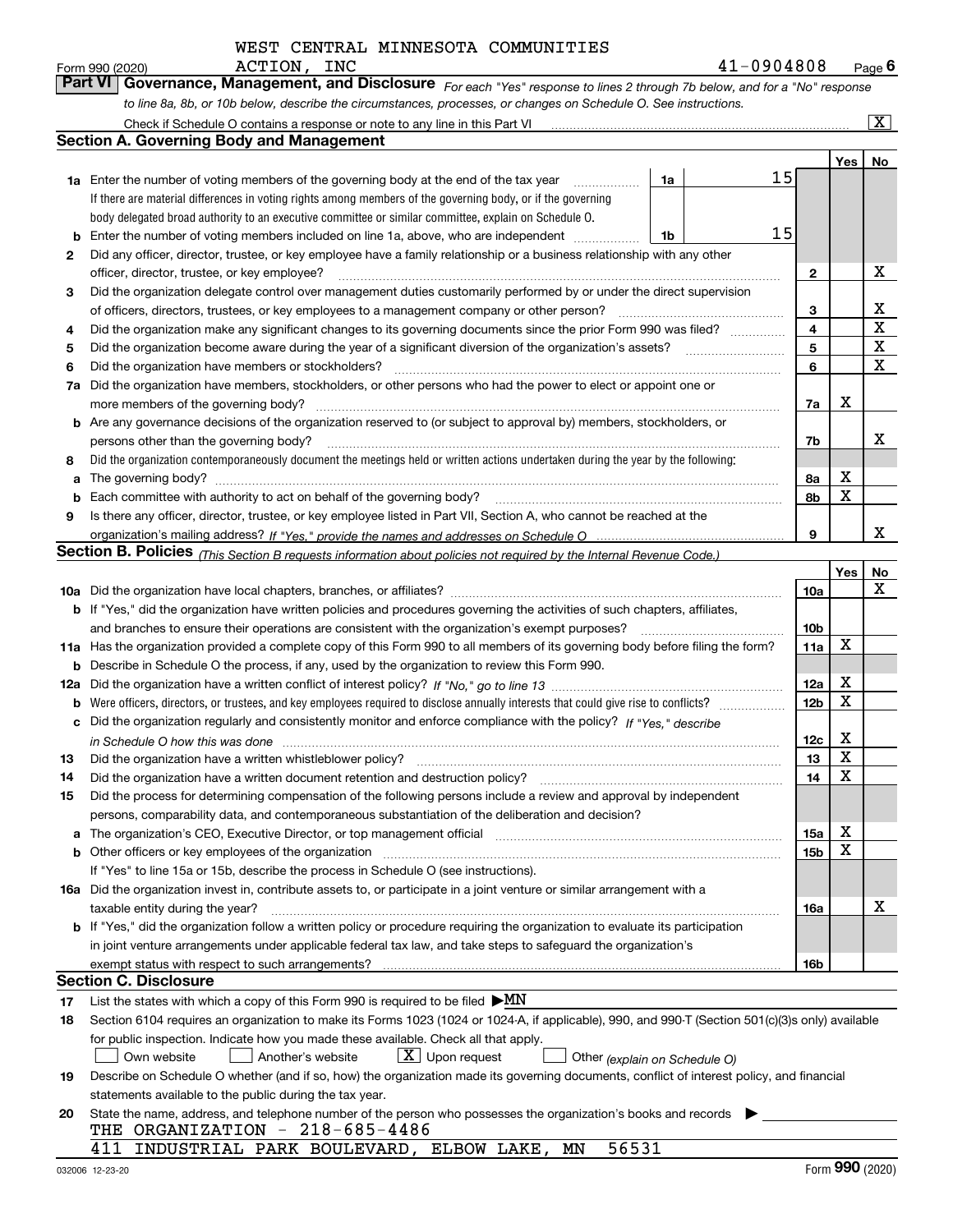*For each "Yes" response to lines 2 through 7b below, and for a "No" response to line 8a, 8b, or 10b below, describe the circumstances, processes, or changes on Schedule O. See instructions.* Form 990 (2020) **ACTION, INC**<br>**Part VI Governance, Management, and Disclosure** For each "Yes" response to lines 2 through 7b below, and for a "No" response Check if Schedule O contains a response or note to any line in this Part VI

|     | Check if Schedule O contains a response or note to any line in this Part VI                                                                                           |                               |                 |     | x           |
|-----|-----------------------------------------------------------------------------------------------------------------------------------------------------------------------|-------------------------------|-----------------|-----|-------------|
|     | <b>Section A. Governing Body and Management</b>                                                                                                                       |                               |                 |     |             |
|     |                                                                                                                                                                       |                               |                 | Yes | No          |
|     | 1a Enter the number of voting members of the governing body at the end of the tax year                                                                                | 15<br>1a                      |                 |     |             |
|     | If there are material differences in voting rights among members of the governing body, or if the governing                                                           |                               |                 |     |             |
|     | body delegated broad authority to an executive committee or similar committee, explain on Schedule O.                                                                 |                               |                 |     |             |
| b   | Enter the number of voting members included on line 1a, above, who are independent                                                                                    | 15<br>1b                      |                 |     |             |
| 2   | Did any officer, director, trustee, or key employee have a family relationship or a business relationship with any other                                              |                               |                 |     |             |
|     | officer, director, trustee, or key employee?                                                                                                                          |                               | $\mathbf{2}$    |     | X           |
| 3   | Did the organization delegate control over management duties customarily performed by or under the direct supervision                                                 |                               |                 |     |             |
|     | of officers, directors, trustees, or key employees to a management company or other person?                                                                           |                               | 3               |     | х           |
| 4   | Did the organization make any significant changes to its governing documents since the prior Form 990 was filed?                                                      |                               | $\overline{4}$  |     | $\mathbf X$ |
| 5   |                                                                                                                                                                       |                               | 5               |     | $\mathbf X$ |
| 6   | Did the organization have members or stockholders?                                                                                                                    |                               | 6               |     | $\mathbf X$ |
| 7a  | Did the organization have members, stockholders, or other persons who had the power to elect or appoint one or                                                        |                               |                 |     |             |
|     | more members of the governing body?                                                                                                                                   |                               | 7a              | х   |             |
|     | <b>b</b> Are any governance decisions of the organization reserved to (or subject to approval by) members, stockholders, or                                           |                               |                 |     |             |
|     | persons other than the governing body?                                                                                                                                |                               | 7b              |     | x           |
| 8   | Did the organization contemporaneously document the meetings held or written actions undertaken during the year by the following:                                     |                               |                 |     |             |
| a   | The governing body?                                                                                                                                                   |                               | 8a              | х   |             |
| b   |                                                                                                                                                                       |                               | 8b              | X   |             |
| 9   | Is there any officer, director, trustee, or key employee listed in Part VII, Section A, who cannot be reached at the                                                  |                               |                 |     |             |
|     |                                                                                                                                                                       |                               | 9               |     | x           |
|     | <b>Section B. Policies</b> (This Section B requests information about policies not required by the Internal Revenue Code.)                                            |                               |                 |     |             |
|     |                                                                                                                                                                       |                               |                 | Yes | No          |
|     |                                                                                                                                                                       |                               | 10a             |     | х           |
|     | <b>b</b> If "Yes," did the organization have written policies and procedures governing the activities of such chapters, affiliates,                                   |                               |                 |     |             |
|     | and branches to ensure their operations are consistent with the organization's exempt purposes?                                                                       |                               | 10 <sub>b</sub> |     |             |
|     | 11a Has the organization provided a complete copy of this Form 990 to all members of its governing body before filing the form?                                       |                               | 11a             | X   |             |
| b   | Describe in Schedule O the process, if any, used by the organization to review this Form 990.                                                                         |                               |                 |     |             |
| 12a |                                                                                                                                                                       |                               | 12a             | X   |             |
| b   |                                                                                                                                                                       |                               | 12 <sub>b</sub> | X   |             |
| с   | Did the organization regularly and consistently monitor and enforce compliance with the policy? If "Yes." describe                                                    |                               |                 |     |             |
|     | in Schedule O how this was done www.communication.com/www.communications.com/www.communications.com/                                                                  |                               | 12c             | х   |             |
| 13  | Did the organization have a written whistleblower policy?                                                                                                             |                               | 13              | X   |             |
| 14  | Did the organization have a written document retention and destruction policy?                                                                                        |                               | 14              | X   |             |
| 15  | Did the process for determining compensation of the following persons include a review and approval by independent                                                    |                               |                 |     |             |
|     | persons, comparability data, and contemporaneous substantiation of the deliberation and decision?                                                                     |                               |                 |     |             |
| a   | The organization's CEO, Executive Director, or top management official manufactured content of the organization's CEO, Executive Director, or top management official |                               | 15a             | х   |             |
|     |                                                                                                                                                                       |                               | 15b             | X   |             |
|     | If "Yes" to line 15a or 15b, describe the process in Schedule O (see instructions).                                                                                   |                               |                 |     |             |
|     | 16a Did the organization invest in, contribute assets to, or participate in a joint venture or similar arrangement with a                                             |                               |                 |     |             |
|     | taxable entity during the year?                                                                                                                                       |                               | 16a             |     | х           |
|     | b If "Yes," did the organization follow a written policy or procedure requiring the organization to evaluate its participation                                        |                               |                 |     |             |
|     | in joint venture arrangements under applicable federal tax law, and take steps to safeguard the organization's                                                        |                               |                 |     |             |
|     | exempt status with respect to such arrangements?                                                                                                                      |                               | 16b             |     |             |
|     | <b>Section C. Disclosure</b>                                                                                                                                          |                               |                 |     |             |
| 17  | List the states with which a copy of this Form 990 is required to be filed $\blacktriangleright MN$                                                                   |                               |                 |     |             |
| 18  | Section 6104 requires an organization to make its Forms 1023 (1024 or 1024-A, if applicable), 990, and 990-T (Section 501(c)(3)s only) available                      |                               |                 |     |             |
|     | for public inspection. Indicate how you made these available. Check all that apply.                                                                                   |                               |                 |     |             |
|     | $X$ Upon request<br>Another's website<br>Own website                                                                                                                  | Other (explain on Schedule O) |                 |     |             |
| 19  | Describe on Schedule O whether (and if so, how) the organization made its governing documents, conflict of interest policy, and financial                             |                               |                 |     |             |
|     | statements available to the public during the tax year.                                                                                                               |                               |                 |     |             |
| 20  | State the name, address, and telephone number of the person who possesses the organization's books and records                                                        |                               |                 |     |             |
|     | THE ORGANIZATION - 218-685-4486                                                                                                                                       |                               |                 |     |             |
|     | 56531<br>411 INDUSTRIAL PARK BOULEVARD, ELBOW LAKE, MN                                                                                                                |                               |                 |     |             |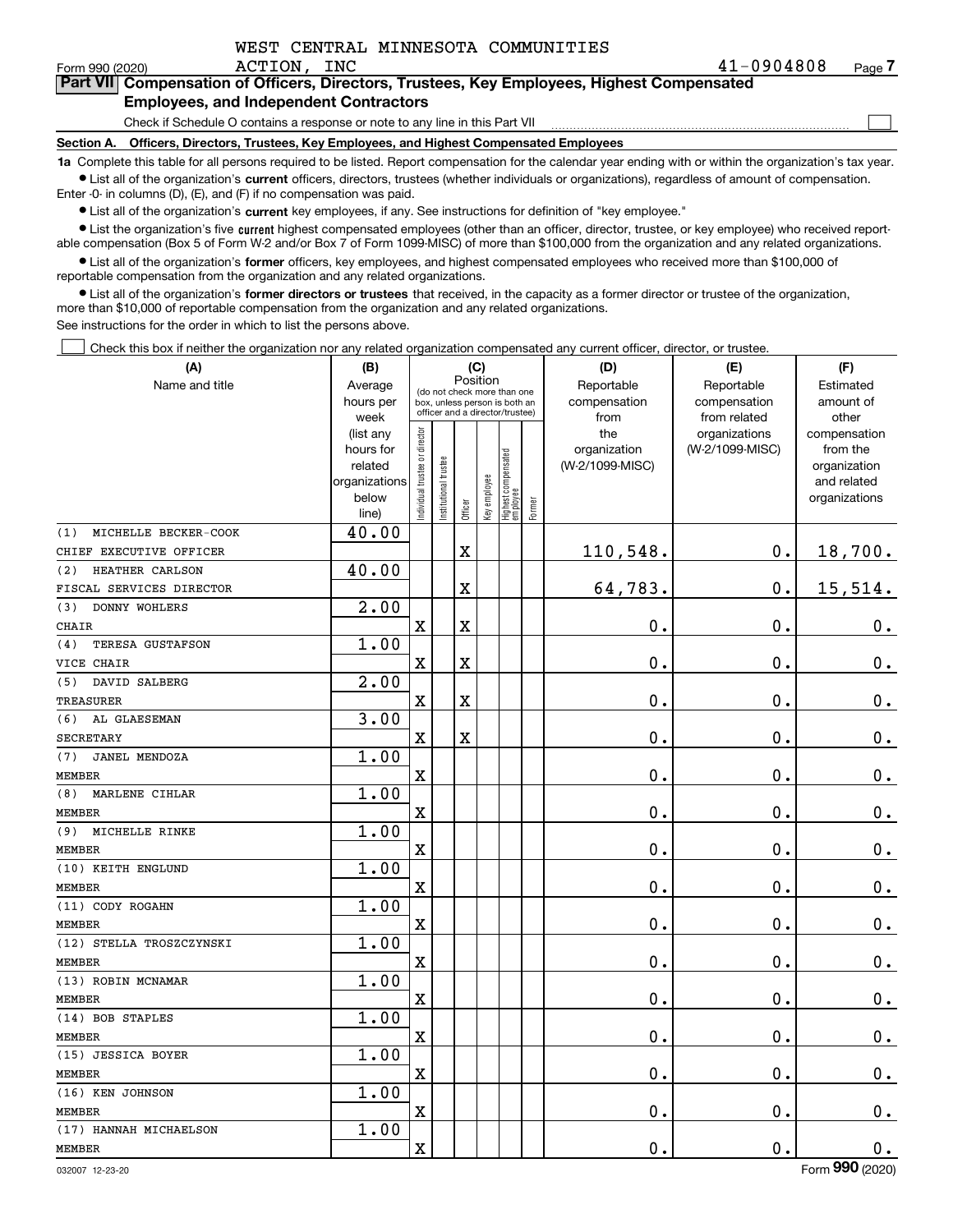| WEST CENTRAL MINNESOTA COMMUNITIES |  |
|------------------------------------|--|
|                                    |  |

 $\mathcal{L}^{\text{max}}$ 

| Form 990 (2020) |                                                                                            | ACTION, INC |  |  | 41-0904808 | Page 7 |
|-----------------|--------------------------------------------------------------------------------------------|-------------|--|--|------------|--------|
|                 | Part VII Compensation of Officers, Directors, Trustees, Key Employees, Highest Compensated |             |  |  |            |        |
|                 | <b>Employees, and Independent Contractors</b>                                              |             |  |  |            |        |

### Check if Schedule O contains a response or note to any line in this Part VII

**Section A. Officers, Directors, Trustees, Key Employees, and Highest Compensated Employees**

**1a**  Complete this table for all persons required to be listed. Report compensation for the calendar year ending with or within the organization's tax year. **•** List all of the organization's current officers, directors, trustees (whether individuals or organizations), regardless of amount of compensation.

Enter -0- in columns (D), (E), and (F) if no compensation was paid.

 $\bullet$  List all of the organization's  $\,$ current key employees, if any. See instructions for definition of "key employee."

**•** List the organization's five current highest compensated employees (other than an officer, director, trustee, or key employee) who received reportable compensation (Box 5 of Form W-2 and/or Box 7 of Form 1099-MISC) of more than \$100,000 from the organization and any related organizations.

**•** List all of the organization's former officers, key employees, and highest compensated employees who received more than \$100,000 of reportable compensation from the organization and any related organizations.

**former directors or trustees**  ¥ List all of the organization's that received, in the capacity as a former director or trustee of the organization, more than \$10,000 of reportable compensation from the organization and any related organizations.

See instructions for the order in which to list the persons above.

Check this box if neither the organization nor any related organization compensated any current officer, director, or trustee.  $\mathcal{L}^{\text{max}}$ 

| (A)                            | (B)               |                               |                                                                  | (C)                     |              |                                   |        | (D)                  | (E)                          | (F)                |
|--------------------------------|-------------------|-------------------------------|------------------------------------------------------------------|-------------------------|--------------|-----------------------------------|--------|----------------------|------------------------------|--------------------|
| Name and title                 | Average           |                               | (do not check more than one                                      | Position                |              |                                   |        | Reportable           | Reportable                   | Estimated          |
|                                | hours per<br>week |                               | box, unless person is both an<br>officer and a director/trustee) |                         |              |                                   |        | compensation<br>from | compensation<br>from related | amount of<br>other |
|                                | (list any         |                               |                                                                  |                         |              |                                   |        | the                  | organizations                | compensation       |
|                                | hours for         |                               |                                                                  |                         |              |                                   |        | organization         | (W-2/1099-MISC)              | from the           |
|                                | related           |                               |                                                                  |                         |              |                                   |        | (W-2/1099-MISC)      |                              | organization       |
|                                | organizations     |                               |                                                                  |                         |              |                                   |        |                      |                              | and related        |
|                                | below             | ndividual trustee or director | nstitutional trustee                                             | Officer                 | Key employee | Highest compensated<br>  employee | Former |                      |                              | organizations      |
| MICHELLE BECKER-COOK<br>(1)    | line)<br>40.00    |                               |                                                                  |                         |              |                                   |        |                      |                              |                    |
| CHIEF EXECUTIVE OFFICER        |                   |                               |                                                                  | $\overline{\textbf{X}}$ |              |                                   |        | 110,548.             | 0.                           | 18,700.            |
| HEATHER CARLSON<br>(2)         | 40.00             |                               |                                                                  |                         |              |                                   |        |                      |                              |                    |
| FISCAL SERVICES DIRECTOR       |                   |                               |                                                                  | X                       |              |                                   |        | 64,783.              | 0.                           | 15,514.            |
| DONNY WOHLERS<br>(3)           | 2.00              |                               |                                                                  |                         |              |                                   |        |                      |                              |                    |
| <b>CHAIR</b>                   |                   | $\mathbf x$                   |                                                                  | $\overline{\textbf{X}}$ |              |                                   |        | $\mathbf 0$ .        | $\mathbf 0$ .                | $0_{.}$            |
| <b>TERESA GUSTAFSON</b><br>(4) | 1.00              |                               |                                                                  |                         |              |                                   |        |                      |                              |                    |
| VICE CHAIR                     |                   | $\mathbf x$                   |                                                                  | $\overline{\text{X}}$   |              |                                   |        | 0.                   | 0.                           | $0_{.}$            |
| DAVID SALBERG<br>(5)           | 2.00              |                               |                                                                  |                         |              |                                   |        |                      |                              |                    |
| <b>TREASURER</b>               |                   | $\mathbf x$                   |                                                                  | X                       |              |                                   |        | 0.                   | 0.                           | $0_{.}$            |
| (6)<br>AL GLAESEMAN            | 3.00              |                               |                                                                  |                         |              |                                   |        |                      |                              |                    |
| <b>SECRETARY</b>               |                   | $\mathbf x$                   |                                                                  | $\overline{\text{X}}$   |              |                                   |        | 0.                   | 0.                           | $\mathbf 0$ .      |
| JANEL MENDOZA<br>(7)           | 1.00              |                               |                                                                  |                         |              |                                   |        |                      |                              |                    |
| <b>MEMBER</b>                  |                   | $\mathbf X$                   |                                                                  |                         |              |                                   |        | 0.                   | 0.                           | $0_{.}$            |
| (8)<br>MARLENE CIHLAR          | 1.00              |                               |                                                                  |                         |              |                                   |        |                      |                              |                    |
| <b>MEMBER</b>                  |                   | $\overline{\textbf{X}}$       |                                                                  |                         |              |                                   |        | 0.                   | $\mathbf 0$ .                | $\mathbf 0$ .      |
| MICHELLE RINKE<br>(9)          | 1.00              |                               |                                                                  |                         |              |                                   |        |                      |                              |                    |
| <b>MEMBER</b>                  |                   | $\overline{\textbf{X}}$       |                                                                  |                         |              |                                   |        | 0.                   | $\mathbf 0$ .                | $0_{.}$            |
| (10) KEITH ENGLUND             | 1.00              |                               |                                                                  |                         |              |                                   |        |                      |                              |                    |
| <b>MEMBER</b>                  |                   | $\overline{\textbf{X}}$       |                                                                  |                         |              |                                   |        | 0.                   | $\mathbf 0$ .                | $0_{.}$            |
| (11) CODY ROGAHN               | 1.00              |                               |                                                                  |                         |              |                                   |        |                      |                              |                    |
| <b>MEMBER</b>                  |                   | $\rm X$                       |                                                                  |                         |              |                                   |        | 0.                   | $\mathbf 0$ .                | $0_{.}$            |
| (12) STELLA TROSZCZYNSKI       | 1.00              |                               |                                                                  |                         |              |                                   |        |                      |                              |                    |
| <b>MEMBER</b>                  |                   | $\mathbf x$                   |                                                                  |                         |              |                                   |        | 0.                   | $\mathbf 0$ .                | $0_{.}$            |
| (13) ROBIN MCNAMAR             | 1.00              |                               |                                                                  |                         |              |                                   |        |                      |                              |                    |
| <b>MEMBER</b>                  |                   | $\mathbf X$                   |                                                                  |                         |              |                                   |        | 0.                   | $\mathbf 0$ .                | $0_{.}$            |
| (14) BOB STAPLES               | 1.00              |                               |                                                                  |                         |              |                                   |        |                      |                              |                    |
| <b>MEMBER</b>                  |                   | X                             |                                                                  |                         |              |                                   |        | 0.                   | 0.                           | $0_{.}$            |
| (15) JESSICA BOYER             | 1.00              |                               |                                                                  |                         |              |                                   |        |                      |                              |                    |
| <b>MEMBER</b>                  |                   | X                             |                                                                  |                         |              |                                   |        | 0.                   | 0.                           | $\mathbf 0$ .      |
| (16) KEN JOHNSON               | 1.00              |                               |                                                                  |                         |              |                                   |        |                      |                              |                    |
| <b>MEMBER</b>                  |                   | X                             |                                                                  |                         |              |                                   |        | 0.                   | 0.                           | $\mathbf 0$ .      |
| (17) HANNAH MICHAELSON         | 1.00              |                               |                                                                  |                         |              |                                   |        |                      |                              |                    |
| <b>MEMBER</b>                  |                   | $\rm X$                       |                                                                  |                         |              |                                   |        | 0.                   | 0.                           | $\mathbf 0$ .      |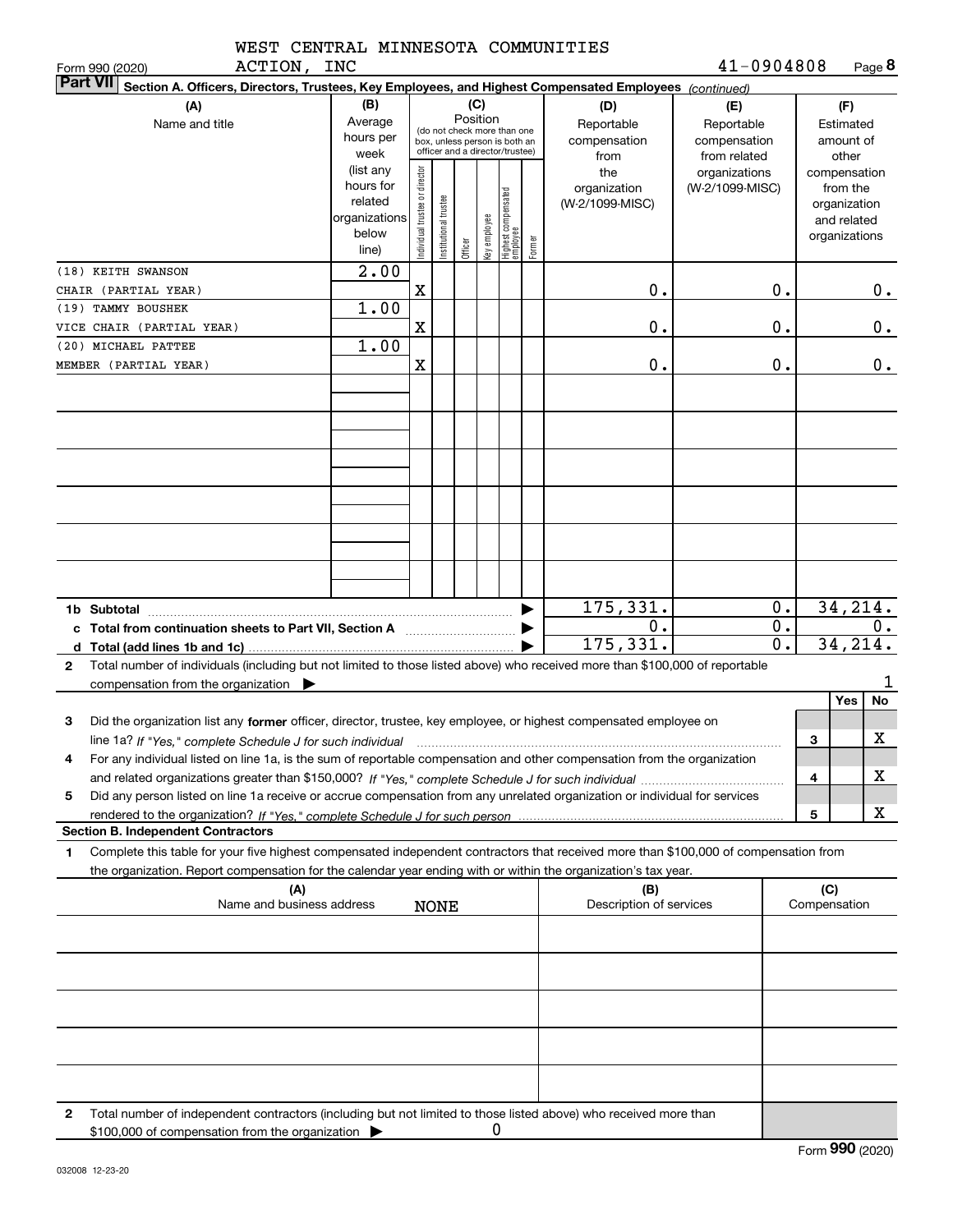|  | WEST CENTRAL MINNESOTA COMMUNITIES |
|--|------------------------------------|
|  |                                    |

ACTION, INC

Form 990 (2020) Page **8** 41-0904808

|              | Part VII Section A. Officers, Directors, Trustees, Key Employees, and Highest Compensated Employees (continued)                      |                        |                                |                                 |         |              |                                 |        |                         |                 |                              |     |                             |           |
|--------------|--------------------------------------------------------------------------------------------------------------------------------------|------------------------|--------------------------------|---------------------------------|---------|--------------|---------------------------------|--------|-------------------------|-----------------|------------------------------|-----|-----------------------------|-----------|
|              | (A)                                                                                                                                  | (B)                    |                                |                                 | (C)     |              |                                 |        | (D)                     | (E)             |                              | (F) |                             |           |
|              | Name and title                                                                                                                       | Average                |                                | (do not check more than one     |         | Position     |                                 |        | Reportable              | Reportable      |                              |     | Estimated                   |           |
|              |                                                                                                                                      | hours per              |                                | box, unless person is both an   |         |              |                                 |        | compensation            | compensation    |                              |     | amount of                   |           |
|              |                                                                                                                                      | week                   |                                | officer and a director/trustee) |         |              |                                 |        | from                    | from related    |                              |     | other                       |           |
|              |                                                                                                                                      | (list any<br>hours for |                                |                                 |         |              |                                 |        | the                     | organizations   |                              |     | compensation                |           |
|              |                                                                                                                                      | related                |                                |                                 |         |              |                                 |        | organization            | (W-2/1099-MISC) |                              |     | from the                    |           |
|              |                                                                                                                                      | organizations          |                                |                                 |         |              |                                 |        | (W-2/1099-MISC)         |                 |                              |     | organization<br>and related |           |
|              |                                                                                                                                      | below                  |                                | nstitutional trustee            |         |              |                                 |        |                         |                 |                              |     | organizations               |           |
|              |                                                                                                                                      | line)                  | Individual trustee or director |                                 | Officer | key employee | Highest compensated<br>employee | Former |                         |                 |                              |     |                             |           |
|              | (18) KEITH SWANSON                                                                                                                   | $\overline{2.00}$      |                                |                                 |         |              |                                 |        |                         |                 |                              |     |                             |           |
|              | CHAIR (PARTIAL YEAR)                                                                                                                 |                        | X                              |                                 |         |              |                                 |        | 0.                      |                 | 0.                           |     |                             | 0.        |
|              | (19) TAMMY BOUSHEK                                                                                                                   | 1.00                   |                                |                                 |         |              |                                 |        |                         |                 |                              |     |                             |           |
|              | VICE CHAIR (PARTIAL YEAR)                                                                                                            |                        | X                              |                                 |         |              |                                 |        | 0.                      |                 | 0.                           |     |                             | 0.        |
|              | (20) MICHAEL PATTEE                                                                                                                  | 1.00                   |                                |                                 |         |              |                                 |        |                         |                 |                              |     |                             |           |
|              | MEMBER (PARTIAL YEAR)                                                                                                                |                        | X                              |                                 |         |              |                                 |        | 0.                      |                 | 0.                           |     |                             | 0.        |
|              |                                                                                                                                      |                        |                                |                                 |         |              |                                 |        |                         |                 |                              |     |                             |           |
|              |                                                                                                                                      |                        |                                |                                 |         |              |                                 |        |                         |                 |                              |     |                             |           |
|              |                                                                                                                                      |                        |                                |                                 |         |              |                                 |        |                         |                 |                              |     |                             |           |
|              |                                                                                                                                      |                        |                                |                                 |         |              |                                 |        |                         |                 |                              |     |                             |           |
|              |                                                                                                                                      |                        |                                |                                 |         |              |                                 |        |                         |                 |                              |     |                             |           |
|              |                                                                                                                                      |                        |                                |                                 |         |              |                                 |        |                         |                 |                              |     |                             |           |
|              |                                                                                                                                      |                        |                                |                                 |         |              |                                 |        |                         |                 |                              |     |                             |           |
|              |                                                                                                                                      |                        |                                |                                 |         |              |                                 |        |                         |                 |                              |     |                             |           |
|              |                                                                                                                                      |                        |                                |                                 |         |              |                                 |        |                         |                 |                              |     |                             |           |
|              |                                                                                                                                      |                        |                                |                                 |         |              |                                 |        |                         |                 |                              |     |                             |           |
|              |                                                                                                                                      |                        |                                |                                 |         |              |                                 |        |                         |                 |                              |     |                             |           |
|              | 1b Subtotal                                                                                                                          |                        |                                |                                 |         |              |                                 |        | 175,331.                |                 | 0.                           |     | 34, 214.                    |           |
|              | c Total from continuation sheets to Part VII, Section A [111] [11] Containmental Containment                                         |                        |                                |                                 |         |              |                                 |        | $\mathbf 0$ .           |                 | 0.                           |     |                             | 0.        |
|              |                                                                                                                                      |                        |                                |                                 |         |              |                                 |        | 175,331.                |                 | $\overline{0}$ .<br>34, 214. |     |                             |           |
| $\mathbf{2}$ | Total number of individuals (including but not limited to those listed above) who received more than \$100,000 of reportable         |                        |                                |                                 |         |              |                                 |        |                         |                 |                              |     |                             |           |
|              | compensation from the organization $\blacktriangleright$                                                                             |                        |                                |                                 |         |              |                                 |        |                         |                 |                              |     |                             | 1         |
|              |                                                                                                                                      |                        |                                |                                 |         |              |                                 |        |                         |                 |                              |     | Yes                         | <b>No</b> |
| 3            | Did the organization list any former officer, director, trustee, key employee, or highest compensated employee on                    |                        |                                |                                 |         |              |                                 |        |                         |                 |                              |     |                             |           |
|              | line 1a? If "Yes," complete Schedule J for such individual                                                                           |                        |                                |                                 |         |              |                                 |        |                         |                 |                              | 3   |                             | x         |
| 4            | For any individual listed on line 1a, is the sum of reportable compensation and other compensation from the organization             |                        |                                |                                 |         |              |                                 |        |                         |                 |                              |     |                             |           |
|              |                                                                                                                                      |                        |                                |                                 |         |              |                                 |        |                         |                 |                              | 4   |                             | X         |
| 5            | Did any person listed on line 1a receive or accrue compensation from any unrelated organization or individual for services           |                        |                                |                                 |         |              |                                 |        |                         |                 |                              |     |                             |           |
|              |                                                                                                                                      |                        |                                |                                 |         |              |                                 |        |                         |                 |                              | 5   |                             | x         |
|              | <b>Section B. Independent Contractors</b>                                                                                            |                        |                                |                                 |         |              |                                 |        |                         |                 |                              |     |                             |           |
| 1            | Complete this table for your five highest compensated independent contractors that received more than \$100,000 of compensation from |                        |                                |                                 |         |              |                                 |        |                         |                 |                              |     |                             |           |
|              | the organization. Report compensation for the calendar year ending with or within the organization's tax year.                       |                        |                                |                                 |         |              |                                 |        |                         |                 |                              |     |                             |           |
|              | (A)                                                                                                                                  |                        |                                |                                 |         |              |                                 |        | (B)                     |                 |                              | (C) | Compensation                |           |
|              | Name and business address                                                                                                            |                        |                                | <b>NONE</b>                     |         |              |                                 |        | Description of services |                 |                              |     |                             |           |
|              |                                                                                                                                      |                        |                                |                                 |         |              |                                 |        |                         |                 |                              |     |                             |           |
|              |                                                                                                                                      |                        |                                |                                 |         |              |                                 |        |                         |                 |                              |     |                             |           |
|              |                                                                                                                                      |                        |                                |                                 |         |              |                                 |        |                         |                 |                              |     |                             |           |
|              |                                                                                                                                      |                        |                                |                                 |         |              |                                 |        |                         |                 |                              |     |                             |           |
|              |                                                                                                                                      |                        |                                |                                 |         |              |                                 |        |                         |                 |                              |     |                             |           |
|              |                                                                                                                                      |                        |                                |                                 |         |              |                                 |        |                         |                 |                              |     |                             |           |
|              |                                                                                                                                      |                        |                                |                                 |         |              |                                 |        |                         |                 |                              |     |                             |           |
|              |                                                                                                                                      |                        |                                |                                 |         |              |                                 |        |                         |                 |                              |     |                             |           |
| 2            | Total number of independent contractors (including but not limited to those listed above) who received more than                     |                        |                                |                                 |         |              |                                 |        |                         |                 |                              |     |                             |           |
|              | \$100,000 of compensation from the organization                                                                                      |                        |                                |                                 |         | 0            |                                 |        |                         |                 |                              |     |                             |           |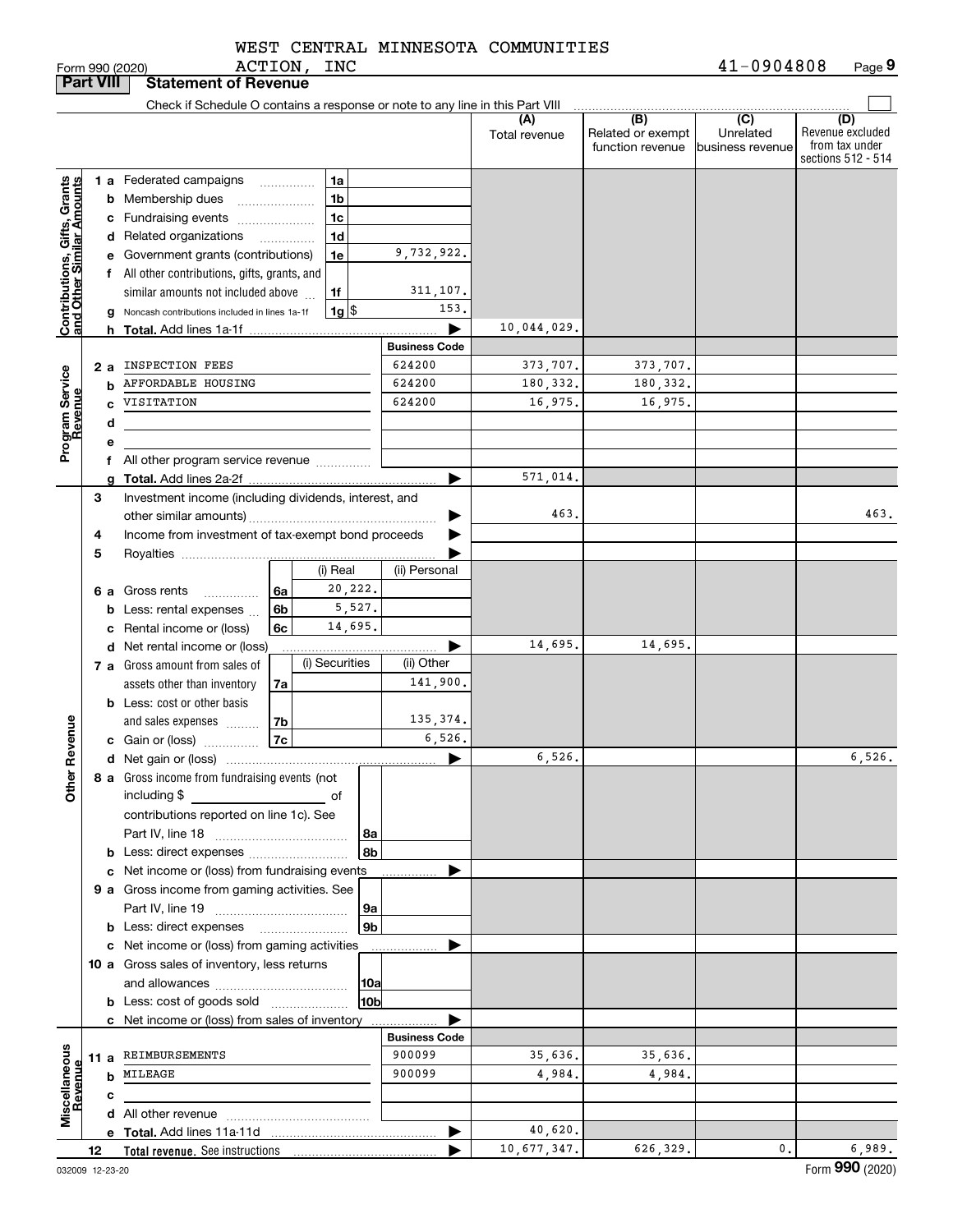ACTION, INC

|                                                           | <b>Part VIII</b> |                                                    | <b>Statement of Revenue</b>                                                   |    |                    |                      |                      |                                              |                                                 |                                                                 |
|-----------------------------------------------------------|------------------|----------------------------------------------------|-------------------------------------------------------------------------------|----|--------------------|----------------------|----------------------|----------------------------------------------|-------------------------------------------------|-----------------------------------------------------------------|
|                                                           |                  |                                                    | Check if Schedule O contains a response or note to any line in this Part VIII |    |                    |                      |                      |                                              |                                                 |                                                                 |
|                                                           |                  |                                                    |                                                                               |    |                    |                      | (A)<br>Total revenue | (B)<br>Related or exempt<br>function revenue | $\overline{C}$<br>Unrelated<br>business revenue | (D)<br>Revenue excluded<br>from tax under<br>sections 512 - 514 |
|                                                           |                  |                                                    | 1 a Federated campaigns                                                       | .  | 1a                 |                      |                      |                                              |                                                 |                                                                 |
|                                                           |                  |                                                    | <b>b</b> Membership dues                                                      |    | 1b                 |                      |                      |                                              |                                                 |                                                                 |
|                                                           |                  |                                                    | c Fundraising events                                                          |    | 1c                 |                      |                      |                                              |                                                 |                                                                 |
|                                                           |                  |                                                    | d Related organizations                                                       |    | 1 <sub>d</sub>     |                      |                      |                                              |                                                 |                                                                 |
|                                                           |                  |                                                    | e Government grants (contributions)                                           |    | 1e                 | 9,732,922.           |                      |                                              |                                                 |                                                                 |
|                                                           |                  |                                                    | f All other contributions, gifts, grants, and                                 |    |                    |                      |                      |                                              |                                                 |                                                                 |
|                                                           |                  |                                                    | similar amounts not included above                                            |    | 1f                 | 311,107.             |                      |                                              |                                                 |                                                                 |
| Contributions, Gifts, Grants<br>and Other Similar Amounts |                  |                                                    | g Noncash contributions included in lines 1a-1f                               |    | $1g$ $\frac{1}{3}$ | 153.                 |                      |                                              |                                                 |                                                                 |
|                                                           |                  |                                                    |                                                                               |    |                    | ▶                    | 10,044,029.          |                                              |                                                 |                                                                 |
|                                                           |                  |                                                    |                                                                               |    |                    | <b>Business Code</b> |                      |                                              |                                                 |                                                                 |
|                                                           | 2 a              |                                                    | INSPECTION FEES                                                               |    |                    | 624200               | 373,707.             | 373,707.                                     |                                                 |                                                                 |
| Program Service<br>Revenue                                |                  | b                                                  | AFFORDABLE HOUSING                                                            |    |                    | 624200               | 180,332.             | 180,332.                                     |                                                 |                                                                 |
|                                                           |                  | C                                                  | VISITATION                                                                    |    |                    | 624200               | 16,975.              | 16,975.                                      |                                                 |                                                                 |
|                                                           |                  | d                                                  |                                                                               |    |                    |                      |                      |                                              |                                                 |                                                                 |
|                                                           |                  | е                                                  |                                                                               |    |                    |                      |                      |                                              |                                                 |                                                                 |
|                                                           |                  |                                                    | f All other program service revenue                                           |    |                    | ▶                    | 571,014.             |                                              |                                                 |                                                                 |
|                                                           | 3                | a                                                  | Investment income (including dividends, interest, and                         |    |                    |                      |                      |                                              |                                                 |                                                                 |
|                                                           |                  |                                                    |                                                                               |    |                    | ▶                    | 463.                 |                                              |                                                 | 463.                                                            |
|                                                           | 4                |                                                    |                                                                               |    |                    |                      |                      |                                              |                                                 |                                                                 |
|                                                           | 5                | Income from investment of tax-exempt bond proceeds |                                                                               |    |                    |                      |                      |                                              |                                                 |                                                                 |
|                                                           |                  |                                                    |                                                                               |    | (i) Real           | (ii) Personal        |                      |                                              |                                                 |                                                                 |
|                                                           |                  |                                                    | 6 a Gross rents<br>.                                                          | 6a | 20,222.            |                      |                      |                                              |                                                 |                                                                 |
|                                                           |                  |                                                    | <b>b</b> Less: rental expenses                                                | 6b | 5,527.             |                      |                      |                                              |                                                 |                                                                 |
|                                                           |                  |                                                    | c Rental income or (loss)                                                     | 6c | 14,695.            |                      |                      |                                              |                                                 |                                                                 |
|                                                           |                  |                                                    | d Net rental income or (loss)                                                 |    |                    | ▶                    | 14,695.              | 14,695.                                      |                                                 |                                                                 |
|                                                           |                  |                                                    | 7 a Gross amount from sales of                                                |    | (i) Securities     | (ii) Other           |                      |                                              |                                                 |                                                                 |
|                                                           |                  |                                                    | assets other than inventory                                                   | 7a |                    | 141,900.             |                      |                                              |                                                 |                                                                 |
|                                                           |                  |                                                    | <b>b</b> Less: cost or other basis                                            |    |                    |                      |                      |                                              |                                                 |                                                                 |
|                                                           |                  |                                                    | and sales expenses                                                            | 7b |                    | 135,374.             |                      |                                              |                                                 |                                                                 |
| Revenue                                                   |                  |                                                    | c Gain or (loss)                                                              | 7c |                    | 6,526.               | 6,526.               |                                              |                                                 |                                                                 |
| 늦                                                         |                  |                                                    |                                                                               |    |                    | ▶                    |                      |                                              |                                                 | 6,526.                                                          |
| <b>Other</b>                                              |                  |                                                    | 8 a Gross income from fundraising events (not<br>including \$                 |    | оf                 |                      |                      |                                              |                                                 |                                                                 |
|                                                           |                  |                                                    | contributions reported on line 1c). See                                       |    |                    |                      |                      |                                              |                                                 |                                                                 |
|                                                           |                  |                                                    |                                                                               |    | 8a                 |                      |                      |                                              |                                                 |                                                                 |
|                                                           |                  |                                                    |                                                                               |    | 8b                 |                      |                      |                                              |                                                 |                                                                 |
|                                                           |                  |                                                    | c Net income or (loss) from fundraising events                                |    |                    |                      |                      |                                              |                                                 |                                                                 |
|                                                           |                  |                                                    | 9 a Gross income from gaming activities. See                                  |    |                    |                      |                      |                                              |                                                 |                                                                 |
|                                                           |                  |                                                    |                                                                               |    | 9a                 |                      |                      |                                              |                                                 |                                                                 |
|                                                           |                  |                                                    | <b>b</b> Less: direct expenses                                                |    | 9 <sub>b</sub>     |                      |                      |                                              |                                                 |                                                                 |
|                                                           |                  |                                                    | c Net income or (loss) from gaming activities                                 |    |                    |                      |                      |                                              |                                                 |                                                                 |
|                                                           |                  |                                                    | 10 a Gross sales of inventory, less returns                                   |    |                    |                      |                      |                                              |                                                 |                                                                 |
|                                                           |                  |                                                    |                                                                               |    | 10a                |                      |                      |                                              |                                                 |                                                                 |
|                                                           |                  |                                                    | <b>b</b> Less: cost of goods sold                                             |    | 10bl               |                      |                      |                                              |                                                 |                                                                 |
|                                                           |                  |                                                    | c Net income or (loss) from sales of inventory                                |    |                    |                      |                      |                                              |                                                 |                                                                 |
|                                                           |                  |                                                    |                                                                               |    |                    | <b>Business Code</b> |                      |                                              |                                                 |                                                                 |
|                                                           |                  |                                                    | 11 a REIMBURSEMENTS<br><b>b</b> MILEAGE                                       |    |                    | 900099<br>900099     | 35,636.<br>4,984.    | 35,636.                                      |                                                 |                                                                 |
|                                                           |                  |                                                    |                                                                               |    |                    |                      |                      | 4,984.                                       |                                                 |                                                                 |
| Miscellaneous<br>Revenue                                  |                  | с                                                  |                                                                               |    |                    |                      |                      |                                              |                                                 |                                                                 |
|                                                           |                  |                                                    |                                                                               |    |                    | ▶                    | 40,620.              |                                              |                                                 |                                                                 |
|                                                           | 12               |                                                    |                                                                               |    |                    |                      | 10,677,347.          | 626,329.                                     | 0.                                              | 6,989.                                                          |
|                                                           |                  |                                                    |                                                                               |    |                    |                      |                      |                                              |                                                 |                                                                 |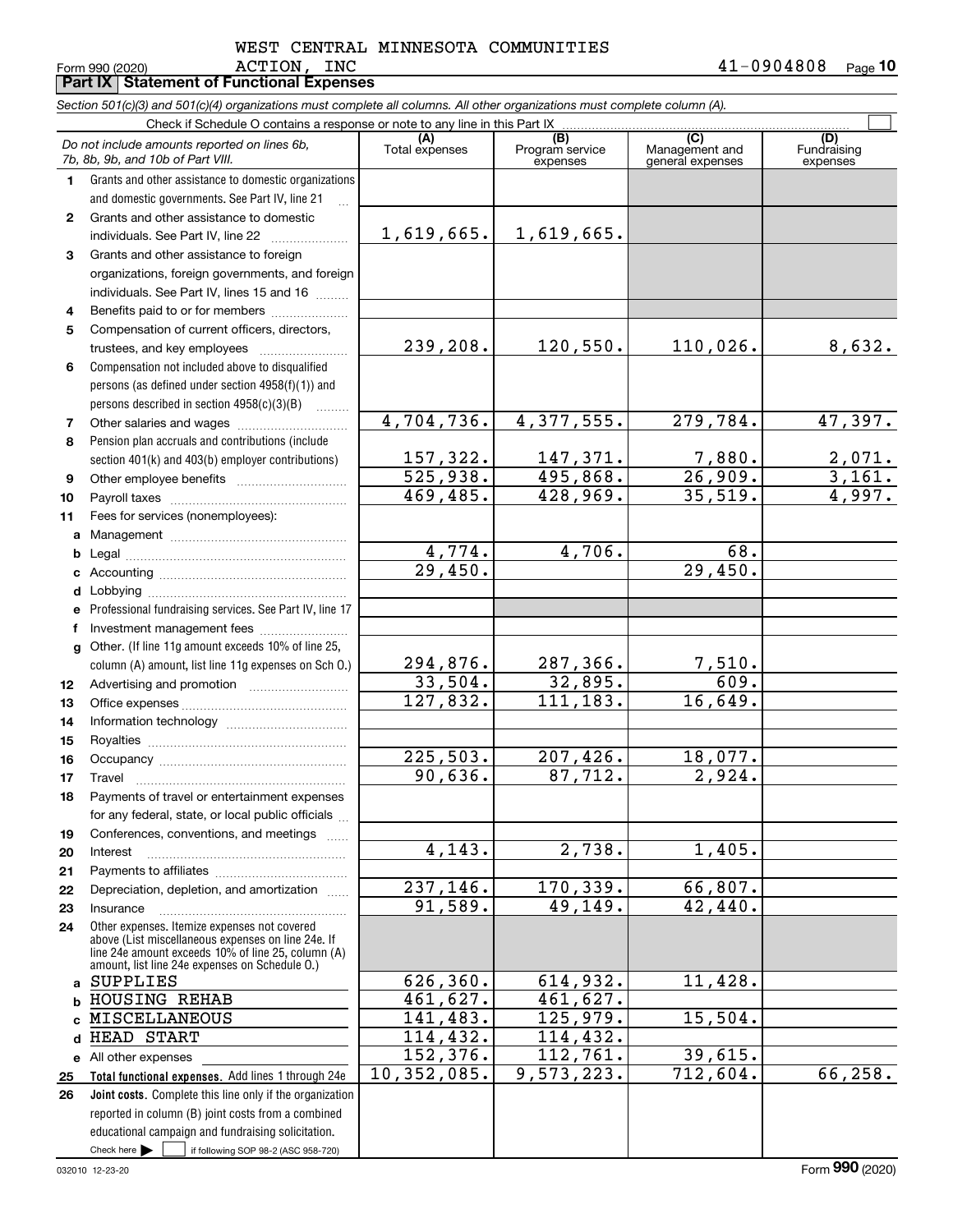### $\texttt{ACTION}$ ,  $\texttt{INC}$  and  $\texttt{A1-0904808}$ WEST CENTRAL MINNESOTA COMMUNITIES

|              | Form 990 (2020)<br>ACTION,<br>TMC<br><b>Part IX   Statement of Functional Expenses</b>                                                                                                                     |                        |                                    | $41 - 0904808$                            | Page 10                        |
|--------------|------------------------------------------------------------------------------------------------------------------------------------------------------------------------------------------------------------|------------------------|------------------------------------|-------------------------------------------|--------------------------------|
|              | Section 501(c)(3) and 501(c)(4) organizations must complete all columns. All other organizations must complete column (A).                                                                                 |                        |                                    |                                           |                                |
|              | Check if Schedule O contains a response or note to any line in this Part IX                                                                                                                                |                        |                                    |                                           |                                |
|              | Do not include amounts reported on lines 6b,<br>7b, 8b, 9b, and 10b of Part VIII.                                                                                                                          | (A)<br>Total expenses  | (B)<br>Program service<br>expenses | (C)<br>Management and<br>general expenses | (D)<br>Fundraising<br>expenses |
| 1.           | Grants and other assistance to domestic organizations                                                                                                                                                      |                        |                                    |                                           |                                |
|              | and domestic governments. See Part IV, line 21                                                                                                                                                             |                        |                                    |                                           |                                |
| $\mathbf{2}$ | Grants and other assistance to domestic                                                                                                                                                                    |                        |                                    |                                           |                                |
|              | individuals. See Part IV, line 22                                                                                                                                                                          | 1,619,665.             | $1,619,665$ .                      |                                           |                                |
| 3            | Grants and other assistance to foreign                                                                                                                                                                     |                        |                                    |                                           |                                |
|              | organizations, foreign governments, and foreign                                                                                                                                                            |                        |                                    |                                           |                                |
|              | individuals. See Part IV, lines 15 and 16                                                                                                                                                                  |                        |                                    |                                           |                                |
| 4            | Benefits paid to or for members                                                                                                                                                                            |                        |                                    |                                           |                                |
| 5            | Compensation of current officers, directors,                                                                                                                                                               |                        |                                    |                                           |                                |
|              |                                                                                                                                                                                                            | 239,208.               | 120,550.                           | 110,026.                                  | 8,632.                         |
| 6            | Compensation not included above to disqualified                                                                                                                                                            |                        |                                    |                                           |                                |
|              | persons (as defined under section 4958(f)(1)) and                                                                                                                                                          |                        |                                    |                                           |                                |
|              | persons described in section $4958(c)(3)(B)$<br>a a bhailtean                                                                                                                                              | 4,704,736.             | 4,377,555.                         | 279, 784.                                 | 47,397.                        |
| 7<br>8       | Pension plan accruals and contributions (include                                                                                                                                                           |                        |                                    |                                           |                                |
|              | section 401(k) and 403(b) employer contributions)                                                                                                                                                          | 157,322.               | 147,371.                           | 7,880.                                    |                                |
| 9            |                                                                                                                                                                                                            | 525,938.               | 495,868.                           | 26,909.                                   | $\frac{2,071}{3,161}$          |
| 10           |                                                                                                                                                                                                            | 469,485.               | 428,969.                           | 35,519.                                   | 4,997.                         |
| 11           | Fees for services (nonemployees):                                                                                                                                                                          |                        |                                    |                                           |                                |
|              |                                                                                                                                                                                                            |                        |                                    |                                           |                                |
| b            |                                                                                                                                                                                                            | 4,774.                 | 4,706.                             | 68.                                       |                                |
| c            |                                                                                                                                                                                                            | $\overline{29,450}$ .  |                                    | 29,450.                                   |                                |
|              |                                                                                                                                                                                                            |                        |                                    |                                           |                                |
| е            | Professional fundraising services. See Part IV, line 17                                                                                                                                                    |                        |                                    |                                           |                                |
| f            | Investment management fees                                                                                                                                                                                 |                        |                                    |                                           |                                |
|              | g Other. (If line 11g amount exceeds 10% of line 25,                                                                                                                                                       |                        |                                    |                                           |                                |
|              | column (A) amount, list line 11g expenses on Sch O.)                                                                                                                                                       | 294,876.               | 287,366.                           | 7,510.                                    |                                |
| 12           |                                                                                                                                                                                                            | 33,504.                | 32,895.                            | 609.                                      |                                |
| 13           |                                                                                                                                                                                                            | 127,832.               | 111,183.                           | 16,649.                                   |                                |
| 14           |                                                                                                                                                                                                            |                        |                                    |                                           |                                |
| 15           |                                                                                                                                                                                                            | $\overline{225,503}$ . | 207,426.                           | 18,077.                                   |                                |
| 16<br>17     | Occupancy<br>Travel                                                                                                                                                                                        | 90,636.                | 87,712.                            | 2,924.                                    |                                |
| 18           | Payments of travel or entertainment expenses                                                                                                                                                               |                        |                                    |                                           |                                |
|              | for any federal, state, or local public officials                                                                                                                                                          |                        |                                    |                                           |                                |
| 19           | Conferences, conventions, and meetings                                                                                                                                                                     |                        |                                    |                                           |                                |
| 20           | Interest                                                                                                                                                                                                   | 4,143.                 | 2,738.                             | 1,405.                                    |                                |
| 21           |                                                                                                                                                                                                            |                        |                                    |                                           |                                |
| 22           | Depreciation, depletion, and amortization                                                                                                                                                                  | 237,146.               | 170,339.                           | 66,807.                                   |                                |
| 23           | Insurance                                                                                                                                                                                                  | 91,589.                | 49,149.                            | 42,440.                                   |                                |
| 24           | Other expenses. Itemize expenses not covered<br>above (List miscellaneous expenses on line 24e. If<br>line 24e amount exceeds 10% of line 25, column (A)<br>amount, list line 24e expenses on Schedule 0.) |                        |                                    |                                           |                                |
| a            | <b>SUPPLIES</b>                                                                                                                                                                                            | 626,360.               | 614,932.                           | 11,428.                                   |                                |
|              | HOUSING REHAB                                                                                                                                                                                              | 461,627.               | 461, 627.                          |                                           |                                |
|              | MISCELLANEOUS                                                                                                                                                                                              | 141,483.               | 125,979.                           | 15,504.                                   |                                |
|              | HEAD START                                                                                                                                                                                                 | 114,432.               | 114,432.                           |                                           |                                |
|              | e All other expenses                                                                                                                                                                                       | 152,376.               | 112,761.                           | 39,615.                                   |                                |
| 25           | Total functional expenses. Add lines 1 through 24e                                                                                                                                                         | 10,352,085.            | 9,573,223.                         | 712,604.                                  | 66, 258.                       |
| 26           | Joint costs. Complete this line only if the organization<br>reported in column (B) joint costs from a combined                                                                                             |                        |                                    |                                           |                                |

Check here  $\blacktriangleright$ 

Check here  $\bullet$  if following SOP 98-2 (ASC 958-720)

educational campaign and fundraising solicitation.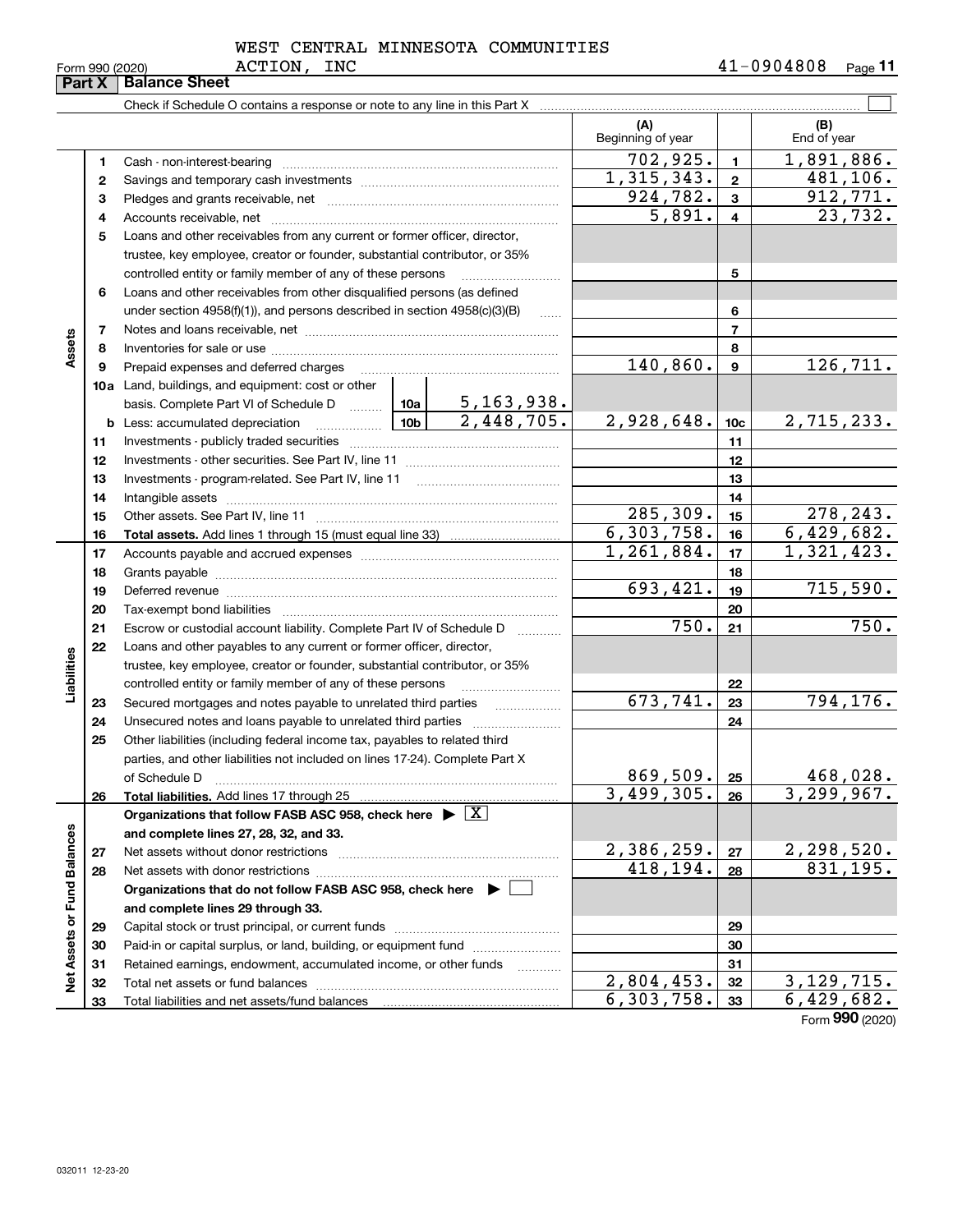| Form 990 (2020 |  |
|----------------|--|
|                |  |

# ACTION, INC WEST CENTRAL MINNESOTA COMMUNITIES

| Part X<br>Check if Schedule O contains a response or note to any line in this Part X [11] manufacture in this Part X [11] manufacture in this Part X [11] manufacture in this Part X [11] manufacture in this Part X [11] manufacture in<br>(A)<br>(B)<br>Beginning of year<br>End of year<br>702,925.<br>$\overline{1,891},886.$<br>$\mathbf{1}$<br>1<br>1,315,343.<br>$\mathbf{2}$<br>2<br>924,782.<br>3<br>з<br>5,891.<br>$\overline{4}$<br>4<br>Loans and other receivables from any current or former officer, director,<br>5<br>trustee, key employee, creator or founder, substantial contributor, or 35%<br>5<br>controlled entity or family member of any of these persons<br>Loans and other receivables from other disqualified persons (as defined<br>6<br>under section $4958(f)(1)$ , and persons described in section $4958(c)(3)(B)$<br>6<br>$\ldots$<br>$\overline{7}$<br>7<br>Assets<br>8<br>8<br>140,860.<br>126,711.<br>$\boldsymbol{9}$<br>Prepaid expenses and deferred charges<br>9<br>10a Land, buildings, and equipment: cost or other<br>basis. Complete Part VI of Schedule D $\frac{10a}{\cdots}$ 10a   5, 163, 938.<br>2,448,705.<br>2,928,648.<br>2,715,233.<br><u>  10b</u>  <br>10 <sub>c</sub><br><b>b</b> Less: accumulated depreciation<br>11<br>11<br>12<br>12<br>Investments - program-related. See Part IV, line 11<br>13<br>13<br>Intangible assets with the continuum control of the control of the control of the control of the control of the control of the control of the control of the control of the control of the control of the control of the contr<br>14<br>14<br>$\overline{285,309}$ .<br>278, 243.<br>15<br>15<br>6, 303, 758.<br>6,429,682.<br>16<br>16<br>1,261,884.<br>1,321,423.<br>17<br>17<br>18<br>18<br>693,421.<br>715,590.<br>19<br>Deferred revenue manual contracts and contracts are contracted and contract and contract are contracted and contract are contracted and contract are contracted and contract are contracted and contract are contracted and co<br>19<br>20<br>20<br>$\overline{750}$ .<br>21<br>21<br>Escrow or custodial account liability. Complete Part IV of Schedule D<br>1.1.1.1.1.1.1.1.1<br>Loans and other payables to any current or former officer, director,<br>22<br>Liabilities<br>trustee, key employee, creator or founder, substantial contributor, or 35%<br>controlled entity or family member of any of these persons<br>22<br>673,741.<br>794,176.<br>23<br>Secured mortgages and notes payable to unrelated third parties<br>23<br>24<br>24<br>25<br>Other liabilities (including federal income tax, payables to related third<br>parties, and other liabilities not included on lines 17-24). Complete Part X<br><u>869,509.</u><br>$\frac{468,028}{3,299,967}$<br>25<br>of Schedule D<br>3,499,305.<br>26<br>Total liabilities. Add lines 17 through 25<br>26<br>Organizations that follow FASB ASC 958, check here $\blacktriangleright \boxed{X}$<br>Net Assets or Fund Balances<br>and complete lines 27, 28, 32, and 33.<br>$\frac{2,386,259.}{418,194.}$<br>$\frac{2,298,520}{831,195}$<br>27<br>Net assets without donor restrictions<br>27<br>28<br>28<br>Organizations that do not follow FASB ASC 958, check here $\blacktriangleright$<br>and complete lines 29 through 33.<br>29<br>29<br>Paid-in or capital surplus, or land, building, or equipment fund<br>30<br>30<br>Retained earnings, endowment, accumulated income, or other funds<br>31<br>31<br>.<br>2,804,453.<br>32<br>32<br>6, 303, 758.<br>6,429,682.<br>33<br>33 | Form 990 (2020) | ACTION,<br>INC       |  |  |  | $41 - 0904808$<br><u>Page</u> 11 |
|-----------------------------------------------------------------------------------------------------------------------------------------------------------------------------------------------------------------------------------------------------------------------------------------------------------------------------------------------------------------------------------------------------------------------------------------------------------------------------------------------------------------------------------------------------------------------------------------------------------------------------------------------------------------------------------------------------------------------------------------------------------------------------------------------------------------------------------------------------------------------------------------------------------------------------------------------------------------------------------------------------------------------------------------------------------------------------------------------------------------------------------------------------------------------------------------------------------------------------------------------------------------------------------------------------------------------------------------------------------------------------------------------------------------------------------------------------------------------------------------------------------------------------------------------------------------------------------------------------------------------------------------------------------------------------------------------------------------------------------------------------------------------------------------------------------------------------------------------------------------------------------------------------------------------------------------------------------------------------------------------------------------------------------------------------------------------------------------------------------------------------------------------------------------------------------------------------------------------------------------------------------------------------------------------------------------------------------------------------------------------------------------------------------------------------------------------------------------------------------------------------------------------------------------------------------------------------------------------------------------------------------------------------------------------------------------------------------------------------------------------------------------------------------------------------------------------------------------------------------------------------------------------------------------------------------------------------------------------------------------------------------------------------------------------------------------------------------------------------------------------------------------------------------------------------------------------------------------------------------------------------------------------------------------------------------------------------------------------------------------------------------------------------------------------------------------------------------------------------------------------------------------------------------------------------------|-----------------|----------------------|--|--|--|----------------------------------|
|                                                                                                                                                                                                                                                                                                                                                                                                                                                                                                                                                                                                                                                                                                                                                                                                                                                                                                                                                                                                                                                                                                                                                                                                                                                                                                                                                                                                                                                                                                                                                                                                                                                                                                                                                                                                                                                                                                                                                                                                                                                                                                                                                                                                                                                                                                                                                                                                                                                                                                                                                                                                                                                                                                                                                                                                                                                                                                                                                                                                                                                                                                                                                                                                                                                                                                                                                                                                                                                                                                                                                           |                 | <b>Balance Sheet</b> |  |  |  |                                  |
|                                                                                                                                                                                                                                                                                                                                                                                                                                                                                                                                                                                                                                                                                                                                                                                                                                                                                                                                                                                                                                                                                                                                                                                                                                                                                                                                                                                                                                                                                                                                                                                                                                                                                                                                                                                                                                                                                                                                                                                                                                                                                                                                                                                                                                                                                                                                                                                                                                                                                                                                                                                                                                                                                                                                                                                                                                                                                                                                                                                                                                                                                                                                                                                                                                                                                                                                                                                                                                                                                                                                                           |                 |                      |  |  |  |                                  |
|                                                                                                                                                                                                                                                                                                                                                                                                                                                                                                                                                                                                                                                                                                                                                                                                                                                                                                                                                                                                                                                                                                                                                                                                                                                                                                                                                                                                                                                                                                                                                                                                                                                                                                                                                                                                                                                                                                                                                                                                                                                                                                                                                                                                                                                                                                                                                                                                                                                                                                                                                                                                                                                                                                                                                                                                                                                                                                                                                                                                                                                                                                                                                                                                                                                                                                                                                                                                                                                                                                                                                           |                 |                      |  |  |  |                                  |
|                                                                                                                                                                                                                                                                                                                                                                                                                                                                                                                                                                                                                                                                                                                                                                                                                                                                                                                                                                                                                                                                                                                                                                                                                                                                                                                                                                                                                                                                                                                                                                                                                                                                                                                                                                                                                                                                                                                                                                                                                                                                                                                                                                                                                                                                                                                                                                                                                                                                                                                                                                                                                                                                                                                                                                                                                                                                                                                                                                                                                                                                                                                                                                                                                                                                                                                                                                                                                                                                                                                                                           |                 |                      |  |  |  |                                  |
|                                                                                                                                                                                                                                                                                                                                                                                                                                                                                                                                                                                                                                                                                                                                                                                                                                                                                                                                                                                                                                                                                                                                                                                                                                                                                                                                                                                                                                                                                                                                                                                                                                                                                                                                                                                                                                                                                                                                                                                                                                                                                                                                                                                                                                                                                                                                                                                                                                                                                                                                                                                                                                                                                                                                                                                                                                                                                                                                                                                                                                                                                                                                                                                                                                                                                                                                                                                                                                                                                                                                                           |                 |                      |  |  |  | 481,106.                         |
|                                                                                                                                                                                                                                                                                                                                                                                                                                                                                                                                                                                                                                                                                                                                                                                                                                                                                                                                                                                                                                                                                                                                                                                                                                                                                                                                                                                                                                                                                                                                                                                                                                                                                                                                                                                                                                                                                                                                                                                                                                                                                                                                                                                                                                                                                                                                                                                                                                                                                                                                                                                                                                                                                                                                                                                                                                                                                                                                                                                                                                                                                                                                                                                                                                                                                                                                                                                                                                                                                                                                                           |                 |                      |  |  |  | 912,771.                         |
|                                                                                                                                                                                                                                                                                                                                                                                                                                                                                                                                                                                                                                                                                                                                                                                                                                                                                                                                                                                                                                                                                                                                                                                                                                                                                                                                                                                                                                                                                                                                                                                                                                                                                                                                                                                                                                                                                                                                                                                                                                                                                                                                                                                                                                                                                                                                                                                                                                                                                                                                                                                                                                                                                                                                                                                                                                                                                                                                                                                                                                                                                                                                                                                                                                                                                                                                                                                                                                                                                                                                                           |                 |                      |  |  |  | 23,732.                          |
|                                                                                                                                                                                                                                                                                                                                                                                                                                                                                                                                                                                                                                                                                                                                                                                                                                                                                                                                                                                                                                                                                                                                                                                                                                                                                                                                                                                                                                                                                                                                                                                                                                                                                                                                                                                                                                                                                                                                                                                                                                                                                                                                                                                                                                                                                                                                                                                                                                                                                                                                                                                                                                                                                                                                                                                                                                                                                                                                                                                                                                                                                                                                                                                                                                                                                                                                                                                                                                                                                                                                                           |                 |                      |  |  |  |                                  |
|                                                                                                                                                                                                                                                                                                                                                                                                                                                                                                                                                                                                                                                                                                                                                                                                                                                                                                                                                                                                                                                                                                                                                                                                                                                                                                                                                                                                                                                                                                                                                                                                                                                                                                                                                                                                                                                                                                                                                                                                                                                                                                                                                                                                                                                                                                                                                                                                                                                                                                                                                                                                                                                                                                                                                                                                                                                                                                                                                                                                                                                                                                                                                                                                                                                                                                                                                                                                                                                                                                                                                           |                 |                      |  |  |  |                                  |
|                                                                                                                                                                                                                                                                                                                                                                                                                                                                                                                                                                                                                                                                                                                                                                                                                                                                                                                                                                                                                                                                                                                                                                                                                                                                                                                                                                                                                                                                                                                                                                                                                                                                                                                                                                                                                                                                                                                                                                                                                                                                                                                                                                                                                                                                                                                                                                                                                                                                                                                                                                                                                                                                                                                                                                                                                                                                                                                                                                                                                                                                                                                                                                                                                                                                                                                                                                                                                                                                                                                                                           |                 |                      |  |  |  |                                  |
|                                                                                                                                                                                                                                                                                                                                                                                                                                                                                                                                                                                                                                                                                                                                                                                                                                                                                                                                                                                                                                                                                                                                                                                                                                                                                                                                                                                                                                                                                                                                                                                                                                                                                                                                                                                                                                                                                                                                                                                                                                                                                                                                                                                                                                                                                                                                                                                                                                                                                                                                                                                                                                                                                                                                                                                                                                                                                                                                                                                                                                                                                                                                                                                                                                                                                                                                                                                                                                                                                                                                                           |                 |                      |  |  |  |                                  |
|                                                                                                                                                                                                                                                                                                                                                                                                                                                                                                                                                                                                                                                                                                                                                                                                                                                                                                                                                                                                                                                                                                                                                                                                                                                                                                                                                                                                                                                                                                                                                                                                                                                                                                                                                                                                                                                                                                                                                                                                                                                                                                                                                                                                                                                                                                                                                                                                                                                                                                                                                                                                                                                                                                                                                                                                                                                                                                                                                                                                                                                                                                                                                                                                                                                                                                                                                                                                                                                                                                                                                           |                 |                      |  |  |  |                                  |
|                                                                                                                                                                                                                                                                                                                                                                                                                                                                                                                                                                                                                                                                                                                                                                                                                                                                                                                                                                                                                                                                                                                                                                                                                                                                                                                                                                                                                                                                                                                                                                                                                                                                                                                                                                                                                                                                                                                                                                                                                                                                                                                                                                                                                                                                                                                                                                                                                                                                                                                                                                                                                                                                                                                                                                                                                                                                                                                                                                                                                                                                                                                                                                                                                                                                                                                                                                                                                                                                                                                                                           |                 |                      |  |  |  |                                  |
|                                                                                                                                                                                                                                                                                                                                                                                                                                                                                                                                                                                                                                                                                                                                                                                                                                                                                                                                                                                                                                                                                                                                                                                                                                                                                                                                                                                                                                                                                                                                                                                                                                                                                                                                                                                                                                                                                                                                                                                                                                                                                                                                                                                                                                                                                                                                                                                                                                                                                                                                                                                                                                                                                                                                                                                                                                                                                                                                                                                                                                                                                                                                                                                                                                                                                                                                                                                                                                                                                                                                                           |                 |                      |  |  |  |                                  |
|                                                                                                                                                                                                                                                                                                                                                                                                                                                                                                                                                                                                                                                                                                                                                                                                                                                                                                                                                                                                                                                                                                                                                                                                                                                                                                                                                                                                                                                                                                                                                                                                                                                                                                                                                                                                                                                                                                                                                                                                                                                                                                                                                                                                                                                                                                                                                                                                                                                                                                                                                                                                                                                                                                                                                                                                                                                                                                                                                                                                                                                                                                                                                                                                                                                                                                                                                                                                                                                                                                                                                           |                 |                      |  |  |  |                                  |
|                                                                                                                                                                                                                                                                                                                                                                                                                                                                                                                                                                                                                                                                                                                                                                                                                                                                                                                                                                                                                                                                                                                                                                                                                                                                                                                                                                                                                                                                                                                                                                                                                                                                                                                                                                                                                                                                                                                                                                                                                                                                                                                                                                                                                                                                                                                                                                                                                                                                                                                                                                                                                                                                                                                                                                                                                                                                                                                                                                                                                                                                                                                                                                                                                                                                                                                                                                                                                                                                                                                                                           |                 |                      |  |  |  |                                  |
|                                                                                                                                                                                                                                                                                                                                                                                                                                                                                                                                                                                                                                                                                                                                                                                                                                                                                                                                                                                                                                                                                                                                                                                                                                                                                                                                                                                                                                                                                                                                                                                                                                                                                                                                                                                                                                                                                                                                                                                                                                                                                                                                                                                                                                                                                                                                                                                                                                                                                                                                                                                                                                                                                                                                                                                                                                                                                                                                                                                                                                                                                                                                                                                                                                                                                                                                                                                                                                                                                                                                                           |                 |                      |  |  |  |                                  |
|                                                                                                                                                                                                                                                                                                                                                                                                                                                                                                                                                                                                                                                                                                                                                                                                                                                                                                                                                                                                                                                                                                                                                                                                                                                                                                                                                                                                                                                                                                                                                                                                                                                                                                                                                                                                                                                                                                                                                                                                                                                                                                                                                                                                                                                                                                                                                                                                                                                                                                                                                                                                                                                                                                                                                                                                                                                                                                                                                                                                                                                                                                                                                                                                                                                                                                                                                                                                                                                                                                                                                           |                 |                      |  |  |  |                                  |
|                                                                                                                                                                                                                                                                                                                                                                                                                                                                                                                                                                                                                                                                                                                                                                                                                                                                                                                                                                                                                                                                                                                                                                                                                                                                                                                                                                                                                                                                                                                                                                                                                                                                                                                                                                                                                                                                                                                                                                                                                                                                                                                                                                                                                                                                                                                                                                                                                                                                                                                                                                                                                                                                                                                                                                                                                                                                                                                                                                                                                                                                                                                                                                                                                                                                                                                                                                                                                                                                                                                                                           |                 |                      |  |  |  |                                  |
|                                                                                                                                                                                                                                                                                                                                                                                                                                                                                                                                                                                                                                                                                                                                                                                                                                                                                                                                                                                                                                                                                                                                                                                                                                                                                                                                                                                                                                                                                                                                                                                                                                                                                                                                                                                                                                                                                                                                                                                                                                                                                                                                                                                                                                                                                                                                                                                                                                                                                                                                                                                                                                                                                                                                                                                                                                                                                                                                                                                                                                                                                                                                                                                                                                                                                                                                                                                                                                                                                                                                                           |                 |                      |  |  |  |                                  |
|                                                                                                                                                                                                                                                                                                                                                                                                                                                                                                                                                                                                                                                                                                                                                                                                                                                                                                                                                                                                                                                                                                                                                                                                                                                                                                                                                                                                                                                                                                                                                                                                                                                                                                                                                                                                                                                                                                                                                                                                                                                                                                                                                                                                                                                                                                                                                                                                                                                                                                                                                                                                                                                                                                                                                                                                                                                                                                                                                                                                                                                                                                                                                                                                                                                                                                                                                                                                                                                                                                                                                           |                 |                      |  |  |  |                                  |
|                                                                                                                                                                                                                                                                                                                                                                                                                                                                                                                                                                                                                                                                                                                                                                                                                                                                                                                                                                                                                                                                                                                                                                                                                                                                                                                                                                                                                                                                                                                                                                                                                                                                                                                                                                                                                                                                                                                                                                                                                                                                                                                                                                                                                                                                                                                                                                                                                                                                                                                                                                                                                                                                                                                                                                                                                                                                                                                                                                                                                                                                                                                                                                                                                                                                                                                                                                                                                                                                                                                                                           |                 |                      |  |  |  |                                  |
|                                                                                                                                                                                                                                                                                                                                                                                                                                                                                                                                                                                                                                                                                                                                                                                                                                                                                                                                                                                                                                                                                                                                                                                                                                                                                                                                                                                                                                                                                                                                                                                                                                                                                                                                                                                                                                                                                                                                                                                                                                                                                                                                                                                                                                                                                                                                                                                                                                                                                                                                                                                                                                                                                                                                                                                                                                                                                                                                                                                                                                                                                                                                                                                                                                                                                                                                                                                                                                                                                                                                                           |                 |                      |  |  |  |                                  |
|                                                                                                                                                                                                                                                                                                                                                                                                                                                                                                                                                                                                                                                                                                                                                                                                                                                                                                                                                                                                                                                                                                                                                                                                                                                                                                                                                                                                                                                                                                                                                                                                                                                                                                                                                                                                                                                                                                                                                                                                                                                                                                                                                                                                                                                                                                                                                                                                                                                                                                                                                                                                                                                                                                                                                                                                                                                                                                                                                                                                                                                                                                                                                                                                                                                                                                                                                                                                                                                                                                                                                           |                 |                      |  |  |  |                                  |
|                                                                                                                                                                                                                                                                                                                                                                                                                                                                                                                                                                                                                                                                                                                                                                                                                                                                                                                                                                                                                                                                                                                                                                                                                                                                                                                                                                                                                                                                                                                                                                                                                                                                                                                                                                                                                                                                                                                                                                                                                                                                                                                                                                                                                                                                                                                                                                                                                                                                                                                                                                                                                                                                                                                                                                                                                                                                                                                                                                                                                                                                                                                                                                                                                                                                                                                                                                                                                                                                                                                                                           |                 |                      |  |  |  |                                  |
|                                                                                                                                                                                                                                                                                                                                                                                                                                                                                                                                                                                                                                                                                                                                                                                                                                                                                                                                                                                                                                                                                                                                                                                                                                                                                                                                                                                                                                                                                                                                                                                                                                                                                                                                                                                                                                                                                                                                                                                                                                                                                                                                                                                                                                                                                                                                                                                                                                                                                                                                                                                                                                                                                                                                                                                                                                                                                                                                                                                                                                                                                                                                                                                                                                                                                                                                                                                                                                                                                                                                                           |                 |                      |  |  |  |                                  |
|                                                                                                                                                                                                                                                                                                                                                                                                                                                                                                                                                                                                                                                                                                                                                                                                                                                                                                                                                                                                                                                                                                                                                                                                                                                                                                                                                                                                                                                                                                                                                                                                                                                                                                                                                                                                                                                                                                                                                                                                                                                                                                                                                                                                                                                                                                                                                                                                                                                                                                                                                                                                                                                                                                                                                                                                                                                                                                                                                                                                                                                                                                                                                                                                                                                                                                                                                                                                                                                                                                                                                           |                 |                      |  |  |  |                                  |
|                                                                                                                                                                                                                                                                                                                                                                                                                                                                                                                                                                                                                                                                                                                                                                                                                                                                                                                                                                                                                                                                                                                                                                                                                                                                                                                                                                                                                                                                                                                                                                                                                                                                                                                                                                                                                                                                                                                                                                                                                                                                                                                                                                                                                                                                                                                                                                                                                                                                                                                                                                                                                                                                                                                                                                                                                                                                                                                                                                                                                                                                                                                                                                                                                                                                                                                                                                                                                                                                                                                                                           |                 |                      |  |  |  |                                  |
|                                                                                                                                                                                                                                                                                                                                                                                                                                                                                                                                                                                                                                                                                                                                                                                                                                                                                                                                                                                                                                                                                                                                                                                                                                                                                                                                                                                                                                                                                                                                                                                                                                                                                                                                                                                                                                                                                                                                                                                                                                                                                                                                                                                                                                                                                                                                                                                                                                                                                                                                                                                                                                                                                                                                                                                                                                                                                                                                                                                                                                                                                                                                                                                                                                                                                                                                                                                                                                                                                                                                                           |                 |                      |  |  |  | 750.                             |
|                                                                                                                                                                                                                                                                                                                                                                                                                                                                                                                                                                                                                                                                                                                                                                                                                                                                                                                                                                                                                                                                                                                                                                                                                                                                                                                                                                                                                                                                                                                                                                                                                                                                                                                                                                                                                                                                                                                                                                                                                                                                                                                                                                                                                                                                                                                                                                                                                                                                                                                                                                                                                                                                                                                                                                                                                                                                                                                                                                                                                                                                                                                                                                                                                                                                                                                                                                                                                                                                                                                                                           |                 |                      |  |  |  |                                  |
|                                                                                                                                                                                                                                                                                                                                                                                                                                                                                                                                                                                                                                                                                                                                                                                                                                                                                                                                                                                                                                                                                                                                                                                                                                                                                                                                                                                                                                                                                                                                                                                                                                                                                                                                                                                                                                                                                                                                                                                                                                                                                                                                                                                                                                                                                                                                                                                                                                                                                                                                                                                                                                                                                                                                                                                                                                                                                                                                                                                                                                                                                                                                                                                                                                                                                                                                                                                                                                                                                                                                                           |                 |                      |  |  |  |                                  |
|                                                                                                                                                                                                                                                                                                                                                                                                                                                                                                                                                                                                                                                                                                                                                                                                                                                                                                                                                                                                                                                                                                                                                                                                                                                                                                                                                                                                                                                                                                                                                                                                                                                                                                                                                                                                                                                                                                                                                                                                                                                                                                                                                                                                                                                                                                                                                                                                                                                                                                                                                                                                                                                                                                                                                                                                                                                                                                                                                                                                                                                                                                                                                                                                                                                                                                                                                                                                                                                                                                                                                           |                 |                      |  |  |  |                                  |
|                                                                                                                                                                                                                                                                                                                                                                                                                                                                                                                                                                                                                                                                                                                                                                                                                                                                                                                                                                                                                                                                                                                                                                                                                                                                                                                                                                                                                                                                                                                                                                                                                                                                                                                                                                                                                                                                                                                                                                                                                                                                                                                                                                                                                                                                                                                                                                                                                                                                                                                                                                                                                                                                                                                                                                                                                                                                                                                                                                                                                                                                                                                                                                                                                                                                                                                                                                                                                                                                                                                                                           |                 |                      |  |  |  |                                  |
|                                                                                                                                                                                                                                                                                                                                                                                                                                                                                                                                                                                                                                                                                                                                                                                                                                                                                                                                                                                                                                                                                                                                                                                                                                                                                                                                                                                                                                                                                                                                                                                                                                                                                                                                                                                                                                                                                                                                                                                                                                                                                                                                                                                                                                                                                                                                                                                                                                                                                                                                                                                                                                                                                                                                                                                                                                                                                                                                                                                                                                                                                                                                                                                                                                                                                                                                                                                                                                                                                                                                                           |                 |                      |  |  |  |                                  |
|                                                                                                                                                                                                                                                                                                                                                                                                                                                                                                                                                                                                                                                                                                                                                                                                                                                                                                                                                                                                                                                                                                                                                                                                                                                                                                                                                                                                                                                                                                                                                                                                                                                                                                                                                                                                                                                                                                                                                                                                                                                                                                                                                                                                                                                                                                                                                                                                                                                                                                                                                                                                                                                                                                                                                                                                                                                                                                                                                                                                                                                                                                                                                                                                                                                                                                                                                                                                                                                                                                                                                           |                 |                      |  |  |  |                                  |
|                                                                                                                                                                                                                                                                                                                                                                                                                                                                                                                                                                                                                                                                                                                                                                                                                                                                                                                                                                                                                                                                                                                                                                                                                                                                                                                                                                                                                                                                                                                                                                                                                                                                                                                                                                                                                                                                                                                                                                                                                                                                                                                                                                                                                                                                                                                                                                                                                                                                                                                                                                                                                                                                                                                                                                                                                                                                                                                                                                                                                                                                                                                                                                                                                                                                                                                                                                                                                                                                                                                                                           |                 |                      |  |  |  |                                  |
|                                                                                                                                                                                                                                                                                                                                                                                                                                                                                                                                                                                                                                                                                                                                                                                                                                                                                                                                                                                                                                                                                                                                                                                                                                                                                                                                                                                                                                                                                                                                                                                                                                                                                                                                                                                                                                                                                                                                                                                                                                                                                                                                                                                                                                                                                                                                                                                                                                                                                                                                                                                                                                                                                                                                                                                                                                                                                                                                                                                                                                                                                                                                                                                                                                                                                                                                                                                                                                                                                                                                                           |                 |                      |  |  |  |                                  |
|                                                                                                                                                                                                                                                                                                                                                                                                                                                                                                                                                                                                                                                                                                                                                                                                                                                                                                                                                                                                                                                                                                                                                                                                                                                                                                                                                                                                                                                                                                                                                                                                                                                                                                                                                                                                                                                                                                                                                                                                                                                                                                                                                                                                                                                                                                                                                                                                                                                                                                                                                                                                                                                                                                                                                                                                                                                                                                                                                                                                                                                                                                                                                                                                                                                                                                                                                                                                                                                                                                                                                           |                 |                      |  |  |  |                                  |
|                                                                                                                                                                                                                                                                                                                                                                                                                                                                                                                                                                                                                                                                                                                                                                                                                                                                                                                                                                                                                                                                                                                                                                                                                                                                                                                                                                                                                                                                                                                                                                                                                                                                                                                                                                                                                                                                                                                                                                                                                                                                                                                                                                                                                                                                                                                                                                                                                                                                                                                                                                                                                                                                                                                                                                                                                                                                                                                                                                                                                                                                                                                                                                                                                                                                                                                                                                                                                                                                                                                                                           |                 |                      |  |  |  |                                  |
|                                                                                                                                                                                                                                                                                                                                                                                                                                                                                                                                                                                                                                                                                                                                                                                                                                                                                                                                                                                                                                                                                                                                                                                                                                                                                                                                                                                                                                                                                                                                                                                                                                                                                                                                                                                                                                                                                                                                                                                                                                                                                                                                                                                                                                                                                                                                                                                                                                                                                                                                                                                                                                                                                                                                                                                                                                                                                                                                                                                                                                                                                                                                                                                                                                                                                                                                                                                                                                                                                                                                                           |                 |                      |  |  |  |                                  |
|                                                                                                                                                                                                                                                                                                                                                                                                                                                                                                                                                                                                                                                                                                                                                                                                                                                                                                                                                                                                                                                                                                                                                                                                                                                                                                                                                                                                                                                                                                                                                                                                                                                                                                                                                                                                                                                                                                                                                                                                                                                                                                                                                                                                                                                                                                                                                                                                                                                                                                                                                                                                                                                                                                                                                                                                                                                                                                                                                                                                                                                                                                                                                                                                                                                                                                                                                                                                                                                                                                                                                           |                 |                      |  |  |  |                                  |
|                                                                                                                                                                                                                                                                                                                                                                                                                                                                                                                                                                                                                                                                                                                                                                                                                                                                                                                                                                                                                                                                                                                                                                                                                                                                                                                                                                                                                                                                                                                                                                                                                                                                                                                                                                                                                                                                                                                                                                                                                                                                                                                                                                                                                                                                                                                                                                                                                                                                                                                                                                                                                                                                                                                                                                                                                                                                                                                                                                                                                                                                                                                                                                                                                                                                                                                                                                                                                                                                                                                                                           |                 |                      |  |  |  |                                  |
|                                                                                                                                                                                                                                                                                                                                                                                                                                                                                                                                                                                                                                                                                                                                                                                                                                                                                                                                                                                                                                                                                                                                                                                                                                                                                                                                                                                                                                                                                                                                                                                                                                                                                                                                                                                                                                                                                                                                                                                                                                                                                                                                                                                                                                                                                                                                                                                                                                                                                                                                                                                                                                                                                                                                                                                                                                                                                                                                                                                                                                                                                                                                                                                                                                                                                                                                                                                                                                                                                                                                                           |                 |                      |  |  |  |                                  |
|                                                                                                                                                                                                                                                                                                                                                                                                                                                                                                                                                                                                                                                                                                                                                                                                                                                                                                                                                                                                                                                                                                                                                                                                                                                                                                                                                                                                                                                                                                                                                                                                                                                                                                                                                                                                                                                                                                                                                                                                                                                                                                                                                                                                                                                                                                                                                                                                                                                                                                                                                                                                                                                                                                                                                                                                                                                                                                                                                                                                                                                                                                                                                                                                                                                                                                                                                                                                                                                                                                                                                           |                 |                      |  |  |  |                                  |
|                                                                                                                                                                                                                                                                                                                                                                                                                                                                                                                                                                                                                                                                                                                                                                                                                                                                                                                                                                                                                                                                                                                                                                                                                                                                                                                                                                                                                                                                                                                                                                                                                                                                                                                                                                                                                                                                                                                                                                                                                                                                                                                                                                                                                                                                                                                                                                                                                                                                                                                                                                                                                                                                                                                                                                                                                                                                                                                                                                                                                                                                                                                                                                                                                                                                                                                                                                                                                                                                                                                                                           |                 |                      |  |  |  |                                  |
|                                                                                                                                                                                                                                                                                                                                                                                                                                                                                                                                                                                                                                                                                                                                                                                                                                                                                                                                                                                                                                                                                                                                                                                                                                                                                                                                                                                                                                                                                                                                                                                                                                                                                                                                                                                                                                                                                                                                                                                                                                                                                                                                                                                                                                                                                                                                                                                                                                                                                                                                                                                                                                                                                                                                                                                                                                                                                                                                                                                                                                                                                                                                                                                                                                                                                                                                                                                                                                                                                                                                                           |                 |                      |  |  |  |                                  |
|                                                                                                                                                                                                                                                                                                                                                                                                                                                                                                                                                                                                                                                                                                                                                                                                                                                                                                                                                                                                                                                                                                                                                                                                                                                                                                                                                                                                                                                                                                                                                                                                                                                                                                                                                                                                                                                                                                                                                                                                                                                                                                                                                                                                                                                                                                                                                                                                                                                                                                                                                                                                                                                                                                                                                                                                                                                                                                                                                                                                                                                                                                                                                                                                                                                                                                                                                                                                                                                                                                                                                           |                 |                      |  |  |  |                                  |
|                                                                                                                                                                                                                                                                                                                                                                                                                                                                                                                                                                                                                                                                                                                                                                                                                                                                                                                                                                                                                                                                                                                                                                                                                                                                                                                                                                                                                                                                                                                                                                                                                                                                                                                                                                                                                                                                                                                                                                                                                                                                                                                                                                                                                                                                                                                                                                                                                                                                                                                                                                                                                                                                                                                                                                                                                                                                                                                                                                                                                                                                                                                                                                                                                                                                                                                                                                                                                                                                                                                                                           |                 |                      |  |  |  | 3, 129, 715.                     |
|                                                                                                                                                                                                                                                                                                                                                                                                                                                                                                                                                                                                                                                                                                                                                                                                                                                                                                                                                                                                                                                                                                                                                                                                                                                                                                                                                                                                                                                                                                                                                                                                                                                                                                                                                                                                                                                                                                                                                                                                                                                                                                                                                                                                                                                                                                                                                                                                                                                                                                                                                                                                                                                                                                                                                                                                                                                                                                                                                                                                                                                                                                                                                                                                                                                                                                                                                                                                                                                                                                                                                           |                 |                      |  |  |  |                                  |

Form (2020) **990**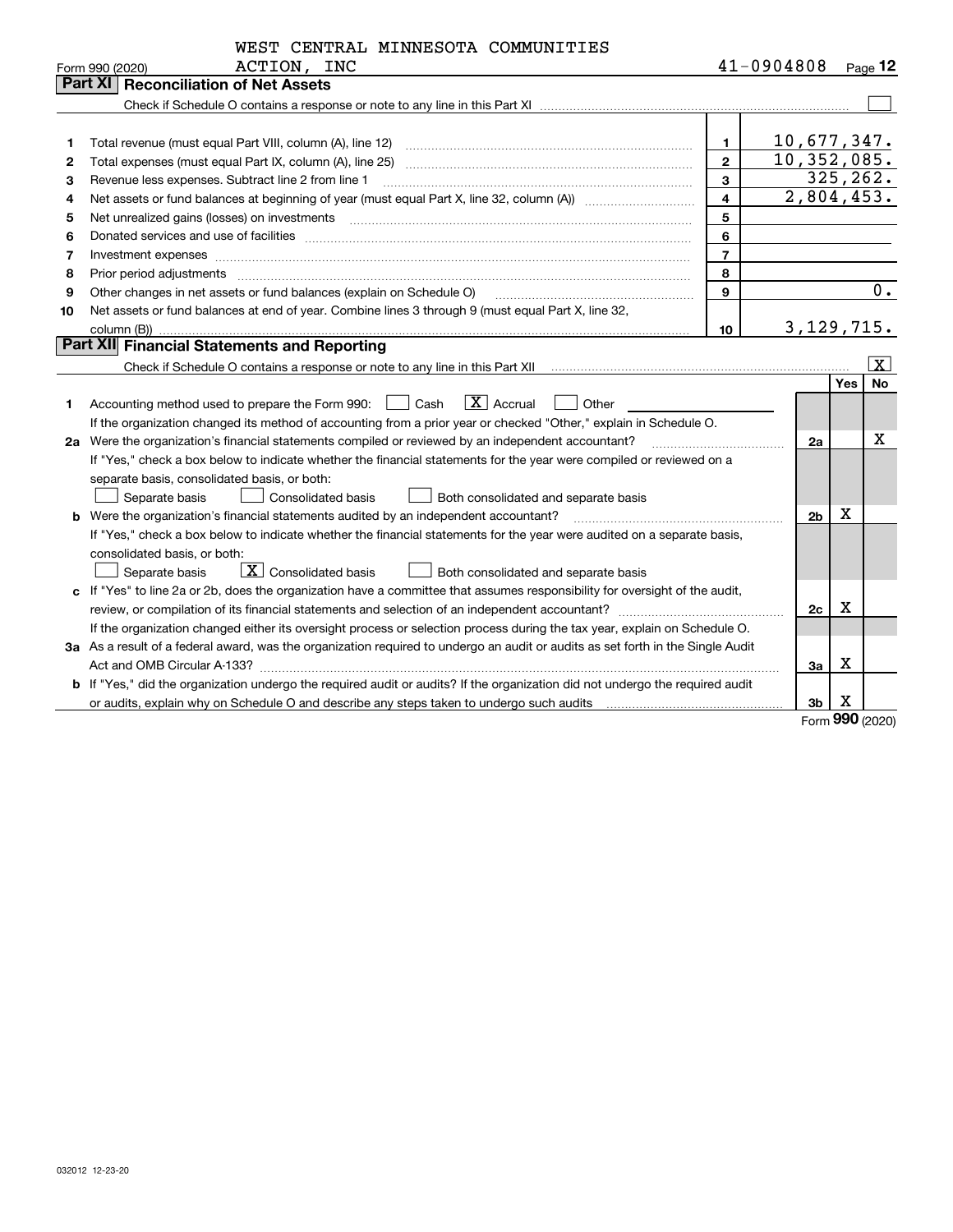|            |  | WEST CENTRAL MINNESOTA COMMUNITIES |
|------------|--|------------------------------------|
| ACTION INC |  |                                    |

|    | ACTION, INC<br>Form 990 (2020)                                                                                                  |                | 41-0904808 |                |            | Page 12                 |
|----|---------------------------------------------------------------------------------------------------------------------------------|----------------|------------|----------------|------------|-------------------------|
|    | <b>Reconciliation of Net Assets</b><br>Part XI I                                                                                |                |            |                |            |                         |
|    |                                                                                                                                 |                |            |                |            |                         |
|    |                                                                                                                                 |                |            |                |            |                         |
| 1  |                                                                                                                                 | $\mathbf{1}$   |            | 10,677,347.    |            |                         |
| 2  | Total expenses (must equal Part IX, column (A), line 25)                                                                        | $\overline{2}$ |            | 10, 352, 085.  |            |                         |
| з  | Revenue less expenses. Subtract line 2 from line 1                                                                              | $\mathbf{3}$   |            | 325, 262.      |            |                         |
| 4  |                                                                                                                                 | $\overline{4}$ |            | 2,804,453.     |            |                         |
| 5  | Net unrealized gains (losses) on investments                                                                                    | 5              |            |                |            |                         |
| 6  |                                                                                                                                 | 6              |            |                |            |                         |
| 7  | Investment expenses                                                                                                             | $\overline{7}$ |            |                |            |                         |
| 8  | Prior period adjustments                                                                                                        | 8              |            |                |            |                         |
| 9  | Other changes in net assets or fund balances (explain on Schedule O)                                                            | 9              |            |                |            | 0.                      |
| 10 | Net assets or fund balances at end of year. Combine lines 3 through 9 (must equal Part X, line 32,                              |                |            |                |            |                         |
|    | column (B))                                                                                                                     | 10             |            | 3, 129, 715.   |            |                         |
|    | Part XII Financial Statements and Reporting                                                                                     |                |            |                |            |                         |
|    |                                                                                                                                 |                |            |                |            | $\overline{\mathtt{x}}$ |
|    |                                                                                                                                 |                |            |                | <b>Yes</b> | <b>No</b>               |
| 1  | $\boxed{\mathbf{X}}$ Accrual<br>Accounting method used to prepare the Form 990: <u>I</u> Cash<br>Other                          |                |            |                |            |                         |
|    | If the organization changed its method of accounting from a prior year or checked "Other," explain in Schedule O.               |                |            |                |            |                         |
| 2a | Were the organization's financial statements compiled or reviewed by an independent accountant?                                 |                |            | 2a             |            | x                       |
|    | If "Yes," check a box below to indicate whether the financial statements for the year were compiled or reviewed on a            |                |            |                |            |                         |
|    | separate basis, consolidated basis, or both:                                                                                    |                |            |                |            |                         |
|    | Separate basis<br>Both consolidated and separate basis<br>Consolidated basis                                                    |                |            |                |            |                         |
|    | <b>b</b> Were the organization's financial statements audited by an independent accountant?                                     |                |            | 2 <sub>b</sub> | Х          |                         |
|    | If "Yes," check a box below to indicate whether the financial statements for the year were audited on a separate basis,         |                |            |                |            |                         |
|    | consolidated basis, or both:                                                                                                    |                |            |                |            |                         |
|    | $\boxed{\mathbf{X}}$ Consolidated basis<br>Separate basis<br>Both consolidated and separate basis                               |                |            |                |            |                         |
|    | c If "Yes" to line 2a or 2b, does the organization have a committee that assumes responsibility for oversight of the audit,     |                |            |                |            |                         |
|    |                                                                                                                                 |                |            | 2c             | х          |                         |
|    | If the organization changed either its oversight process or selection process during the tax year, explain on Schedule O.       |                |            |                |            |                         |
|    | 3a As a result of a federal award, was the organization required to undergo an audit or audits as set forth in the Single Audit |                |            |                |            |                         |
|    |                                                                                                                                 |                |            | За             | Х          |                         |
|    | b If "Yes," did the organization undergo the required audit or audits? If the organization did not undergo the required audit   |                |            |                |            |                         |
|    | or audits, explain why on Schedule O and describe any steps taken to undergo such audits                                        |                |            | 3b             | х          |                         |

Form (2020) **990**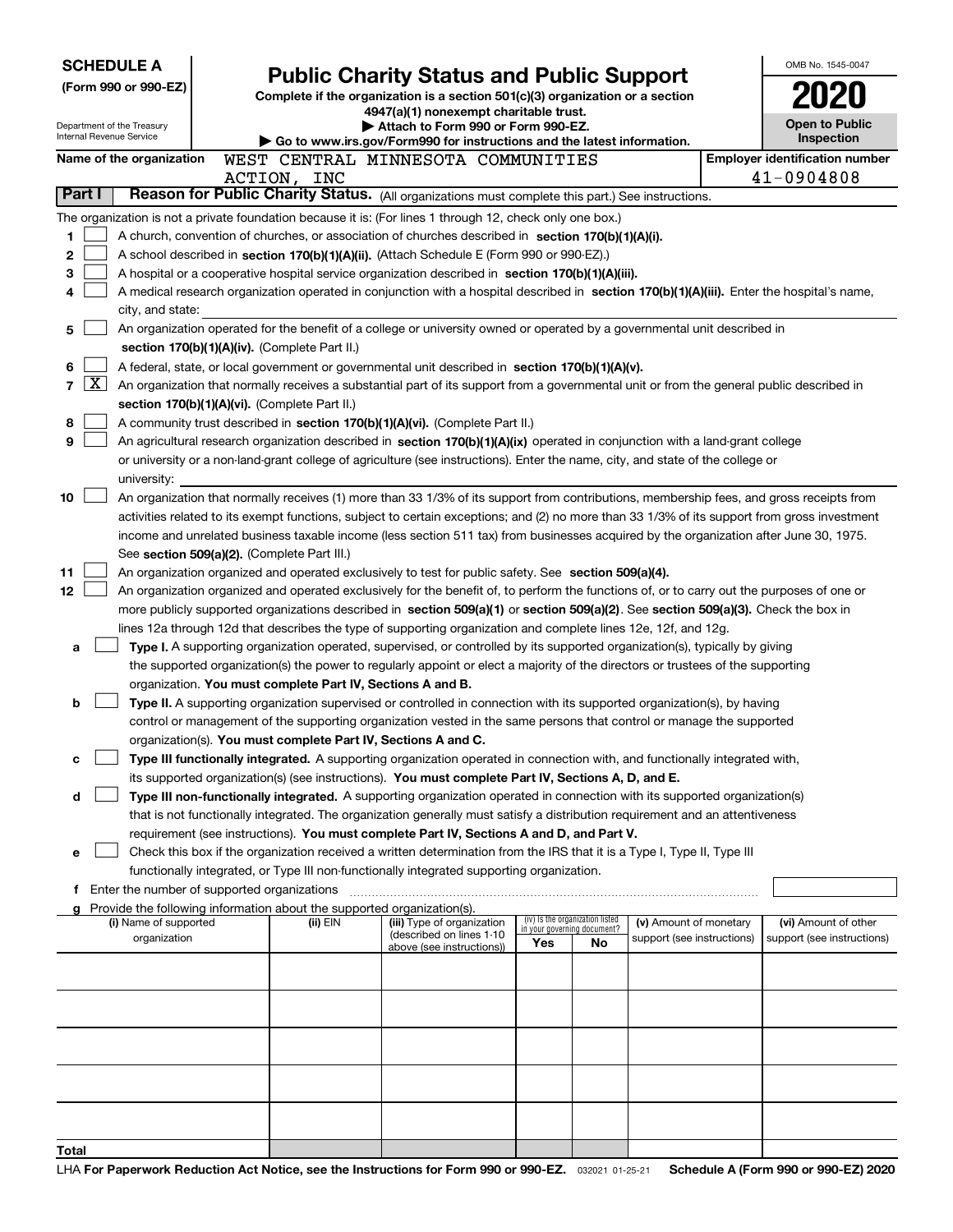| <b>SCHEDULE A</b> |              |                                                        |                                               |                                                                                                                                                                                                                                               |                                                                |    |                            | OMB No. 1545-0047                                                                                                                            |
|-------------------|--------------|--------------------------------------------------------|-----------------------------------------------|-----------------------------------------------------------------------------------------------------------------------------------------------------------------------------------------------------------------------------------------------|----------------------------------------------------------------|----|----------------------------|----------------------------------------------------------------------------------------------------------------------------------------------|
|                   |              | (Form 990 or 990-EZ)                                   |                                               | <b>Public Charity Status and Public Support</b><br>Complete if the organization is a section 501(c)(3) organization or a section                                                                                                              |                                                                |    |                            |                                                                                                                                              |
|                   |              |                                                        |                                               | 4947(a)(1) nonexempt charitable trust.                                                                                                                                                                                                        |                                                                |    |                            |                                                                                                                                              |
|                   |              | Department of the Treasury<br>Internal Revenue Service |                                               | Attach to Form 990 or Form 990-EZ.                                                                                                                                                                                                            |                                                                |    |                            | Open to Public<br>Inspection                                                                                                                 |
|                   |              | Name of the organization                               |                                               | Go to www.irs.gov/Form990 for instructions and the latest information.<br>WEST CENTRAL MINNESOTA COMMUNITIES                                                                                                                                  |                                                                |    |                            | <b>Employer identification number</b>                                                                                                        |
|                   |              |                                                        | ACTION, INC                                   |                                                                                                                                                                                                                                               |                                                                |    |                            | 41-0904808                                                                                                                                   |
| Part I            |              |                                                        |                                               | Reason for Public Charity Status. (All organizations must complete this part.) See instructions.                                                                                                                                              |                                                                |    |                            |                                                                                                                                              |
|                   |              |                                                        |                                               | The organization is not a private foundation because it is: (For lines 1 through 12, check only one box.)                                                                                                                                     |                                                                |    |                            |                                                                                                                                              |
| 1                 |              |                                                        |                                               | A church, convention of churches, or association of churches described in section 170(b)(1)(A)(i).                                                                                                                                            |                                                                |    |                            |                                                                                                                                              |
| 2                 |              |                                                        |                                               | A school described in section 170(b)(1)(A)(ii). (Attach Schedule E (Form 990 or 990-EZ).)                                                                                                                                                     |                                                                |    |                            |                                                                                                                                              |
| 3                 |              |                                                        |                                               | A hospital or a cooperative hospital service organization described in section 170(b)(1)(A)(iii).                                                                                                                                             |                                                                |    |                            |                                                                                                                                              |
| 4                 |              |                                                        |                                               |                                                                                                                                                                                                                                               |                                                                |    |                            | A medical research organization operated in conjunction with a hospital described in section 170(b)(1)(A)(iii). Enter the hospital's name,   |
|                   |              | city, and state:                                       |                                               |                                                                                                                                                                                                                                               |                                                                |    |                            |                                                                                                                                              |
| 5                 |              |                                                        |                                               | An organization operated for the benefit of a college or university owned or operated by a governmental unit described in                                                                                                                     |                                                                |    |                            |                                                                                                                                              |
|                   |              |                                                        | section 170(b)(1)(A)(iv). (Complete Part II.) |                                                                                                                                                                                                                                               |                                                                |    |                            |                                                                                                                                              |
| 6<br>7            | $\mathbf{X}$ |                                                        |                                               | A federal, state, or local government or governmental unit described in section 170(b)(1)(A)(v).<br>An organization that normally receives a substantial part of its support from a governmental unit or from the general public described in |                                                                |    |                            |                                                                                                                                              |
|                   |              |                                                        | section 170(b)(1)(A)(vi). (Complete Part II.) |                                                                                                                                                                                                                                               |                                                                |    |                            |                                                                                                                                              |
| 8                 |              |                                                        |                                               | A community trust described in section 170(b)(1)(A)(vi). (Complete Part II.)                                                                                                                                                                  |                                                                |    |                            |                                                                                                                                              |
| 9                 |              |                                                        |                                               | An agricultural research organization described in section 170(b)(1)(A)(ix) operated in conjunction with a land-grant college                                                                                                                 |                                                                |    |                            |                                                                                                                                              |
|                   |              |                                                        |                                               | or university or a non-land-grant college of agriculture (see instructions). Enter the name, city, and state of the college or                                                                                                                |                                                                |    |                            |                                                                                                                                              |
|                   |              | university:                                            |                                               |                                                                                                                                                                                                                                               |                                                                |    |                            |                                                                                                                                              |
| 10                |              |                                                        |                                               |                                                                                                                                                                                                                                               |                                                                |    |                            | An organization that normally receives (1) more than 33 1/3% of its support from contributions, membership fees, and gross receipts from     |
|                   |              |                                                        |                                               |                                                                                                                                                                                                                                               |                                                                |    |                            | activities related to its exempt functions, subject to certain exceptions; and (2) no more than 33 1/3% of its support from gross investment |
|                   |              |                                                        |                                               |                                                                                                                                                                                                                                               |                                                                |    |                            | income and unrelated business taxable income (less section 511 tax) from businesses acquired by the organization after June 30, 1975.        |
|                   |              |                                                        | See section 509(a)(2). (Complete Part III.)   |                                                                                                                                                                                                                                               |                                                                |    |                            |                                                                                                                                              |
| 11                |              |                                                        |                                               | An organization organized and operated exclusively to test for public safety. See section 509(a)(4).                                                                                                                                          |                                                                |    |                            |                                                                                                                                              |
| 12                |              |                                                        |                                               | An organization organized and operated exclusively for the benefit of, to perform the functions of, or to carry out the purposes of one or                                                                                                    |                                                                |    |                            |                                                                                                                                              |
|                   |              |                                                        |                                               | more publicly supported organizations described in section 509(a)(1) or section 509(a)(2). See section 509(a)(3). Check the box in                                                                                                            |                                                                |    |                            |                                                                                                                                              |
| a                 |              |                                                        |                                               | lines 12a through 12d that describes the type of supporting organization and complete lines 12e, 12f, and 12g.<br>Type I. A supporting organization operated, supervised, or controlled by its supported organization(s), typically by giving |                                                                |    |                            |                                                                                                                                              |
|                   |              |                                                        |                                               | the supported organization(s) the power to regularly appoint or elect a majority of the directors or trustees of the supporting                                                                                                               |                                                                |    |                            |                                                                                                                                              |
|                   |              |                                                        |                                               | organization. You must complete Part IV, Sections A and B.                                                                                                                                                                                    |                                                                |    |                            |                                                                                                                                              |
| b                 |              |                                                        |                                               | Type II. A supporting organization supervised or controlled in connection with its supported organization(s), by having                                                                                                                       |                                                                |    |                            |                                                                                                                                              |
|                   |              |                                                        |                                               | control or management of the supporting organization vested in the same persons that control or manage the supported                                                                                                                          |                                                                |    |                            |                                                                                                                                              |
|                   |              |                                                        |                                               | organization(s). You must complete Part IV, Sections A and C.                                                                                                                                                                                 |                                                                |    |                            |                                                                                                                                              |
| с                 |              |                                                        |                                               | Type III functionally integrated. A supporting organization operated in connection with, and functionally integrated with,                                                                                                                    |                                                                |    |                            |                                                                                                                                              |
|                   |              |                                                        |                                               | its supported organization(s) (see instructions). You must complete Part IV, Sections A, D, and E.                                                                                                                                            |                                                                |    |                            |                                                                                                                                              |
| d                 |              |                                                        |                                               | Type III non-functionally integrated. A supporting organization operated in connection with its supported organization(s)                                                                                                                     |                                                                |    |                            |                                                                                                                                              |
|                   |              |                                                        |                                               | that is not functionally integrated. The organization generally must satisfy a distribution requirement and an attentiveness                                                                                                                  |                                                                |    |                            |                                                                                                                                              |
|                   |              |                                                        |                                               | requirement (see instructions). You must complete Part IV, Sections A and D, and Part V.<br>Check this box if the organization received a written determination from the IRS that it is a Type I, Type II, Type III                           |                                                                |    |                            |                                                                                                                                              |
| е                 |              |                                                        |                                               | functionally integrated, or Type III non-functionally integrated supporting organization.                                                                                                                                                     |                                                                |    |                            |                                                                                                                                              |
|                   |              | Enter the number of supported organizations            |                                               |                                                                                                                                                                                                                                               |                                                                |    |                            |                                                                                                                                              |
|                   |              |                                                        |                                               | Provide the following information about the supported organization(s).                                                                                                                                                                        |                                                                |    |                            |                                                                                                                                              |
|                   |              | (i) Name of supported                                  | (ii) EIN                                      | (iii) Type of organization                                                                                                                                                                                                                    | (iv) Is the organization listed<br>in your governing document? |    | (v) Amount of monetary     | (vi) Amount of other                                                                                                                         |
|                   |              | organization                                           |                                               | (described on lines 1-10<br>above (see instructions))                                                                                                                                                                                         | Yes                                                            | No | support (see instructions) | support (see instructions)                                                                                                                   |
|                   |              |                                                        |                                               |                                                                                                                                                                                                                                               |                                                                |    |                            |                                                                                                                                              |
|                   |              |                                                        |                                               |                                                                                                                                                                                                                                               |                                                                |    |                            |                                                                                                                                              |
|                   |              |                                                        |                                               |                                                                                                                                                                                                                                               |                                                                |    |                            |                                                                                                                                              |
|                   |              |                                                        |                                               |                                                                                                                                                                                                                                               |                                                                |    |                            |                                                                                                                                              |
|                   |              |                                                        |                                               |                                                                                                                                                                                                                                               |                                                                |    |                            |                                                                                                                                              |
|                   |              |                                                        |                                               |                                                                                                                                                                                                                                               |                                                                |    |                            |                                                                                                                                              |
|                   |              |                                                        |                                               |                                                                                                                                                                                                                                               |                                                                |    |                            |                                                                                                                                              |
|                   |              |                                                        |                                               |                                                                                                                                                                                                                                               |                                                                |    |                            |                                                                                                                                              |
|                   |              |                                                        |                                               |                                                                                                                                                                                                                                               |                                                                |    |                            |                                                                                                                                              |
| Total             |              |                                                        |                                               |                                                                                                                                                                                                                                               |                                                                |    |                            |                                                                                                                                              |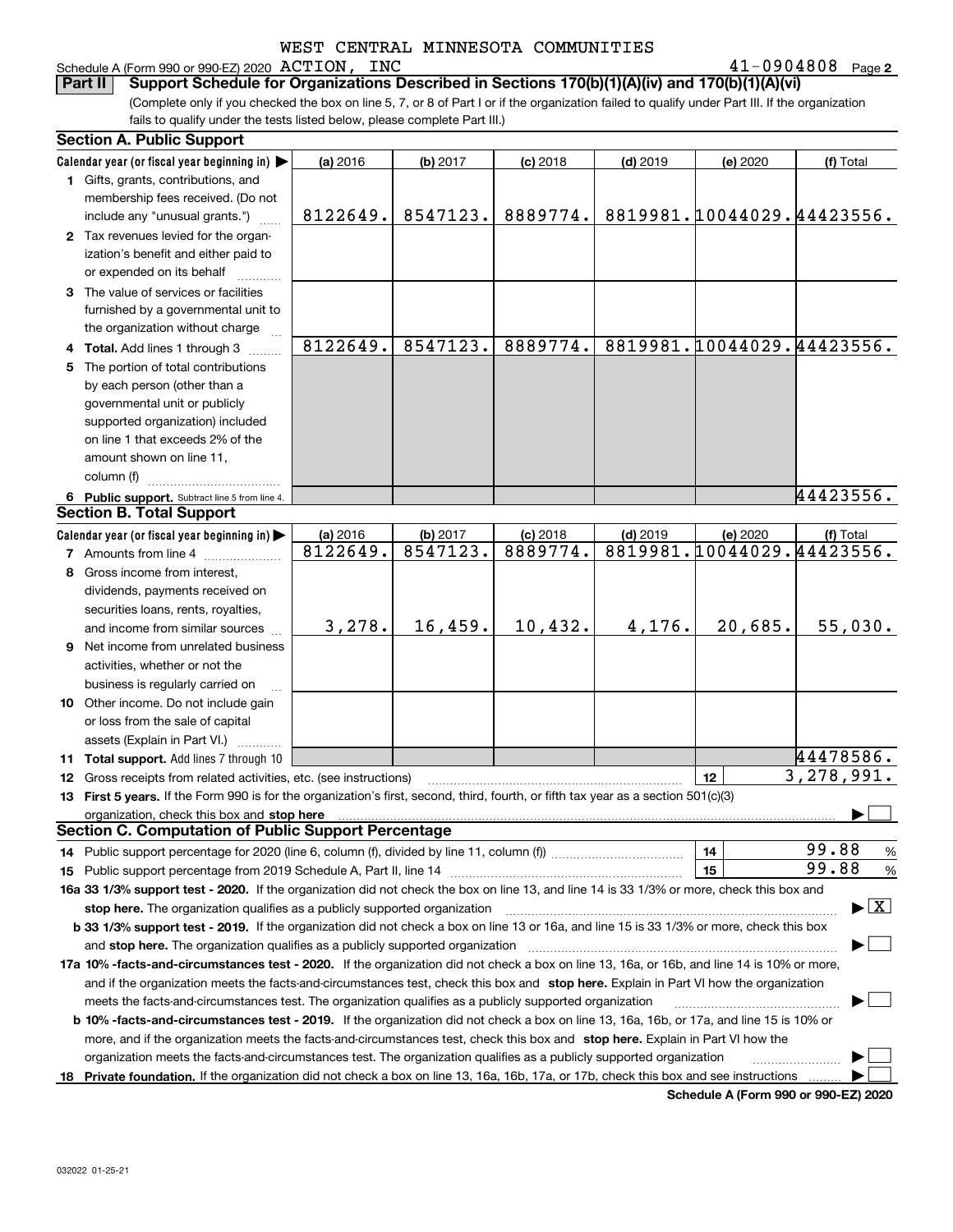# Schedule A (Form 990 or 990-EZ) 2020 Page ACTION, INC 41-0904808

**2**

(Complete only if you checked the box on line 5, 7, or 8 of Part I or if the organization failed to qualify under Part III. If the organization fails to qualify under the tests listed below, please complete Part III.) **Part II Support Schedule for Organizations Described in Sections 170(b)(1)(A)(iv) and 170(b)(1)(A)(vi)**

|    | <b>Section A. Public Support</b>                                                                                                               |          |          |            |            |                            |                                          |
|----|------------------------------------------------------------------------------------------------------------------------------------------------|----------|----------|------------|------------|----------------------------|------------------------------------------|
|    | Calendar year (or fiscal year beginning in)                                                                                                    | (a) 2016 | (b) 2017 | $(c)$ 2018 | $(d)$ 2019 | (e) 2020                   | (f) Total                                |
|    | 1 Gifts, grants, contributions, and                                                                                                            |          |          |            |            |                            |                                          |
|    | membership fees received. (Do not                                                                                                              |          |          |            |            |                            |                                          |
|    | include any "unusual grants.")                                                                                                                 | 8122649. | 8547123. | 8889774.   |            | 8819981.10044029.44423556. |                                          |
|    | 2 Tax revenues levied for the organ-                                                                                                           |          |          |            |            |                            |                                          |
|    | ization's benefit and either paid to                                                                                                           |          |          |            |            |                            |                                          |
|    | or expended on its behalf                                                                                                                      |          |          |            |            |                            |                                          |
|    | 3 The value of services or facilities                                                                                                          |          |          |            |            |                            |                                          |
|    | furnished by a governmental unit to                                                                                                            |          |          |            |            |                            |                                          |
|    | the organization without charge                                                                                                                |          |          |            |            |                            |                                          |
|    | 4 Total. Add lines 1 through 3                                                                                                                 | 8122649. | 8547123. | 8889774.   |            | 8819981.10044029.44423556. |                                          |
| 5. | The portion of total contributions                                                                                                             |          |          |            |            |                            |                                          |
|    | by each person (other than a                                                                                                                   |          |          |            |            |                            |                                          |
|    | governmental unit or publicly                                                                                                                  |          |          |            |            |                            |                                          |
|    | supported organization) included                                                                                                               |          |          |            |            |                            |                                          |
|    | on line 1 that exceeds 2% of the                                                                                                               |          |          |            |            |                            |                                          |
|    | amount shown on line 11,                                                                                                                       |          |          |            |            |                            |                                          |
|    | column (f)                                                                                                                                     |          |          |            |            |                            |                                          |
|    | 6 Public support. Subtract line 5 from line 4.                                                                                                 |          |          |            |            |                            | 44423556.                                |
|    | <b>Section B. Total Support</b>                                                                                                                |          |          |            |            |                            |                                          |
|    | Calendar year (or fiscal year beginning in)                                                                                                    | (a) 2016 | (b) 2017 | $(c)$ 2018 | $(d)$ 2019 | (e) 2020                   | (f) Total                                |
|    | <b>7</b> Amounts from line 4                                                                                                                   | 8122649. | 8547123. | 8889774.   |            | 8819981.10044029.44423556. |                                          |
|    | 8 Gross income from interest,                                                                                                                  |          |          |            |            |                            |                                          |
|    | dividends, payments received on                                                                                                                |          |          |            |            |                            |                                          |
|    | securities loans, rents, royalties,                                                                                                            |          |          |            |            |                            |                                          |
|    | and income from similar sources                                                                                                                | 3,278.   | 16,459.  | 10,432.    | 4,176.     | 20,685.                    | 55,030.                                  |
|    | 9 Net income from unrelated business                                                                                                           |          |          |            |            |                            |                                          |
|    |                                                                                                                                                |          |          |            |            |                            |                                          |
|    | activities, whether or not the                                                                                                                 |          |          |            |            |                            |                                          |
|    | business is regularly carried on                                                                                                               |          |          |            |            |                            |                                          |
|    | 10 Other income. Do not include gain                                                                                                           |          |          |            |            |                            |                                          |
|    | or loss from the sale of capital                                                                                                               |          |          |            |            |                            |                                          |
|    | assets (Explain in Part VI.) <b>Constant</b>                                                                                                   |          |          |            |            |                            | 44478586.                                |
|    | <b>11 Total support.</b> Add lines 7 through 10                                                                                                |          |          |            |            | 12                         | $\overline{3,278,991}$ .                 |
|    | 12 Gross receipts from related activities, etc. (see instructions)                                                                             |          |          |            |            |                            |                                          |
|    | 13 First 5 years. If the Form 990 is for the organization's first, second, third, fourth, or fifth tax year as a section 501(c)(3)             |          |          |            |            |                            |                                          |
|    | organization, check this box and stop here<br><b>Section C. Computation of Public Support Percentage</b>                                       |          |          |            |            |                            |                                          |
|    |                                                                                                                                                |          |          |            |            | 14                         | 99.88                                    |
|    | 14 Public support percentage for 2020 (line 6, column (f), divided by line 11, column (f) <i>mummumumum</i>                                    |          |          |            |            | 15                         | %<br>99.88                               |
|    |                                                                                                                                                |          |          |            |            |                            | %                                        |
|    | 16a 33 1/3% support test - 2020. If the organization did not check the box on line 13, and line 14 is 33 1/3% or more, check this box and      |          |          |            |            |                            | $\blacktriangleright$ $\boxed{\text{X}}$ |
|    | stop here. The organization qualifies as a publicly supported organization                                                                     |          |          |            |            |                            |                                          |
|    | b 33 1/3% support test - 2019. If the organization did not check a box on line 13 or 16a, and line 15 is 33 1/3% or more, check this box       |          |          |            |            |                            |                                          |
|    | and stop here. The organization qualifies as a publicly supported organization                                                                 |          |          |            |            |                            |                                          |
|    | 17a 10% -facts-and-circumstances test - 2020. If the organization did not check a box on line 13, 16a, or 16b, and line 14 is 10% or more,     |          |          |            |            |                            |                                          |
|    | and if the organization meets the facts-and-circumstances test, check this box and stop here. Explain in Part VI how the organization          |          |          |            |            |                            |                                          |
|    | meets the facts-and-circumstances test. The organization qualifies as a publicly supported organization                                        |          |          |            |            |                            |                                          |
|    | <b>b 10% -facts-and-circumstances test - 2019.</b> If the organization did not check a box on line 13, 16a, 16b, or 17a, and line 15 is 10% or |          |          |            |            |                            |                                          |
|    | more, and if the organization meets the facts-and-circumstances test, check this box and stop here. Explain in Part VI how the                 |          |          |            |            |                            |                                          |
|    | organization meets the facts-and-circumstances test. The organization qualifies as a publicly supported organization                           |          |          |            |            |                            |                                          |
|    | 18 Private foundation. If the organization did not check a box on line 13, 16a, 16b, 17a, or 17b, check this box and see instructions          |          |          |            |            |                            |                                          |

**Schedule A (Form 990 or 990-EZ) 2020**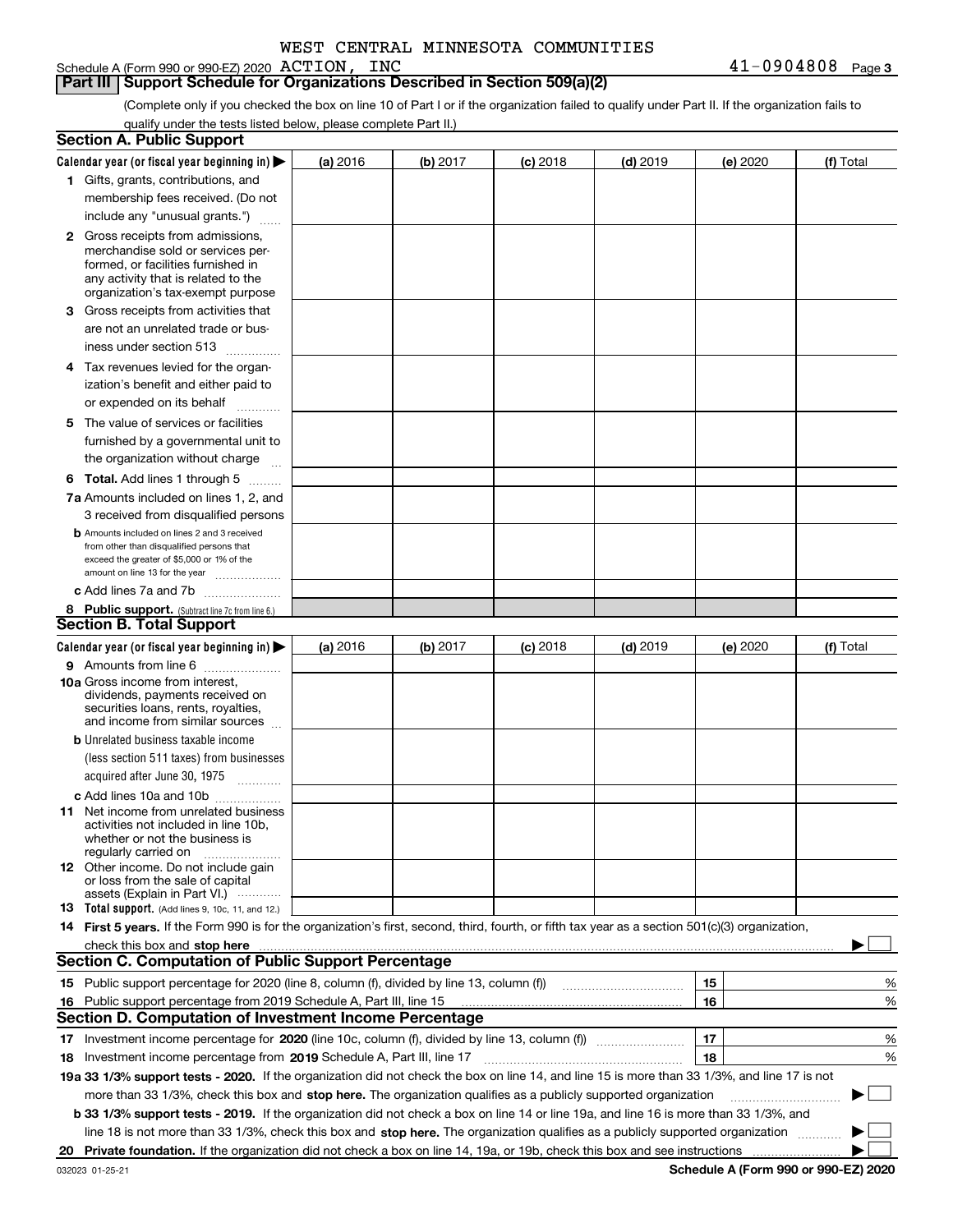# Schedule A (Form 990 or 990-EZ) 2020 ACTION, INC

### **Part III Support Schedule for Organizations Described in Section 509(a)(2)**

(Complete only if you checked the box on line 10 of Part I or if the organization failed to qualify under Part II. If the organization fails to qualify under the tests listed below, please complete Part II.)

|    | <b>Section A. Public Support</b>                                                                                                                 |          |          |            |            |          |           |
|----|--------------------------------------------------------------------------------------------------------------------------------------------------|----------|----------|------------|------------|----------|-----------|
|    | Calendar year (or fiscal year beginning in) $\blacktriangleright$                                                                                | (a) 2016 | (b) 2017 | $(c)$ 2018 | $(d)$ 2019 | (e) 2020 | (f) Total |
|    | 1 Gifts, grants, contributions, and                                                                                                              |          |          |            |            |          |           |
|    | membership fees received. (Do not                                                                                                                |          |          |            |            |          |           |
|    | include any "unusual grants.")                                                                                                                   |          |          |            |            |          |           |
|    | <b>2</b> Gross receipts from admissions,                                                                                                         |          |          |            |            |          |           |
|    | merchandise sold or services per-                                                                                                                |          |          |            |            |          |           |
|    | formed, or facilities furnished in                                                                                                               |          |          |            |            |          |           |
|    | any activity that is related to the<br>organization's tax-exempt purpose                                                                         |          |          |            |            |          |           |
|    | 3 Gross receipts from activities that                                                                                                            |          |          |            |            |          |           |
|    | are not an unrelated trade or bus-                                                                                                               |          |          |            |            |          |           |
|    |                                                                                                                                                  |          |          |            |            |          |           |
|    | iness under section 513                                                                                                                          |          |          |            |            |          |           |
|    | 4 Tax revenues levied for the organ-                                                                                                             |          |          |            |            |          |           |
|    | ization's benefit and either paid to                                                                                                             |          |          |            |            |          |           |
|    | or expended on its behalf<br>.                                                                                                                   |          |          |            |            |          |           |
|    | 5 The value of services or facilities                                                                                                            |          |          |            |            |          |           |
|    | furnished by a governmental unit to                                                                                                              |          |          |            |            |          |           |
|    | the organization without charge                                                                                                                  |          |          |            |            |          |           |
|    | <b>6 Total.</b> Add lines 1 through 5                                                                                                            |          |          |            |            |          |           |
|    | 7a Amounts included on lines 1, 2, and                                                                                                           |          |          |            |            |          |           |
|    | 3 received from disqualified persons                                                                                                             |          |          |            |            |          |           |
|    | <b>b</b> Amounts included on lines 2 and 3 received                                                                                              |          |          |            |            |          |           |
|    | from other than disqualified persons that                                                                                                        |          |          |            |            |          |           |
|    | exceed the greater of \$5,000 or 1% of the<br>amount on line 13 for the year                                                                     |          |          |            |            |          |           |
|    | c Add lines 7a and 7b                                                                                                                            |          |          |            |            |          |           |
|    | 8 Public support. (Subtract line 7c from line 6.)                                                                                                |          |          |            |            |          |           |
|    | <b>Section B. Total Support</b>                                                                                                                  |          |          |            |            |          |           |
|    | Calendar year (or fiscal year beginning in)                                                                                                      | (a) 2016 | (b) 2017 | $(c)$ 2018 | $(d)$ 2019 | (e) 2020 | (f) Total |
|    | 9 Amounts from line 6                                                                                                                            |          |          |            |            |          |           |
|    | <b>10a</b> Gross income from interest,                                                                                                           |          |          |            |            |          |           |
|    | dividends, payments received on                                                                                                                  |          |          |            |            |          |           |
|    | securities loans, rents, royalties,<br>and income from similar sources                                                                           |          |          |            |            |          |           |
|    | <b>b</b> Unrelated business taxable income                                                                                                       |          |          |            |            |          |           |
|    | (less section 511 taxes) from businesses                                                                                                         |          |          |            |            |          |           |
|    | acquired after June 30, 1975                                                                                                                     |          |          |            |            |          |           |
|    |                                                                                                                                                  |          |          |            |            |          |           |
|    | c Add lines 10a and 10b<br>11 Net income from unrelated business                                                                                 |          |          |            |            |          |           |
|    | activities not included in line 10b,                                                                                                             |          |          |            |            |          |           |
|    | whether or not the business is                                                                                                                   |          |          |            |            |          |           |
|    | regularly carried on                                                                                                                             |          |          |            |            |          |           |
|    | <b>12</b> Other income. Do not include gain<br>or loss from the sale of capital                                                                  |          |          |            |            |          |           |
|    | assets (Explain in Part VI.)                                                                                                                     |          |          |            |            |          |           |
|    | <b>13</b> Total support. (Add lines 9, 10c, 11, and 12.)                                                                                         |          |          |            |            |          |           |
|    | 14 First 5 years. If the Form 990 is for the organization's first, second, third, fourth, or fifth tax year as a section 501(c)(3) organization, |          |          |            |            |          |           |
|    | check this box and stop here measurements are constructed as the state of the state of the state of the state o                                  |          |          |            |            |          |           |
|    | <b>Section C. Computation of Public Support Percentage</b>                                                                                       |          |          |            |            |          |           |
|    | 15 Public support percentage for 2020 (line 8, column (f), divided by line 13, column (f))                                                       |          |          |            |            | 15       | ℀         |
|    | 16 Public support percentage from 2019 Schedule A, Part III, line 15                                                                             |          |          |            |            | 16       | %         |
|    | <b>Section D. Computation of Investment Income Percentage</b>                                                                                    |          |          |            |            |          |           |
| 17 | Investment income percentage for 2020 (line 10c, column (f), divided by line 13, column (f))                                                     |          |          |            |            | 17       | %         |
|    | <b>18</b> Investment income percentage from <b>2019</b> Schedule A, Part III, line 17                                                            |          |          |            |            | 18       | %         |
|    | 19a 33 1/3% support tests - 2020. If the organization did not check the box on line 14, and line 15 is more than 33 1/3%, and line 17 is not     |          |          |            |            |          |           |
|    | more than 33 1/3%, check this box and stop here. The organization qualifies as a publicly supported organization                                 |          |          |            |            |          |           |
|    | b 33 1/3% support tests - 2019. If the organization did not check a box on line 14 or line 19a, and line 16 is more than 33 1/3%, and            |          |          |            |            |          |           |
|    | line 18 is not more than 33 1/3%, check this box and stop here. The organization qualifies as a publicly supported organization                  |          |          |            |            |          |           |
| 20 |                                                                                                                                                  |          |          |            |            |          |           |
|    |                                                                                                                                                  |          |          |            |            |          |           |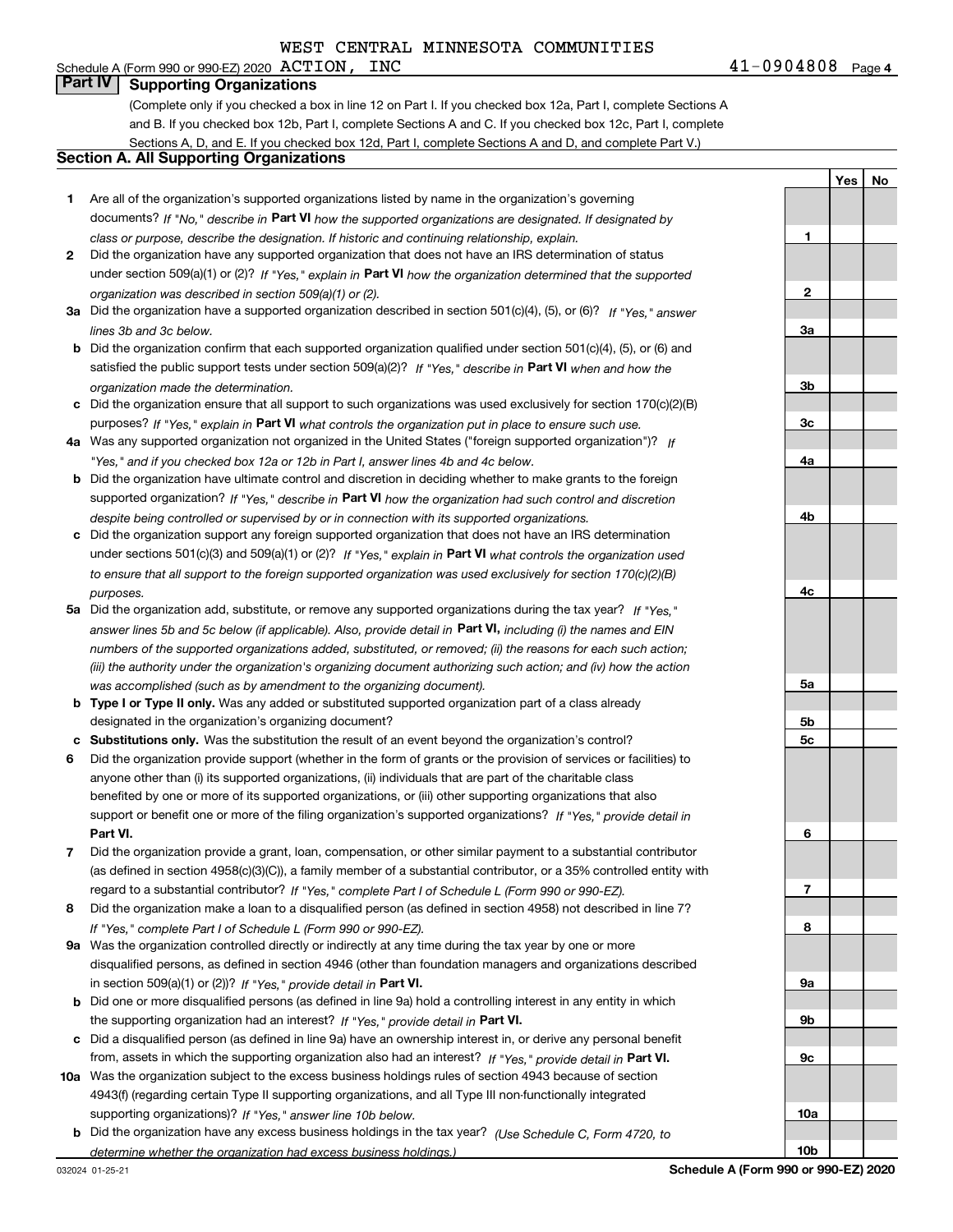## Schedule A (Form 990 or 990-EZ) 2020  $\text{ACTION}$ ,  $\text{INC}$ **Part IV Supporting Organizations**

(Complete only if you checked a box in line 12 on Part I. If you checked box 12a, Part I, complete Sections A and B. If you checked box 12b, Part I, complete Sections A and C. If you checked box 12c, Part I, complete Sections A, D, and E. If you checked box 12d, Part I, complete Sections A and D, and complete Part V.)

### **Section A. All Supporting Organizations**

- **1** Are all of the organization's supported organizations listed by name in the organization's governing documents? If "No," describe in **Part VI** how the supported organizations are designated. If designated by *class or purpose, describe the designation. If historic and continuing relationship, explain.*
- **2** Did the organization have any supported organization that does not have an IRS determination of status under section 509(a)(1) or (2)? If "Yes," explain in Part VI how the organization determined that the supported *organization was described in section 509(a)(1) or (2).*
- **3a** Did the organization have a supported organization described in section 501(c)(4), (5), or (6)? If "Yes," answer *lines 3b and 3c below.*
- **b** Did the organization confirm that each supported organization qualified under section 501(c)(4), (5), or (6) and satisfied the public support tests under section 509(a)(2)? If "Yes," describe in **Part VI** when and how the *organization made the determination.*
- **c**Did the organization ensure that all support to such organizations was used exclusively for section 170(c)(2)(B) purposes? If "Yes," explain in **Part VI** what controls the organization put in place to ensure such use.
- **4a***If* Was any supported organization not organized in the United States ("foreign supported organization")? *"Yes," and if you checked box 12a or 12b in Part I, answer lines 4b and 4c below.*
- **b** Did the organization have ultimate control and discretion in deciding whether to make grants to the foreign supported organization? If "Yes," describe in **Part VI** how the organization had such control and discretion *despite being controlled or supervised by or in connection with its supported organizations.*
- **c** Did the organization support any foreign supported organization that does not have an IRS determination under sections 501(c)(3) and 509(a)(1) or (2)? If "Yes," explain in **Part VI** what controls the organization used *to ensure that all support to the foreign supported organization was used exclusively for section 170(c)(2)(B) purposes.*
- **5a***If "Yes,"* Did the organization add, substitute, or remove any supported organizations during the tax year? answer lines 5b and 5c below (if applicable). Also, provide detail in **Part VI,** including (i) the names and EIN *numbers of the supported organizations added, substituted, or removed; (ii) the reasons for each such action; (iii) the authority under the organization's organizing document authorizing such action; and (iv) how the action was accomplished (such as by amendment to the organizing document).*
- **b** Type I or Type II only. Was any added or substituted supported organization part of a class already designated in the organization's organizing document?
- **cSubstitutions only.**  Was the substitution the result of an event beyond the organization's control?
- **6** Did the organization provide support (whether in the form of grants or the provision of services or facilities) to **Part VI.** *If "Yes," provide detail in* support or benefit one or more of the filing organization's supported organizations? anyone other than (i) its supported organizations, (ii) individuals that are part of the charitable class benefited by one or more of its supported organizations, or (iii) other supporting organizations that also
- **7**Did the organization provide a grant, loan, compensation, or other similar payment to a substantial contributor *If "Yes," complete Part I of Schedule L (Form 990 or 990-EZ).* regard to a substantial contributor? (as defined in section 4958(c)(3)(C)), a family member of a substantial contributor, or a 35% controlled entity with
- **8** Did the organization make a loan to a disqualified person (as defined in section 4958) not described in line 7? *If "Yes," complete Part I of Schedule L (Form 990 or 990-EZ).*
- **9a** Was the organization controlled directly or indirectly at any time during the tax year by one or more in section 509(a)(1) or (2))? If "Yes," *provide detail in* <code>Part VI.</code> disqualified persons, as defined in section 4946 (other than foundation managers and organizations described
- **b** Did one or more disqualified persons (as defined in line 9a) hold a controlling interest in any entity in which the supporting organization had an interest? If "Yes," provide detail in P**art VI**.
- **c**Did a disqualified person (as defined in line 9a) have an ownership interest in, or derive any personal benefit from, assets in which the supporting organization also had an interest? If "Yes," provide detail in P**art VI.**
- **10a** Was the organization subject to the excess business holdings rules of section 4943 because of section supporting organizations)? If "Yes," answer line 10b below. 4943(f) (regarding certain Type II supporting organizations, and all Type III non-functionally integrated
- **b** Did the organization have any excess business holdings in the tax year? (Use Schedule C, Form 4720, to *determine whether the organization had excess business holdings.)*

032024 01-25-21

**Schedule A (Form 990 or 990-EZ) 2020**

**1**

**2**

**3a**

**3b**

**3c**

**4a**

**4b**

**4c**

**5a**

**5b5c**

**6**

**7**

**8**

**9a**

**9b**

**9c**

**10a**

**10b**

**Yes**

**No**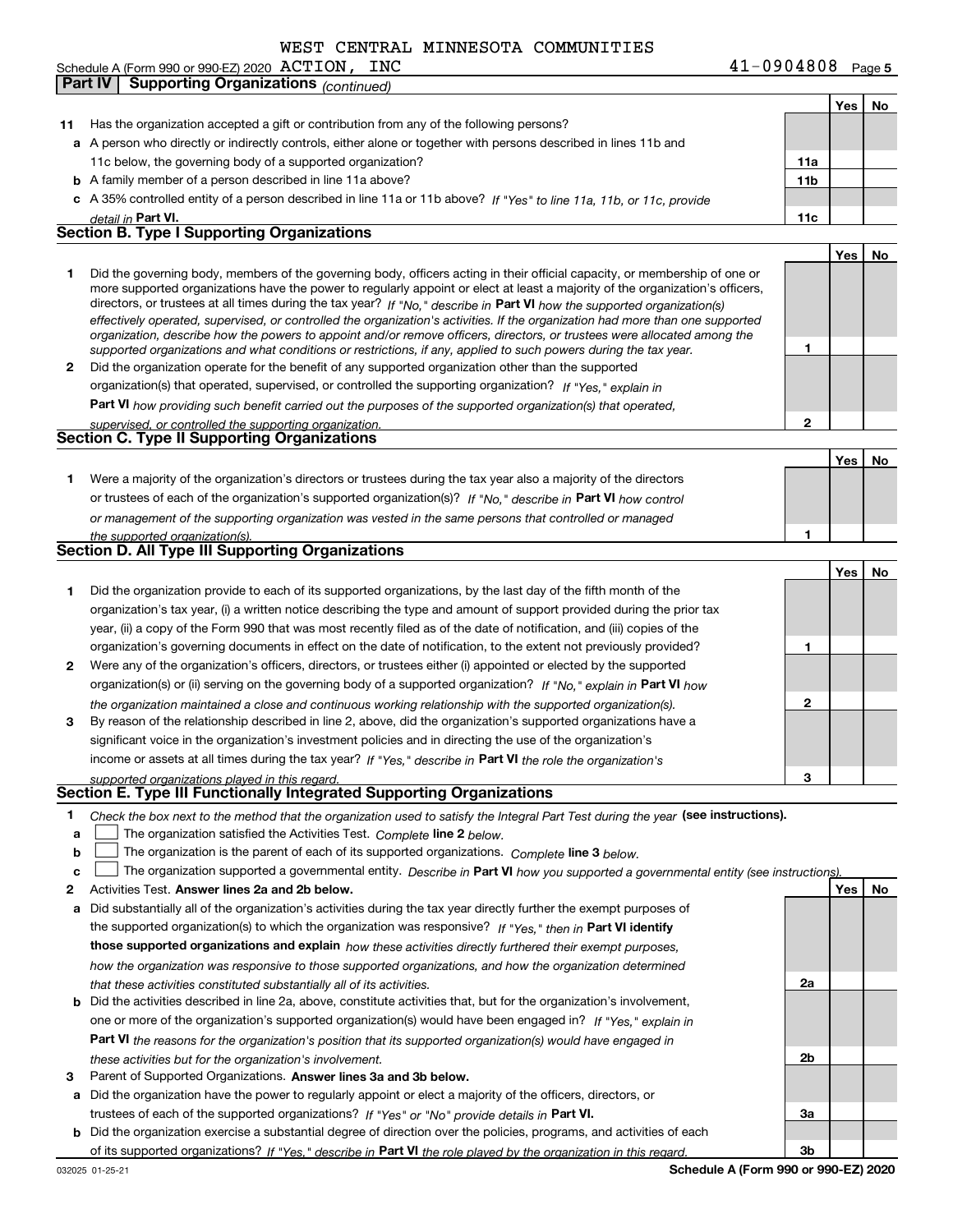|    | <b>Part IV</b> | <b>Supporting Organizations (continued)</b>                                                                                                                                                                                                                |                 |     |    |
|----|----------------|------------------------------------------------------------------------------------------------------------------------------------------------------------------------------------------------------------------------------------------------------------|-----------------|-----|----|
|    |                |                                                                                                                                                                                                                                                            |                 | Yes | No |
| 11 |                | Has the organization accepted a gift or contribution from any of the following persons?                                                                                                                                                                    |                 |     |    |
|    |                | a A person who directly or indirectly controls, either alone or together with persons described in lines 11b and                                                                                                                                           |                 |     |    |
|    |                | 11c below, the governing body of a supported organization?                                                                                                                                                                                                 | 11a             |     |    |
|    |                | <b>b</b> A family member of a person described in line 11a above?                                                                                                                                                                                          | 11 <sub>b</sub> |     |    |
|    |                | c A 35% controlled entity of a person described in line 11a or 11b above? If "Yes" to line 11a, 11b, or 11c, provide                                                                                                                                       |                 |     |    |
|    |                | detail in Part VI.                                                                                                                                                                                                                                         | 11c             |     |    |
|    |                | <b>Section B. Type I Supporting Organizations</b>                                                                                                                                                                                                          |                 |     |    |
|    |                |                                                                                                                                                                                                                                                            |                 | Yes | No |
| 1  |                | Did the governing body, members of the governing body, officers acting in their official capacity, or membership of one or                                                                                                                                 |                 |     |    |
|    |                | more supported organizations have the power to regularly appoint or elect at least a majority of the organization's officers,                                                                                                                              |                 |     |    |
|    |                | directors, or trustees at all times during the tax year? If "No," describe in Part VI how the supported organization(s)                                                                                                                                    |                 |     |    |
|    |                | effectively operated, supervised, or controlled the organization's activities. If the organization had more than one supported<br>organization, describe how the powers to appoint and/or remove officers, directors, or trustees were allocated among the |                 |     |    |
|    |                | supported organizations and what conditions or restrictions, if any, applied to such powers during the tax year.                                                                                                                                           | 1               |     |    |
| 2  |                | Did the organization operate for the benefit of any supported organization other than the supported                                                                                                                                                        |                 |     |    |
|    |                | organization(s) that operated, supervised, or controlled the supporting organization? If "Yes," explain in                                                                                                                                                 |                 |     |    |
|    |                | <b>Part VI</b> how providing such benefit carried out the purposes of the supported organization(s) that operated,                                                                                                                                         |                 |     |    |
|    |                | supervised, or controlled the supporting organization.                                                                                                                                                                                                     | $\mathbf{2}$    |     |    |
|    |                | <b>Section C. Type II Supporting Organizations</b>                                                                                                                                                                                                         |                 |     |    |
|    |                |                                                                                                                                                                                                                                                            |                 | Yes | No |
| 1. |                | Were a majority of the organization's directors or trustees during the tax year also a majority of the directors                                                                                                                                           |                 |     |    |
|    |                | or trustees of each of the organization's supported organization(s)? If "No." describe in Part VI how control                                                                                                                                              |                 |     |    |
|    |                | or management of the supporting organization was vested in the same persons that controlled or managed                                                                                                                                                     |                 |     |    |
|    |                | the supported organization(s).                                                                                                                                                                                                                             | 1               |     |    |
|    |                | Section D. All Type III Supporting Organizations                                                                                                                                                                                                           |                 |     |    |
|    |                |                                                                                                                                                                                                                                                            |                 | Yes | No |
| 1. |                | Did the organization provide to each of its supported organizations, by the last day of the fifth month of the                                                                                                                                             |                 |     |    |
|    |                | organization's tax year, (i) a written notice describing the type and amount of support provided during the prior tax                                                                                                                                      |                 |     |    |
|    |                | year, (ii) a copy of the Form 990 that was most recently filed as of the date of notification, and (iii) copies of the                                                                                                                                     |                 |     |    |
|    |                | organization's governing documents in effect on the date of notification, to the extent not previously provided?                                                                                                                                           | 1               |     |    |
| 2  |                | Were any of the organization's officers, directors, or trustees either (i) appointed or elected by the supported                                                                                                                                           |                 |     |    |
|    |                | organization(s) or (ii) serving on the governing body of a supported organization? If "No," explain in Part VI how                                                                                                                                         |                 |     |    |
|    |                | the organization maintained a close and continuous working relationship with the supported organization(s).                                                                                                                                                | $\mathbf{2}$    |     |    |
| 3  |                | By reason of the relationship described in line 2, above, did the organization's supported organizations have a                                                                                                                                            |                 |     |    |
|    |                | significant voice in the organization's investment policies and in directing the use of the organization's                                                                                                                                                 |                 |     |    |
|    |                | income or assets at all times during the tax year? If "Yes," describe in Part VI the role the organization's                                                                                                                                               |                 |     |    |
|    |                | supported organizations played in this regard.                                                                                                                                                                                                             | з               |     |    |
|    |                | Section E. Type III Functionally Integrated Supporting Organizations                                                                                                                                                                                       |                 |     |    |
| 1  |                | Check the box next to the method that the organization used to satisfy the Integral Part Test during the year (see instructions).                                                                                                                          |                 |     |    |
| a  |                | The organization satisfied the Activities Test. Complete line 2 below.                                                                                                                                                                                     |                 |     |    |
| b  |                | The organization is the parent of each of its supported organizations. Complete line 3 below.                                                                                                                                                              |                 |     |    |
| c  |                | The organization supported a governmental entity. Describe in Part VI how you supported a governmental entity (see instructions).                                                                                                                          |                 |     |    |
| 2  |                | Activities Test. Answer lines 2a and 2b below.                                                                                                                                                                                                             |                 | Yes | No |
| а  |                | Did substantially all of the organization's activities during the tax year directly further the exempt purposes of                                                                                                                                         |                 |     |    |
|    |                | the supported organization(s) to which the organization was responsive? If "Yes," then in Part VI identify                                                                                                                                                 |                 |     |    |
|    |                | those supported organizations and explain how these activities directly furthered their exempt purposes,                                                                                                                                                   |                 |     |    |
|    |                | how the organization was responsive to those supported organizations, and how the organization determined                                                                                                                                                  |                 |     |    |
|    |                | that these activities constituted substantially all of its activities.                                                                                                                                                                                     | 2a              |     |    |
| b  |                | Did the activities described in line 2a, above, constitute activities that, but for the organization's involvement,                                                                                                                                        |                 |     |    |
|    |                | one or more of the organization's supported organization(s) would have been engaged in? If "Yes," explain in                                                                                                                                               |                 |     |    |
|    |                | Part VI the reasons for the organization's position that its supported organization(s) would have engaged in                                                                                                                                               |                 |     |    |
|    |                | these activities but for the organization's involvement.                                                                                                                                                                                                   | 2b              |     |    |
| з  |                | Parent of Supported Organizations. Answer lines 3a and 3b below.                                                                                                                                                                                           |                 |     |    |
| а  |                | Did the organization have the power to regularly appoint or elect a majority of the officers, directors, or                                                                                                                                                |                 |     |    |

trustees of each of the supported organizations? If "Yes" or "No" provide details in **Part VI.** 

**b** Did the organization exercise a substantial degree of direction over the policies, programs, and activities of each of its supported organizations? If "Yes," describe in Part VI the role played by the organization in this regard.

**3a**

**3b**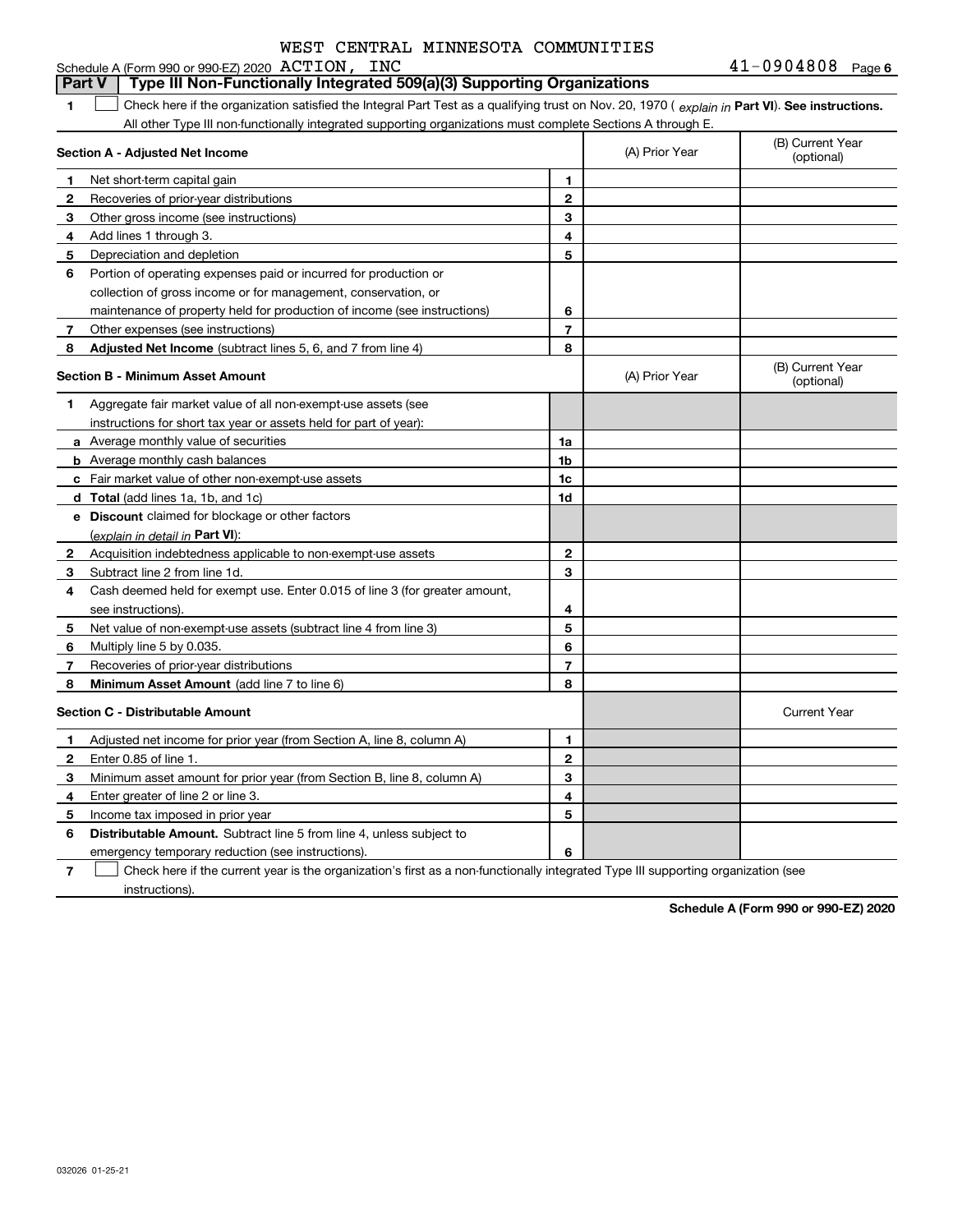Schedule A (Form 990 or 990-EZ) 2020 ACTION, INC

#### **1Part VI** Check here if the organization satisfied the Integral Part Test as a qualifying trust on Nov. 20, 1970 ( explain in Part **VI**). See instructions. **Section A - Adjusted Net Income 123** Other gross income (see instructions) **4**Add lines 1 through 3. **56** Portion of operating expenses paid or incurred for production or **7** Other expenses (see instructions) **8** Adjusted Net Income (subtract lines 5, 6, and 7 from line 4) **8 8 1234567Section B - Minimum Asset Amount 1**Aggregate fair market value of all non-exempt-use assets (see **2**Acquisition indebtedness applicable to non-exempt-use assets **3** Subtract line 2 from line 1d. **4**Cash deemed held for exempt use. Enter 0.015 of line 3 (for greater amount, **5** Net value of non-exempt-use assets (subtract line 4 from line 3) **678a** Average monthly value of securities **b** Average monthly cash balances **c**Fair market value of other non-exempt-use assets **dTotal**  (add lines 1a, 1b, and 1c) **eDiscount** claimed for blockage or other factors **1a1b1c1d2345678**(explain in detail in Part VI): **Minimum Asset Amount**  (add line 7 to line 6) **Section C - Distributable Amount 123456123456Distributable Amount.** Subtract line 5 from line 4, unless subject to All other Type III non-functionally integrated supporting organizations must complete Sections A through E. (B) Current Year (optional)(A) Prior Year Net short-term capital gain Recoveries of prior-year distributions Depreciation and depletion collection of gross income or for management, conservation, or maintenance of property held for production of income (see instructions) (B) Current Year (optional)(A) Prior Year instructions for short tax year or assets held for part of year): see instructions). Multiply line 5 by 0.035. Recoveries of prior-year distributions Current Year Adjusted net income for prior year (from Section A, line 8, column A) Enter 0.85 of line 1. Minimum asset amount for prior year (from Section B, line 8, column A) Enter greater of line 2 or line 3. Income tax imposed in prior year emergency temporary reduction (see instructions). **Part V Type III Non-Functionally Integrated 509(a)(3) Supporting Organizations**   $\mathcal{L}^{\text{max}}$

**7**Check here if the current year is the organization's first as a non-functionally integrated Type III supporting organization (see instructions). $\mathcal{L}^{\text{max}}$ 

**Schedule A (Form 990 or 990-EZ) 2020**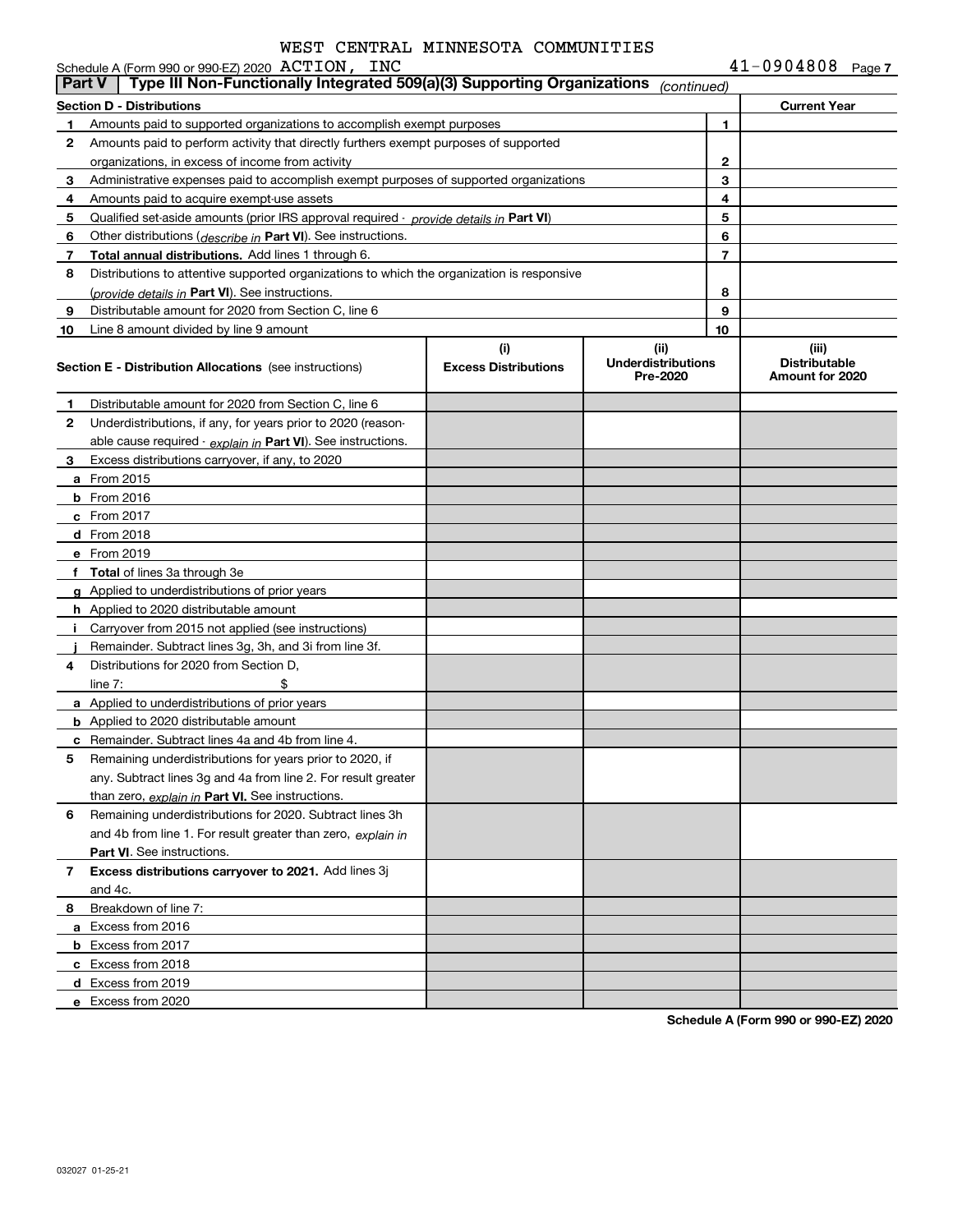| 41-0904808 | Page 7 |  |
|------------|--------|--|
|------------|--------|--|

|               | Schedule A (Form 990 or 990-EZ) 2020 ACTION, INC                                           |                                    |                                               |                | $41 - 0904808$ Page 7                            |  |
|---------------|--------------------------------------------------------------------------------------------|------------------------------------|-----------------------------------------------|----------------|--------------------------------------------------|--|
| <b>Part V</b> | Type III Non-Functionally Integrated 509(a)(3) Supporting Organizations                    |                                    | (continued)                                   |                |                                                  |  |
|               | Section D - Distributions                                                                  |                                    |                                               |                | <b>Current Year</b>                              |  |
| 1             | Amounts paid to supported organizations to accomplish exempt purposes                      |                                    |                                               | 1.             |                                                  |  |
| 2             | Amounts paid to perform activity that directly furthers exempt purposes of supported       |                                    |                                               |                |                                                  |  |
|               | organizations, in excess of income from activity                                           |                                    |                                               | $\mathbf{2}$   |                                                  |  |
| 3             | Administrative expenses paid to accomplish exempt purposes of supported organizations      |                                    |                                               | 3              |                                                  |  |
| 4             | Amounts paid to acquire exempt-use assets                                                  |                                    |                                               | 4              |                                                  |  |
| 5             | Qualified set-aside amounts (prior IRS approval required - provide details in Part VI)     |                                    |                                               | 5              |                                                  |  |
| 6             | Other distributions ( <i>describe in</i> Part VI). See instructions.                       |                                    |                                               | 6              |                                                  |  |
| 7             | Total annual distributions. Add lines 1 through 6.                                         |                                    |                                               | $\overline{7}$ |                                                  |  |
| 8             | Distributions to attentive supported organizations to which the organization is responsive |                                    |                                               |                |                                                  |  |
|               | (provide details in Part VI). See instructions.                                            |                                    |                                               | 8              |                                                  |  |
| 9             | Distributable amount for 2020 from Section C, line 6                                       |                                    |                                               | 9              |                                                  |  |
| 10            | Line 8 amount divided by line 9 amount                                                     |                                    |                                               | 10             |                                                  |  |
|               | <b>Section E - Distribution Allocations</b> (see instructions)                             | (i)<br><b>Excess Distributions</b> | (ii)<br><b>Underdistributions</b><br>Pre-2020 |                | (iii)<br><b>Distributable</b><br>Amount for 2020 |  |
| 1             | Distributable amount for 2020 from Section C, line 6                                       |                                    |                                               |                |                                                  |  |
| 2             | Underdistributions, if any, for years prior to 2020 (reason-                               |                                    |                                               |                |                                                  |  |
|               | able cause required - explain in Part VI). See instructions.                               |                                    |                                               |                |                                                  |  |
| 3             | Excess distributions carryover, if any, to 2020                                            |                                    |                                               |                |                                                  |  |
|               | <b>a</b> From 2015                                                                         |                                    |                                               |                |                                                  |  |
|               | <b>b</b> From 2016                                                                         |                                    |                                               |                |                                                  |  |
|               | $c$ From 2017                                                                              |                                    |                                               |                |                                                  |  |
|               | d From 2018                                                                                |                                    |                                               |                |                                                  |  |
|               | e From 2019                                                                                |                                    |                                               |                |                                                  |  |
|               | f Total of lines 3a through 3e                                                             |                                    |                                               |                |                                                  |  |
|               | g Applied to underdistributions of prior years                                             |                                    |                                               |                |                                                  |  |
|               | <b>h</b> Applied to 2020 distributable amount                                              |                                    |                                               |                |                                                  |  |
|               | Carryover from 2015 not applied (see instructions)                                         |                                    |                                               |                |                                                  |  |
|               | Remainder. Subtract lines 3g, 3h, and 3i from line 3f.                                     |                                    |                                               |                |                                                  |  |
| 4             | Distributions for 2020 from Section D,                                                     |                                    |                                               |                |                                                  |  |
|               | \$<br>line $7:$                                                                            |                                    |                                               |                |                                                  |  |
|               | a Applied to underdistributions of prior years                                             |                                    |                                               |                |                                                  |  |
|               | <b>b</b> Applied to 2020 distributable amount                                              |                                    |                                               |                |                                                  |  |
|               | <b>c</b> Remainder. Subtract lines 4a and 4b from line 4.                                  |                                    |                                               |                |                                                  |  |
|               | Remaining underdistributions for years prior to 2020, if                                   |                                    |                                               |                |                                                  |  |
|               | any. Subtract lines 3g and 4a from line 2. For result greater                              |                                    |                                               |                |                                                  |  |
|               | than zero, explain in Part VI. See instructions.                                           |                                    |                                               |                |                                                  |  |
| 6             | Remaining underdistributions for 2020. Subtract lines 3h                                   |                                    |                                               |                |                                                  |  |
|               | and 4b from line 1. For result greater than zero, explain in                               |                                    |                                               |                |                                                  |  |
|               | <b>Part VI.</b> See instructions.                                                          |                                    |                                               |                |                                                  |  |
| 7             | Excess distributions carryover to 2021. Add lines 3j                                       |                                    |                                               |                |                                                  |  |
|               | and 4c.                                                                                    |                                    |                                               |                |                                                  |  |
| 8             | Breakdown of line 7:                                                                       |                                    |                                               |                |                                                  |  |
|               | a Excess from 2016                                                                         |                                    |                                               |                |                                                  |  |
|               | <b>b</b> Excess from 2017                                                                  |                                    |                                               |                |                                                  |  |
|               | c Excess from 2018                                                                         |                                    |                                               |                |                                                  |  |
|               | d Excess from 2019                                                                         |                                    |                                               |                |                                                  |  |
|               | e Excess from 2020                                                                         |                                    |                                               |                |                                                  |  |
|               |                                                                                            |                                    |                                               |                |                                                  |  |

**Schedule A (Form 990 or 990-EZ) 2020**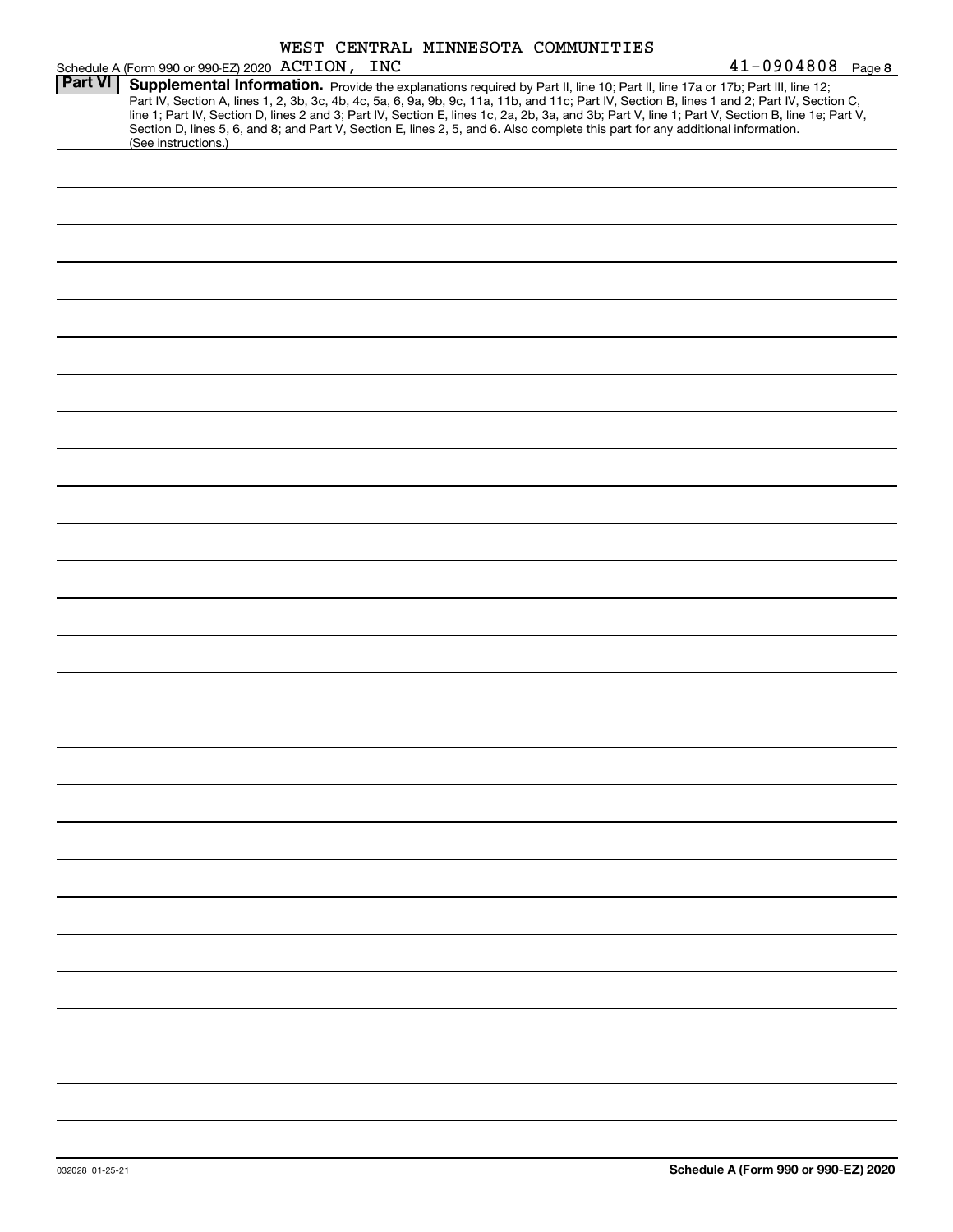|                |                                                                                                                                                        |  | WEST CENTRAL MINNESOTA COMMUNITIES |                                                                                                                                                                                                                                                                                                                                                                                                                                   |  |
|----------------|--------------------------------------------------------------------------------------------------------------------------------------------------------|--|------------------------------------|-----------------------------------------------------------------------------------------------------------------------------------------------------------------------------------------------------------------------------------------------------------------------------------------------------------------------------------------------------------------------------------------------------------------------------------|--|
|                | Schedule A (Form 990 or 990-EZ) 2020 ACTION, INC                                                                                                       |  |                                    | $41 - 0904808$ Page 8                                                                                                                                                                                                                                                                                                                                                                                                             |  |
| <b>Part VI</b> | Section D, lines 5, 6, and 8; and Part V, Section E, lines 2, 5, and 6. Also complete this part for any additional information.<br>(See instructions.) |  |                                    | Supplemental Information. Provide the explanations required by Part II, line 10; Part II, line 17a or 17b; Part III, line 12;<br>Part IV, Section A, lines 1, 2, 3b, 3c, 4b, 4c, 5a, 6, 9a, 9b, 9c, 11a, 11b, and 11c; Part IV, Section B, lines 1 and 2; Part IV, Section C,<br>line 1; Part IV, Section D, lines 2 and 3; Part IV, Section E, lines 1c, 2a, 2b, 3a, and 3b; Part V, line 1; Part V, Section B, line 1e; Part V, |  |
|                |                                                                                                                                                        |  |                                    |                                                                                                                                                                                                                                                                                                                                                                                                                                   |  |
|                |                                                                                                                                                        |  |                                    |                                                                                                                                                                                                                                                                                                                                                                                                                                   |  |
|                |                                                                                                                                                        |  |                                    |                                                                                                                                                                                                                                                                                                                                                                                                                                   |  |
|                |                                                                                                                                                        |  |                                    |                                                                                                                                                                                                                                                                                                                                                                                                                                   |  |
|                |                                                                                                                                                        |  |                                    |                                                                                                                                                                                                                                                                                                                                                                                                                                   |  |
|                |                                                                                                                                                        |  |                                    |                                                                                                                                                                                                                                                                                                                                                                                                                                   |  |
|                |                                                                                                                                                        |  |                                    |                                                                                                                                                                                                                                                                                                                                                                                                                                   |  |
|                |                                                                                                                                                        |  |                                    |                                                                                                                                                                                                                                                                                                                                                                                                                                   |  |
|                |                                                                                                                                                        |  |                                    |                                                                                                                                                                                                                                                                                                                                                                                                                                   |  |
|                |                                                                                                                                                        |  |                                    |                                                                                                                                                                                                                                                                                                                                                                                                                                   |  |
|                |                                                                                                                                                        |  |                                    |                                                                                                                                                                                                                                                                                                                                                                                                                                   |  |
|                |                                                                                                                                                        |  |                                    |                                                                                                                                                                                                                                                                                                                                                                                                                                   |  |
|                |                                                                                                                                                        |  |                                    |                                                                                                                                                                                                                                                                                                                                                                                                                                   |  |
|                |                                                                                                                                                        |  |                                    |                                                                                                                                                                                                                                                                                                                                                                                                                                   |  |
|                |                                                                                                                                                        |  |                                    |                                                                                                                                                                                                                                                                                                                                                                                                                                   |  |
|                |                                                                                                                                                        |  |                                    |                                                                                                                                                                                                                                                                                                                                                                                                                                   |  |
|                |                                                                                                                                                        |  |                                    |                                                                                                                                                                                                                                                                                                                                                                                                                                   |  |
|                |                                                                                                                                                        |  |                                    |                                                                                                                                                                                                                                                                                                                                                                                                                                   |  |
|                |                                                                                                                                                        |  |                                    |                                                                                                                                                                                                                                                                                                                                                                                                                                   |  |
|                |                                                                                                                                                        |  |                                    |                                                                                                                                                                                                                                                                                                                                                                                                                                   |  |
|                |                                                                                                                                                        |  |                                    |                                                                                                                                                                                                                                                                                                                                                                                                                                   |  |
|                |                                                                                                                                                        |  |                                    |                                                                                                                                                                                                                                                                                                                                                                                                                                   |  |
|                |                                                                                                                                                        |  |                                    |                                                                                                                                                                                                                                                                                                                                                                                                                                   |  |
|                |                                                                                                                                                        |  |                                    |                                                                                                                                                                                                                                                                                                                                                                                                                                   |  |
|                |                                                                                                                                                        |  |                                    |                                                                                                                                                                                                                                                                                                                                                                                                                                   |  |
|                |                                                                                                                                                        |  |                                    |                                                                                                                                                                                                                                                                                                                                                                                                                                   |  |
|                |                                                                                                                                                        |  |                                    |                                                                                                                                                                                                                                                                                                                                                                                                                                   |  |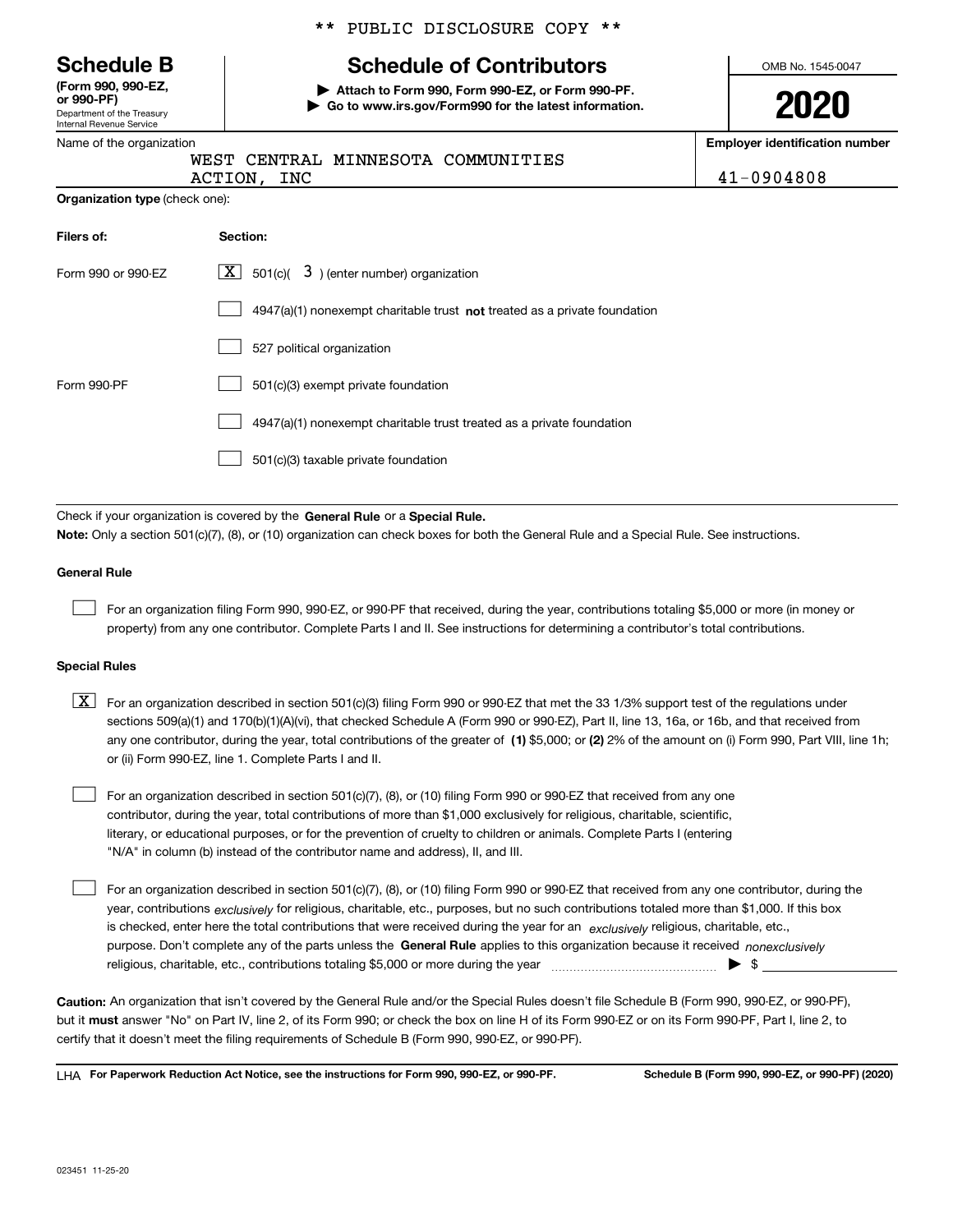|  | <b>Schedule B</b> |  |
|--|-------------------|--|
|--|-------------------|--|

Department of the Treasury Internal Revenue Service **(Form 990, 990-EZ, or 990-PF)**

Name of the organization

# \*\* PUBLIC DISCLOSURE COPY \*\*

# **Schedule of Contributors**

**| Attach to Form 990, Form 990-EZ, or Form 990-PF. | Go to www.irs.gov/Form990 for the latest information.** OMB No. 1545-0047

**2020**

**Employer identification number**

| WEST  |
|-------|
| ΔCTTO |

**Organization type** (check one):

|         |  | WEST CENTRAL MINNESOTA COMMUNITIES |                |
|---------|--|------------------------------------|----------------|
| ACTION, |  |                                    | $41 - 0904808$ |

| Filers of:         | Section:                                                                           |
|--------------------|------------------------------------------------------------------------------------|
| Form 990 or 990-EZ | $\lfloor x \rfloor$ 501(c)( 3) (enter number) organization                         |
|                    | $4947(a)(1)$ nonexempt charitable trust <b>not</b> treated as a private foundation |
|                    | 527 political organization                                                         |
| Form 990-PF        | 501(c)(3) exempt private foundation                                                |
|                    | 4947(a)(1) nonexempt charitable trust treated as a private foundation              |
|                    | 501(c)(3) taxable private foundation                                               |

Check if your organization is covered by the **General Rule** or a **Special Rule. Note:**  Only a section 501(c)(7), (8), or (10) organization can check boxes for both the General Rule and a Special Rule. See instructions.

### **General Rule**

 $\mathcal{L}^{\text{max}}$ 

For an organization filing Form 990, 990-EZ, or 990-PF that received, during the year, contributions totaling \$5,000 or more (in money or property) from any one contributor. Complete Parts I and II. See instructions for determining a contributor's total contributions.

### **Special Rules**

any one contributor, during the year, total contributions of the greater of  $\,$  (1) \$5,000; or **(2)** 2% of the amount on (i) Form 990, Part VIII, line 1h;  $\boxed{\textbf{X}}$  For an organization described in section 501(c)(3) filing Form 990 or 990-EZ that met the 33 1/3% support test of the regulations under sections 509(a)(1) and 170(b)(1)(A)(vi), that checked Schedule A (Form 990 or 990-EZ), Part II, line 13, 16a, or 16b, and that received from or (ii) Form 990-EZ, line 1. Complete Parts I and II.

For an organization described in section 501(c)(7), (8), or (10) filing Form 990 or 990-EZ that received from any one contributor, during the year, total contributions of more than \$1,000 exclusively for religious, charitable, scientific, literary, or educational purposes, or for the prevention of cruelty to children or animals. Complete Parts I (entering "N/A" in column (b) instead of the contributor name and address), II, and III.  $\mathcal{L}^{\text{max}}$ 

purpose. Don't complete any of the parts unless the **General Rule** applies to this organization because it received *nonexclusively* year, contributions <sub>exclusively</sub> for religious, charitable, etc., purposes, but no such contributions totaled more than \$1,000. If this box is checked, enter here the total contributions that were received during the year for an  $\;$ exclusively religious, charitable, etc., For an organization described in section 501(c)(7), (8), or (10) filing Form 990 or 990-EZ that received from any one contributor, during the religious, charitable, etc., contributions totaling \$5,000 or more during the year  $\Box$ — $\Box$   $\Box$  $\mathcal{L}^{\text{max}}$ 

**Caution:**  An organization that isn't covered by the General Rule and/or the Special Rules doesn't file Schedule B (Form 990, 990-EZ, or 990-PF),  **must** but it answer "No" on Part IV, line 2, of its Form 990; or check the box on line H of its Form 990-EZ or on its Form 990-PF, Part I, line 2, to certify that it doesn't meet the filing requirements of Schedule B (Form 990, 990-EZ, or 990-PF).

**For Paperwork Reduction Act Notice, see the instructions for Form 990, 990-EZ, or 990-PF. Schedule B (Form 990, 990-EZ, or 990-PF) (2020)** LHA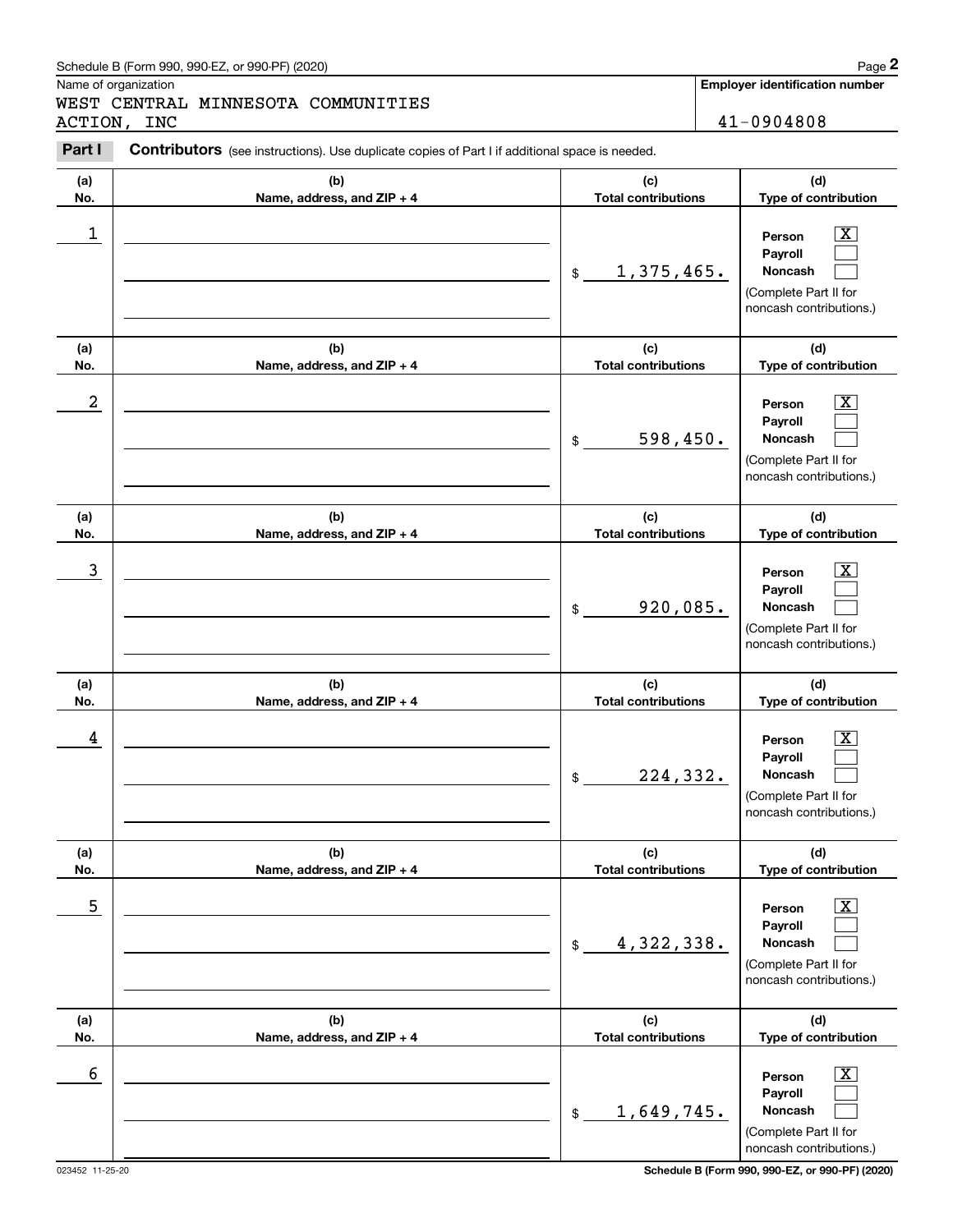### Schedule B (Form 990, 990-EZ, or 990-PF) (2020) **Page 2** Page 2 and the state of the state of the state of the state of the state of the state of the state of the state of the state of the state of the state of the state o

Name of organization

Chedule B (Form 990, 990-EZ, or 990-PF) (2020)<br> **2Page 2**<br> **2PART CENTRAL MINNESOTA COMMUNITIES**<br> **2PART I CONTIDUS** (see instructions). Use duplicate copies of Part I if additional space is needed.<br> **2PART I CONTIDUS** WEST CENTRAL MINNESOTA COMMUNITIES ACTION, INC 41-0904808

**Employer identification number**

#### **(a)No.(b)Name, address, and ZIP + 4 (c)Total contributions (d)Type of contribution PersonPayrollNoncash (a)No.(b)Name, address, and ZIP + 4 (c)Total contributions (d)Type of contribution PersonPayrollNoncash (a)No.(b)Name, address, and ZIP + 4 (c)Total contributions (d)Type of contribution PersonPayrollNoncash (a) No.(b) Name, address, and ZIP + 4 (c) Total contributions (d) Type of contribution PersonPayrollNoncash (a) No.(b) Name, address, and ZIP + 4 (c) Total contributions (d) Type of contribution PersonPayrollNoncash (a) No.(b)Name, address, and ZIP + 4 (c) Total contributions (d) Type of contribution PersonPayrollNoncash Contributors** (see instructions). Use duplicate copies of Part I if additional space is needed. \$(Complete Part II for noncash contributions.) \$(Complete Part II for noncash contributions.) \$(Complete Part II for noncash contributions.) \$(Complete Part II for noncash contributions.) \$(Complete Part II for noncash contributions.)  $\mathsf{\$}$ (Complete Part II for noncash contributions.)  $|X|$  $\mathcal{L}^{\text{max}}$  $\mathcal{L}^{\text{max}}$  $\boxed{\text{X}}$  $\mathcal{L}^{\text{max}}$  $\mathcal{L}^{\text{max}}$  $|X|$  $\mathcal{L}^{\text{max}}$  $\mathcal{L}^{\text{max}}$  $|X|$  $\mathcal{L}^{\text{max}}$  $\mathcal{L}^{\text{max}}$  $|X|$  $\mathcal{L}^{\text{max}}$  $\mathcal{L}^{\text{max}}$  $\boxed{\text{X}}$  $\mathcal{L}^{\text{max}}$  $\mathcal{L}^{\text{max}}$  $\begin{array}{c|c|c|c|c|c} 1 & \hspace{1.5cm} & \hspace{1.5cm} & \hspace{1.5cm} & \hspace{1.5cm} & \hspace{1.5cm} & \hspace{1.5cm} & \hspace{1.5cm} & \hspace{1.5cm} & \hspace{1.5cm} & \hspace{1.5cm} & \hspace{1.5cm} & \hspace{1.5cm} & \hspace{1.5cm} & \hspace{1.5cm} & \hspace{1.5cm} & \hspace{1.5cm} & \hspace{1.5cm} & \hspace{1.5cm} & \hspace{1.5cm} & \hspace{1.5cm} &$ 1,375,465.  $2$  | Person  $\overline{\text{X}}$ 598,450.  $\overline{3}$  | Person  $\overline{X}$ 920,085.  $4$  | Person  $\overline{\text{X}}$ 224,332.  $\sim$  5 | Person X 4,322,338.  $\sim$  6 | Person X 1,649,745.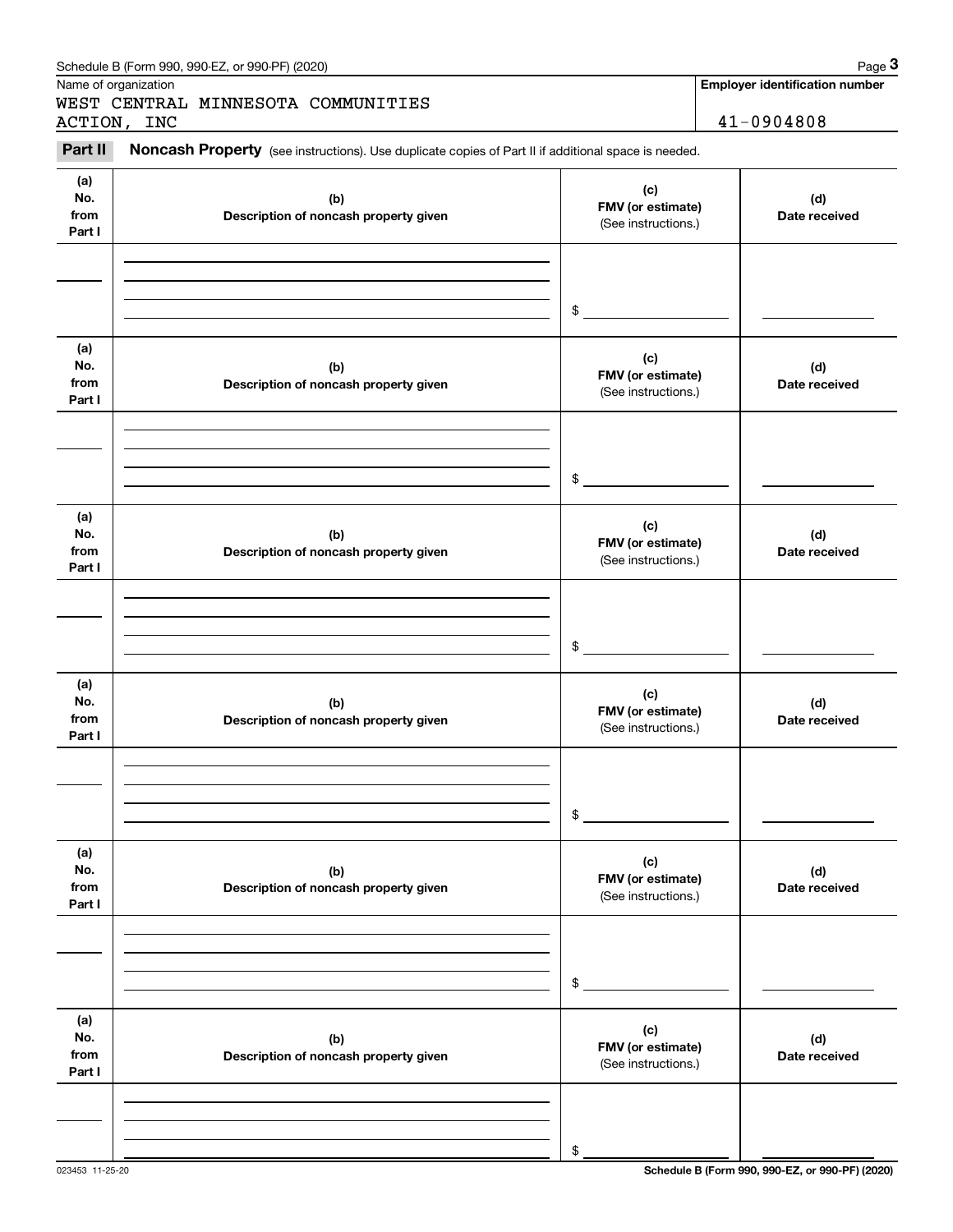|                              | Schedule B (Form 990, 990-EZ, or 990-PF) (2020)                                                     |                                                 | Page 3                                |
|------------------------------|-----------------------------------------------------------------------------------------------------|-------------------------------------------------|---------------------------------------|
|                              | Name of organization                                                                                |                                                 | <b>Employer identification number</b> |
|                              | WEST CENTRAL MINNESOTA COMMUNITIES<br>ACTION, INC                                                   |                                                 | 41-0904808                            |
|                              |                                                                                                     |                                                 |                                       |
| Part II                      | Noncash Property (see instructions). Use duplicate copies of Part II if additional space is needed. |                                                 |                                       |
| (a)<br>No.<br>from<br>Part I | (b)<br>Description of noncash property given                                                        | (c)<br>FMV (or estimate)<br>(See instructions.) | (d)<br>Date received                  |
|                              |                                                                                                     | \$                                              |                                       |
| (a)<br>No.<br>from<br>Part I | (b)<br>Description of noncash property given                                                        | (c)<br>FMV (or estimate)<br>(See instructions.) | (d)<br>Date received                  |
|                              |                                                                                                     | \$                                              |                                       |
| (a)<br>No.<br>from<br>Part I | (b)<br>Description of noncash property given                                                        | (c)<br>FMV (or estimate)<br>(See instructions.) | (d)<br>Date received                  |
|                              |                                                                                                     | \$                                              |                                       |
| (a)<br>No.<br>from<br>Part I | (b)<br>Description of noncash property given                                                        | (c)<br>FMV (or estimate)<br>(See instructions.) | (d)<br>Date received                  |
|                              |                                                                                                     | \$                                              |                                       |
| (a)<br>No.<br>from<br>Part I | (b)<br>Description of noncash property given                                                        | (c)<br>FMV (or estimate)<br>(See instructions.) | (d)<br>Date received                  |
|                              |                                                                                                     | \$                                              |                                       |
| (a)<br>No.<br>from<br>Part I | (b)<br>Description of noncash property given                                                        | (c)<br>FMV (or estimate)<br>(See instructions.) | (d)<br>Date received                  |
|                              |                                                                                                     | \$                                              |                                       |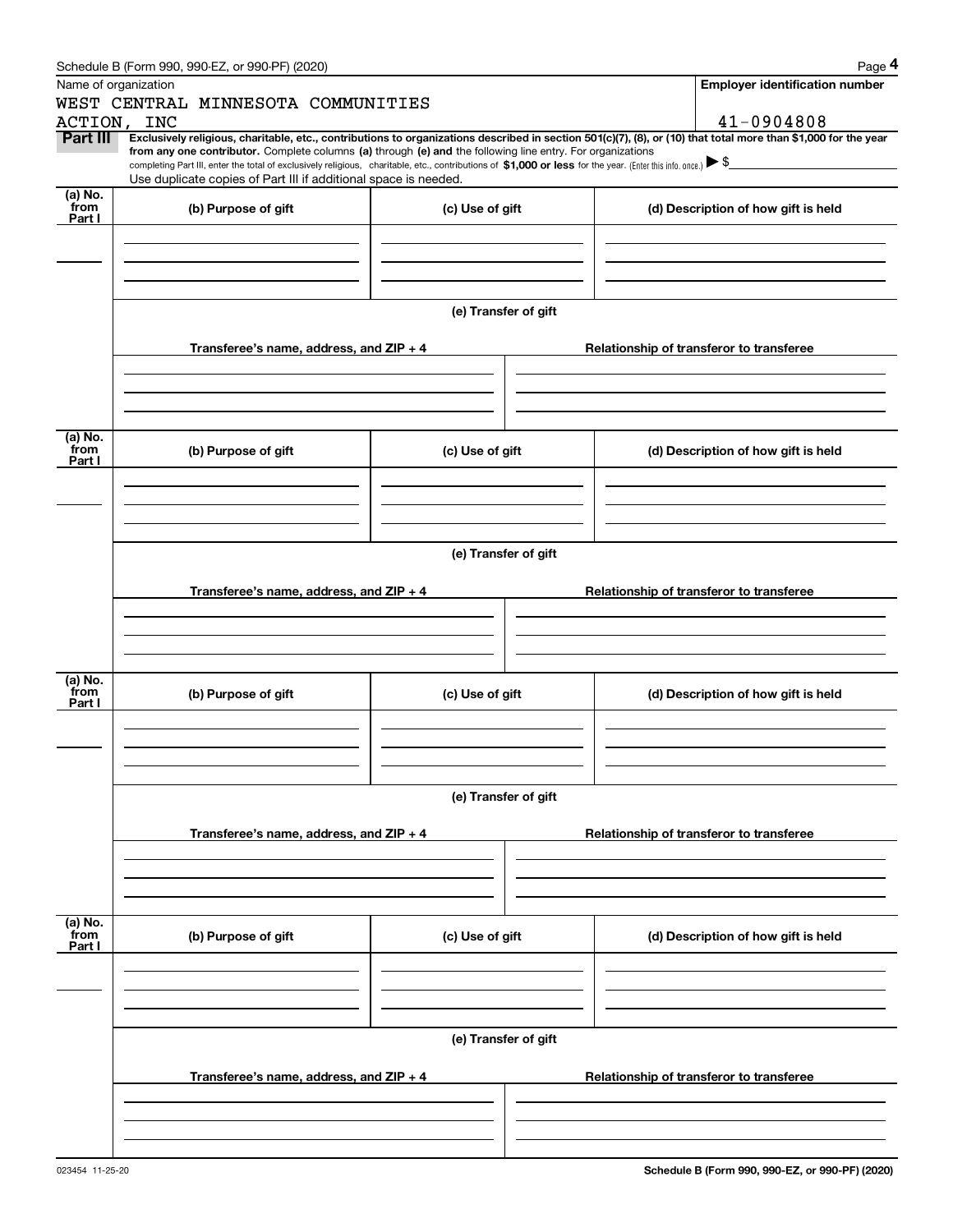| Schedule B (Form 990, 990-EZ, or 990-PF) (2020) | Page |
|-------------------------------------------------|------|
|                                                 |      |

|                 | Schedule B (Form 990, 990-EZ, or 990-PF) (2020)                                                                                                                                   |                      | Page 4                                                                                                                                                         |  |  |  |  |  |
|-----------------|-----------------------------------------------------------------------------------------------------------------------------------------------------------------------------------|----------------------|----------------------------------------------------------------------------------------------------------------------------------------------------------------|--|--|--|--|--|
|                 | Name of organization                                                                                                                                                              |                      | <b>Employer identification number</b>                                                                                                                          |  |  |  |  |  |
|                 | WEST CENTRAL MINNESOTA COMMUNITIES                                                                                                                                                |                      |                                                                                                                                                                |  |  |  |  |  |
|                 | ACTION, INC                                                                                                                                                                       |                      | 41-0904808                                                                                                                                                     |  |  |  |  |  |
| Part III        | from any one contributor. Complete columns (a) through (e) and the following line entry. For organizations                                                                        |                      | Exclusively religious, charitable, etc., contributions to organizations described in section 501(c)(7), (8), or (10) that total more than \$1,000 for the year |  |  |  |  |  |
|                 | completing Part III, enter the total of exclusively religious, charitable, etc., contributions of \$1,000 or less for the year. (Enter this info. once.) $\blacktriangleright$ \$ |                      |                                                                                                                                                                |  |  |  |  |  |
| (a) No.         | Use duplicate copies of Part III if additional space is needed.                                                                                                                   |                      |                                                                                                                                                                |  |  |  |  |  |
| from            | (b) Purpose of gift                                                                                                                                                               | (c) Use of gift      | (d) Description of how gift is held                                                                                                                            |  |  |  |  |  |
| Part I          |                                                                                                                                                                                   |                      |                                                                                                                                                                |  |  |  |  |  |
|                 |                                                                                                                                                                                   |                      |                                                                                                                                                                |  |  |  |  |  |
|                 |                                                                                                                                                                                   |                      |                                                                                                                                                                |  |  |  |  |  |
|                 |                                                                                                                                                                                   |                      |                                                                                                                                                                |  |  |  |  |  |
|                 |                                                                                                                                                                                   | (e) Transfer of gift |                                                                                                                                                                |  |  |  |  |  |
|                 |                                                                                                                                                                                   |                      |                                                                                                                                                                |  |  |  |  |  |
|                 | Transferee's name, address, and ZIP + 4                                                                                                                                           |                      | Relationship of transferor to transferee                                                                                                                       |  |  |  |  |  |
|                 |                                                                                                                                                                                   |                      |                                                                                                                                                                |  |  |  |  |  |
|                 |                                                                                                                                                                                   |                      |                                                                                                                                                                |  |  |  |  |  |
|                 |                                                                                                                                                                                   |                      |                                                                                                                                                                |  |  |  |  |  |
| (a) No.         |                                                                                                                                                                                   |                      |                                                                                                                                                                |  |  |  |  |  |
| from<br>Part I  | (b) Purpose of gift                                                                                                                                                               | (c) Use of gift      | (d) Description of how gift is held                                                                                                                            |  |  |  |  |  |
|                 |                                                                                                                                                                                   |                      |                                                                                                                                                                |  |  |  |  |  |
|                 |                                                                                                                                                                                   |                      |                                                                                                                                                                |  |  |  |  |  |
|                 |                                                                                                                                                                                   |                      |                                                                                                                                                                |  |  |  |  |  |
|                 |                                                                                                                                                                                   |                      |                                                                                                                                                                |  |  |  |  |  |
|                 | (e) Transfer of gift                                                                                                                                                              |                      |                                                                                                                                                                |  |  |  |  |  |
|                 | Transferee's name, address, and ZIP + 4                                                                                                                                           |                      | Relationship of transferor to transferee                                                                                                                       |  |  |  |  |  |
|                 |                                                                                                                                                                                   |                      |                                                                                                                                                                |  |  |  |  |  |
|                 |                                                                                                                                                                                   |                      |                                                                                                                                                                |  |  |  |  |  |
|                 |                                                                                                                                                                                   |                      |                                                                                                                                                                |  |  |  |  |  |
|                 |                                                                                                                                                                                   |                      |                                                                                                                                                                |  |  |  |  |  |
| (a) No.<br>from | (b) Purpose of gift                                                                                                                                                               | (c) Use of gift      | (d) Description of how gift is held                                                                                                                            |  |  |  |  |  |
| Part I          |                                                                                                                                                                                   |                      |                                                                                                                                                                |  |  |  |  |  |
|                 |                                                                                                                                                                                   |                      |                                                                                                                                                                |  |  |  |  |  |
|                 |                                                                                                                                                                                   |                      |                                                                                                                                                                |  |  |  |  |  |
|                 |                                                                                                                                                                                   |                      |                                                                                                                                                                |  |  |  |  |  |
|                 |                                                                                                                                                                                   | (e) Transfer of gift |                                                                                                                                                                |  |  |  |  |  |
|                 |                                                                                                                                                                                   |                      |                                                                                                                                                                |  |  |  |  |  |
|                 | Transferee's name, address, and $ZIP + 4$                                                                                                                                         |                      | Relationship of transferor to transferee                                                                                                                       |  |  |  |  |  |
|                 |                                                                                                                                                                                   |                      |                                                                                                                                                                |  |  |  |  |  |
|                 |                                                                                                                                                                                   |                      |                                                                                                                                                                |  |  |  |  |  |
|                 |                                                                                                                                                                                   |                      |                                                                                                                                                                |  |  |  |  |  |
| (a) No.<br>from |                                                                                                                                                                                   |                      |                                                                                                                                                                |  |  |  |  |  |
| Part I          | (b) Purpose of gift                                                                                                                                                               | (c) Use of gift      | (d) Description of how gift is held                                                                                                                            |  |  |  |  |  |
|                 |                                                                                                                                                                                   |                      |                                                                                                                                                                |  |  |  |  |  |
|                 |                                                                                                                                                                                   |                      |                                                                                                                                                                |  |  |  |  |  |
|                 |                                                                                                                                                                                   |                      |                                                                                                                                                                |  |  |  |  |  |
|                 |                                                                                                                                                                                   |                      |                                                                                                                                                                |  |  |  |  |  |
|                 |                                                                                                                                                                                   | (e) Transfer of gift |                                                                                                                                                                |  |  |  |  |  |
|                 | Transferee's name, address, and $ZIP + 4$                                                                                                                                         |                      | Relationship of transferor to transferee                                                                                                                       |  |  |  |  |  |
|                 |                                                                                                                                                                                   |                      |                                                                                                                                                                |  |  |  |  |  |
|                 |                                                                                                                                                                                   |                      |                                                                                                                                                                |  |  |  |  |  |
|                 |                                                                                                                                                                                   |                      |                                                                                                                                                                |  |  |  |  |  |
|                 |                                                                                                                                                                                   |                      |                                                                                                                                                                |  |  |  |  |  |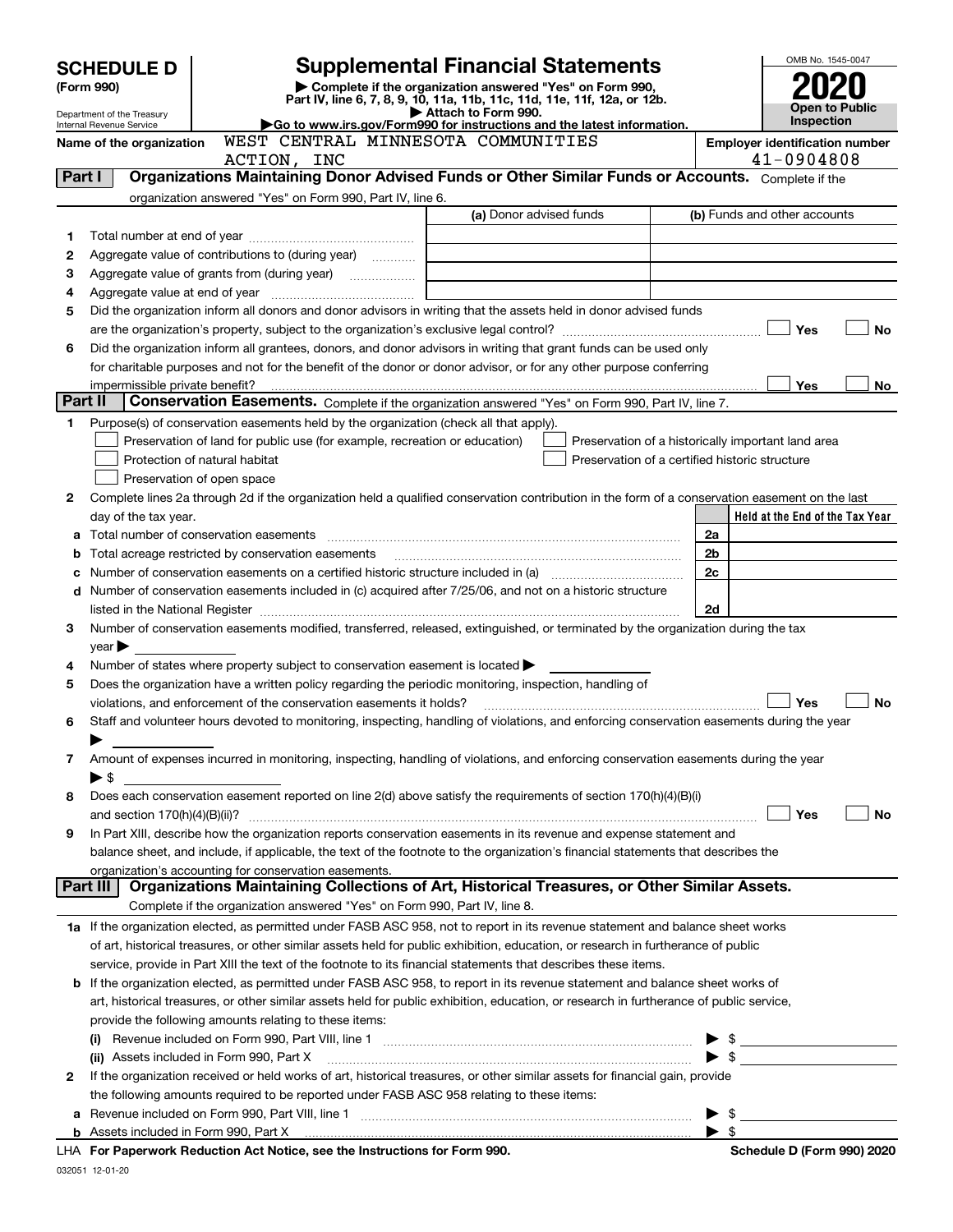| <b>SCHEDULE D</b> |                                                        |                                                                                                        | <b>Supplemental Financial Statements</b>                                                                                                                                                                                      | OMB No. 1545-0047       |                                       |
|-------------------|--------------------------------------------------------|--------------------------------------------------------------------------------------------------------|-------------------------------------------------------------------------------------------------------------------------------------------------------------------------------------------------------------------------------|-------------------------|---------------------------------------|
| (Form 990)        |                                                        |                                                                                                        | Complete if the organization answered "Yes" on Form 990,                                                                                                                                                                      |                         |                                       |
|                   |                                                        |                                                                                                        | Part IV, line 6, 7, 8, 9, 10, 11a, 11b, 11c, 11d, 11e, 11f, 12a, or 12b.                                                                                                                                                      |                         | Open to Public                        |
|                   | Department of the Treasury<br>Internal Revenue Service |                                                                                                        | Attach to Form 990.<br>Go to www.irs.gov/Form990 for instructions and the latest information.                                                                                                                                 |                         | <b>Inspection</b>                     |
|                   | Name of the organization                               | WEST CENTRAL MINNESOTA COMMUNITIES                                                                     |                                                                                                                                                                                                                               |                         | <b>Employer identification number</b> |
|                   |                                                        | ACTION, INC                                                                                            |                                                                                                                                                                                                                               |                         | 41-0904808                            |
| Part I            |                                                        |                                                                                                        | Organizations Maintaining Donor Advised Funds or Other Similar Funds or Accounts. Complete if the                                                                                                                             |                         |                                       |
|                   |                                                        | organization answered "Yes" on Form 990, Part IV, line 6.                                              |                                                                                                                                                                                                                               |                         |                                       |
|                   |                                                        |                                                                                                        | (a) Donor advised funds                                                                                                                                                                                                       |                         | (b) Funds and other accounts          |
| 1                 |                                                        |                                                                                                        |                                                                                                                                                                                                                               |                         |                                       |
| 2                 |                                                        | Aggregate value of contributions to (during year)                                                      |                                                                                                                                                                                                                               |                         |                                       |
| 3                 |                                                        |                                                                                                        |                                                                                                                                                                                                                               |                         |                                       |
| 4                 |                                                        |                                                                                                        |                                                                                                                                                                                                                               |                         |                                       |
| 5                 |                                                        |                                                                                                        | Did the organization inform all donors and donor advisors in writing that the assets held in donor advised funds                                                                                                              |                         |                                       |
|                   |                                                        |                                                                                                        |                                                                                                                                                                                                                               |                         | Yes<br>No                             |
| 6                 |                                                        |                                                                                                        | Did the organization inform all grantees, donors, and donor advisors in writing that grant funds can be used only                                                                                                             |                         |                                       |
|                   | impermissible private benefit?                         |                                                                                                        | for charitable purposes and not for the benefit of the donor or donor advisor, or for any other purpose conferring                                                                                                            |                         | Yes<br>No.                            |
| Part II           |                                                        |                                                                                                        | Conservation Easements. Complete if the organization answered "Yes" on Form 990, Part IV, line 7.                                                                                                                             |                         |                                       |
| 1                 |                                                        | Purpose(s) of conservation easements held by the organization (check all that apply).                  |                                                                                                                                                                                                                               |                         |                                       |
|                   |                                                        | Preservation of land for public use (for example, recreation or education)                             | Preservation of a historically important land area                                                                                                                                                                            |                         |                                       |
|                   |                                                        | Protection of natural habitat                                                                          | Preservation of a certified historic structure                                                                                                                                                                                |                         |                                       |
|                   |                                                        | Preservation of open space                                                                             |                                                                                                                                                                                                                               |                         |                                       |
| 2                 |                                                        |                                                                                                        | Complete lines 2a through 2d if the organization held a qualified conservation contribution in the form of a conservation easement on the last                                                                                |                         |                                       |
|                   | day of the tax year.                                   |                                                                                                        |                                                                                                                                                                                                                               |                         | Held at the End of the Tax Year       |
| a                 |                                                        |                                                                                                        |                                                                                                                                                                                                                               | 2a                      |                                       |
| b                 |                                                        | Total acreage restricted by conservation easements                                                     |                                                                                                                                                                                                                               | 2 <sub>b</sub>          |                                       |
| c                 |                                                        |                                                                                                        | Number of conservation easements on a certified historic structure included in (a) manufacture included in (a)                                                                                                                | 2c                      |                                       |
| d                 |                                                        |                                                                                                        | Number of conservation easements included in (c) acquired after 7/25/06, and not on a historic structure                                                                                                                      |                         |                                       |
|                   |                                                        |                                                                                                        | listed in the National Register [111] Marshall Register [11] Marshall Register [11] Marshall Register [11] Marshall Register [11] Marshall Register [11] Marshall Register [11] Marshall Register [11] Marshall Register [11] | 2d                      |                                       |
| 3                 |                                                        |                                                                                                        | Number of conservation easements modified, transferred, released, extinguished, or terminated by the organization during the tax                                                                                              |                         |                                       |
|                   | $year \blacktriangleright$                             |                                                                                                        |                                                                                                                                                                                                                               |                         |                                       |
| 4                 |                                                        | Number of states where property subject to conservation easement is located $\blacktriangleright$      |                                                                                                                                                                                                                               |                         |                                       |
| 5                 |                                                        | Does the organization have a written policy regarding the periodic monitoring, inspection, handling of |                                                                                                                                                                                                                               |                         |                                       |
|                   |                                                        | violations, and enforcement of the conservation easements it holds?                                    |                                                                                                                                                                                                                               |                         | No<br>Yes                             |
| 6                 |                                                        |                                                                                                        | Staff and volunteer hours devoted to monitoring, inspecting, handling of violations, and enforcing conservation easements during the year                                                                                     |                         |                                       |
|                   |                                                        |                                                                                                        |                                                                                                                                                                                                                               |                         |                                       |
| 7                 |                                                        |                                                                                                        | Amount of expenses incurred in monitoring, inspecting, handling of violations, and enforcing conservation easements during the year                                                                                           |                         |                                       |
|                   | $\blacktriangleright$ \$                               |                                                                                                        |                                                                                                                                                                                                                               |                         |                                       |
| 8                 |                                                        |                                                                                                        | Does each conservation easement reported on line 2(d) above satisfy the requirements of section 170(h)(4)(B)(i)                                                                                                               |                         | Yes<br>No                             |
| 9                 |                                                        |                                                                                                        | In Part XIII, describe how the organization reports conservation easements in its revenue and expense statement and                                                                                                           |                         |                                       |
|                   |                                                        |                                                                                                        | balance sheet, and include, if applicable, the text of the footnote to the organization's financial statements that describes the                                                                                             |                         |                                       |
|                   |                                                        | organization's accounting for conservation easements.                                                  |                                                                                                                                                                                                                               |                         |                                       |
|                   | Part III                                               |                                                                                                        | Organizations Maintaining Collections of Art, Historical Treasures, or Other Similar Assets.                                                                                                                                  |                         |                                       |
|                   |                                                        | Complete if the organization answered "Yes" on Form 990, Part IV, line 8.                              |                                                                                                                                                                                                                               |                         |                                       |
|                   |                                                        |                                                                                                        | 1a If the organization elected, as permitted under FASB ASC 958, not to report in its revenue statement and balance sheet works                                                                                               |                         |                                       |
|                   |                                                        |                                                                                                        | of art, historical treasures, or other similar assets held for public exhibition, education, or research in furtherance of public                                                                                             |                         |                                       |
|                   |                                                        |                                                                                                        | service, provide in Part XIII the text of the footnote to its financial statements that describes these items.                                                                                                                |                         |                                       |
| b                 |                                                        |                                                                                                        | If the organization elected, as permitted under FASB ASC 958, to report in its revenue statement and balance sheet works of                                                                                                   |                         |                                       |
|                   |                                                        |                                                                                                        | art, historical treasures, or other similar assets held for public exhibition, education, or research in furtherance of public service,                                                                                       |                         |                                       |
|                   |                                                        | provide the following amounts relating to these items:                                                 |                                                                                                                                                                                                                               |                         |                                       |
|                   |                                                        |                                                                                                        |                                                                                                                                                                                                                               |                         | $\frac{1}{2}$                         |
|                   |                                                        |                                                                                                        | (ii) Assets included in Form 990, Part X [11] [2000] [2010] Assets included in Form 990, Part X [11] [11] [200                                                                                                                |                         |                                       |
| 2                 |                                                        |                                                                                                        | If the organization received or held works of art, historical treasures, or other similar assets for financial gain, provide                                                                                                  |                         |                                       |
|                   |                                                        | the following amounts required to be reported under FASB ASC 958 relating to these items:              |                                                                                                                                                                                                                               |                         |                                       |
| а                 |                                                        |                                                                                                        |                                                                                                                                                                                                                               |                         | $\frac{1}{2}$                         |
|                   |                                                        |                                                                                                        |                                                                                                                                                                                                                               | $\blacktriangleright$ s |                                       |
|                   |                                                        | LHA For Paperwork Reduction Act Notice, see the Instructions for Form 990.                             |                                                                                                                                                                                                                               |                         | Schedule D (Form 990) 2020            |

032051 12-01-20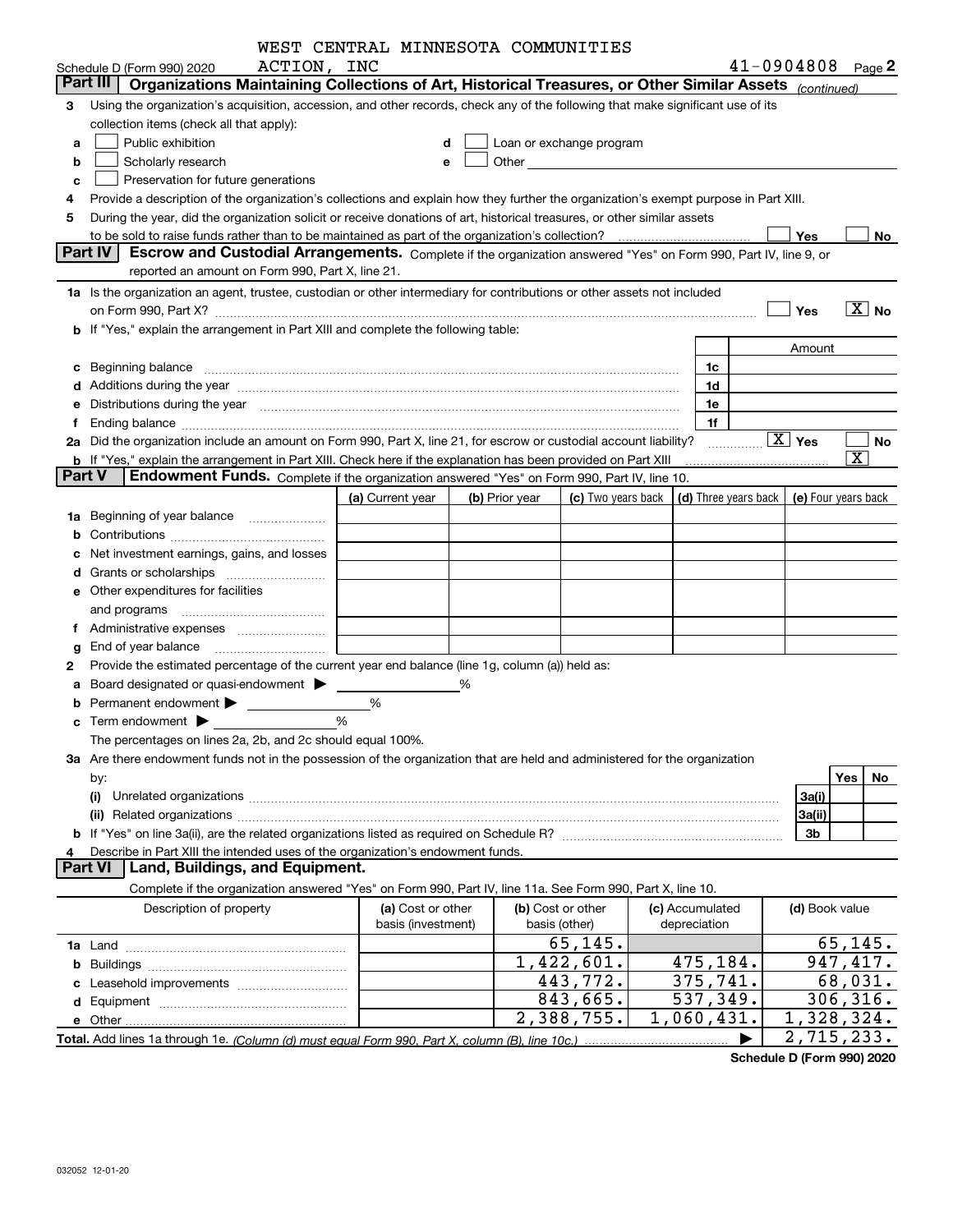|                |                                                                                                                                                                                                                                | WEST CENTRAL MINNESOTA COMMUNITIES |   |                |                                                                                                                                                                                                                               |                         |                                                          |                             |
|----------------|--------------------------------------------------------------------------------------------------------------------------------------------------------------------------------------------------------------------------------|------------------------------------|---|----------------|-------------------------------------------------------------------------------------------------------------------------------------------------------------------------------------------------------------------------------|-------------------------|----------------------------------------------------------|-----------------------------|
|                | ACTION, INC<br>Schedule D (Form 990) 2020                                                                                                                                                                                      |                                    |   |                |                                                                                                                                                                                                                               |                         | $41 - 0904808$ Page 2                                    |                             |
|                | Organizations Maintaining Collections of Art, Historical Treasures, or Other Similar Assets (continued)<br>Part III                                                                                                            |                                    |   |                |                                                                                                                                                                                                                               |                         |                                                          |                             |
| 3              | Using the organization's acquisition, accession, and other records, check any of the following that make significant use of its                                                                                                |                                    |   |                |                                                                                                                                                                                                                               |                         |                                                          |                             |
|                | collection items (check all that apply):                                                                                                                                                                                       |                                    |   |                |                                                                                                                                                                                                                               |                         |                                                          |                             |
| a              | Public exhibition                                                                                                                                                                                                              |                                    | d |                | Loan or exchange program                                                                                                                                                                                                      |                         |                                                          |                             |
| b              | Scholarly research                                                                                                                                                                                                             |                                    | е |                | Other and the contract of the contract of the contract of the contract of the contract of the contract of the contract of the contract of the contract of the contract of the contract of the contract of the contract of the |                         |                                                          |                             |
| c              | Preservation for future generations                                                                                                                                                                                            |                                    |   |                |                                                                                                                                                                                                                               |                         |                                                          |                             |
|                | Provide a description of the organization's collections and explain how they further the organization's exempt purpose in Part XIII.                                                                                           |                                    |   |                |                                                                                                                                                                                                                               |                         |                                                          |                             |
| 5              | During the year, did the organization solicit or receive donations of art, historical treasures, or other similar assets                                                                                                       |                                    |   |                |                                                                                                                                                                                                                               |                         |                                                          |                             |
|                |                                                                                                                                                                                                                                |                                    |   |                |                                                                                                                                                                                                                               |                         | Yes                                                      | No.                         |
|                | Part IV<br>Escrow and Custodial Arrangements. Complete if the organization answered "Yes" on Form 990, Part IV, line 9, or                                                                                                     |                                    |   |                |                                                                                                                                                                                                                               |                         |                                                          |                             |
|                | reported an amount on Form 990, Part X, line 21.                                                                                                                                                                               |                                    |   |                |                                                                                                                                                                                                                               |                         |                                                          |                             |
|                | 1a Is the organization an agent, trustee, custodian or other intermediary for contributions or other assets not included                                                                                                       |                                    |   |                |                                                                                                                                                                                                                               |                         |                                                          |                             |
|                |                                                                                                                                                                                                                                |                                    |   |                |                                                                                                                                                                                                                               |                         | Yes                                                      | $\overline{X}$ No           |
|                | b If "Yes," explain the arrangement in Part XIII and complete the following table:                                                                                                                                             |                                    |   |                |                                                                                                                                                                                                                               |                         |                                                          |                             |
|                |                                                                                                                                                                                                                                |                                    |   |                |                                                                                                                                                                                                                               |                         | Amount                                                   |                             |
|                |                                                                                                                                                                                                                                |                                    |   |                |                                                                                                                                                                                                                               | 1c                      |                                                          |                             |
| c              |                                                                                                                                                                                                                                |                                    |   |                |                                                                                                                                                                                                                               | 1d                      |                                                          |                             |
|                | Additions during the year manufactured and an account of the year manufactured and account of the year manufactured and account of the year manufactured and account of the year manufactured and account of the year manufact |                                    |   |                |                                                                                                                                                                                                                               |                         |                                                          |                             |
|                | Distributions during the year manufactured and continuum control of the year manufactured and the year manufactured and the year manufactured and the year manufactured and the year manufactured and the year manufactured an |                                    |   |                |                                                                                                                                                                                                                               | 1e                      |                                                          |                             |
|                |                                                                                                                                                                                                                                |                                    |   |                |                                                                                                                                                                                                                               | 1f                      | $\boxed{\text{X}}$ Yes                                   |                             |
|                | 2a Did the organization include an amount on Form 990, Part X, line 21, for escrow or custodial account liability?                                                                                                             |                                    |   |                |                                                                                                                                                                                                                               |                         |                                                          | No<br>$\overline{\text{X}}$ |
| <b>Part V</b>  | <b>b</b> If "Yes," explain the arrangement in Part XIII. Check here if the explanation has been provided on Part XIII<br>Endowment Funds. Complete if the organization answered "Yes" on Form 990, Part IV, line 10.           |                                    |   |                |                                                                                                                                                                                                                               |                         |                                                          |                             |
|                |                                                                                                                                                                                                                                |                                    |   |                |                                                                                                                                                                                                                               |                         |                                                          |                             |
|                |                                                                                                                                                                                                                                | (a) Current year                   |   | (b) Prior year | (c) Two years back                                                                                                                                                                                                            |                         | $\vert$ (d) Three years back $\vert$ (e) Four years back |                             |
| 1a             | Beginning of year balance                                                                                                                                                                                                      |                                    |   |                |                                                                                                                                                                                                                               |                         |                                                          |                             |
|                |                                                                                                                                                                                                                                |                                    |   |                |                                                                                                                                                                                                                               |                         |                                                          |                             |
|                | Net investment earnings, gains, and losses                                                                                                                                                                                     |                                    |   |                |                                                                                                                                                                                                                               |                         |                                                          |                             |
|                |                                                                                                                                                                                                                                |                                    |   |                |                                                                                                                                                                                                                               |                         |                                                          |                             |
|                | e Other expenditures for facilities                                                                                                                                                                                            |                                    |   |                |                                                                                                                                                                                                                               |                         |                                                          |                             |
|                |                                                                                                                                                                                                                                |                                    |   |                |                                                                                                                                                                                                                               |                         |                                                          |                             |
| f              |                                                                                                                                                                                                                                |                                    |   |                |                                                                                                                                                                                                                               |                         |                                                          |                             |
|                | End of year balance                                                                                                                                                                                                            |                                    |   |                |                                                                                                                                                                                                                               |                         |                                                          |                             |
| 2              | Provide the estimated percentage of the current year end balance (line 1g, column (a)) held as:                                                                                                                                |                                    |   |                |                                                                                                                                                                                                                               |                         |                                                          |                             |
|                | Board designated or quasi-endowment > ___                                                                                                                                                                                      |                                    | ℅ |                |                                                                                                                                                                                                                               |                         |                                                          |                             |
|                | Permanent endowment > <u>example</u>                                                                                                                                                                                           | %                                  |   |                |                                                                                                                                                                                                                               |                         |                                                          |                             |
|                |                                                                                                                                                                                                                                | %                                  |   |                |                                                                                                                                                                                                                               |                         |                                                          |                             |
|                | The percentages on lines 2a, 2b, and 2c should equal 100%.                                                                                                                                                                     |                                    |   |                |                                                                                                                                                                                                                               |                         |                                                          |                             |
|                | 3a Are there endowment funds not in the possession of the organization that are held and administered for the organization                                                                                                     |                                    |   |                |                                                                                                                                                                                                                               |                         |                                                          |                             |
|                | by:                                                                                                                                                                                                                            |                                    |   |                |                                                                                                                                                                                                                               |                         |                                                          | Yes<br>No                   |
|                | (i)                                                                                                                                                                                                                            |                                    |   |                |                                                                                                                                                                                                                               |                         | 3a(i)                                                    |                             |
|                |                                                                                                                                                                                                                                |                                    |   |                |                                                                                                                                                                                                                               |                         | 3a(ii)                                                   |                             |
|                |                                                                                                                                                                                                                                |                                    |   |                |                                                                                                                                                                                                                               |                         | 3b                                                       |                             |
| 4              | Describe in Part XIII the intended uses of the organization's endowment funds.                                                                                                                                                 |                                    |   |                |                                                                                                                                                                                                                               |                         |                                                          |                             |
| <b>Part VI</b> | Land, Buildings, and Equipment.                                                                                                                                                                                                |                                    |   |                |                                                                                                                                                                                                                               |                         |                                                          |                             |
|                | Complete if the organization answered "Yes" on Form 990, Part IV, line 11a. See Form 990, Part X, line 10.                                                                                                                     |                                    |   |                |                                                                                                                                                                                                                               |                         |                                                          |                             |
|                | Description of property                                                                                                                                                                                                        | (a) Cost or other                  |   |                | (b) Cost or other                                                                                                                                                                                                             | (c) Accumulated         | (d) Book value                                           |                             |
|                |                                                                                                                                                                                                                                | basis (investment)                 |   |                | basis (other)                                                                                                                                                                                                                 | depreciation            |                                                          |                             |
|                |                                                                                                                                                                                                                                |                                    |   |                | 65, 145.                                                                                                                                                                                                                      |                         |                                                          | 65, 145.                    |
| b              |                                                                                                                                                                                                                                |                                    |   |                | 1,422,601.                                                                                                                                                                                                                    | 475,184.                |                                                          | 947,417.                    |
|                |                                                                                                                                                                                                                                |                                    |   |                | 443,772.                                                                                                                                                                                                                      | 375,741.                |                                                          | 68,031.                     |
|                |                                                                                                                                                                                                                                |                                    |   |                | 843,665.                                                                                                                                                                                                                      | $\overline{537}$ , 349. |                                                          | 306, 316.                   |
|                |                                                                                                                                                                                                                                |                                    |   |                | 2,388,755.                                                                                                                                                                                                                    | 1,060,431.              |                                                          | 1,328,324.                  |
|                |                                                                                                                                                                                                                                |                                    |   |                |                                                                                                                                                                                                                               |                         |                                                          | 2,715,233.                  |
|                |                                                                                                                                                                                                                                |                                    |   |                |                                                                                                                                                                                                                               |                         |                                                          |                             |

**Schedule D (Form 990) 2020**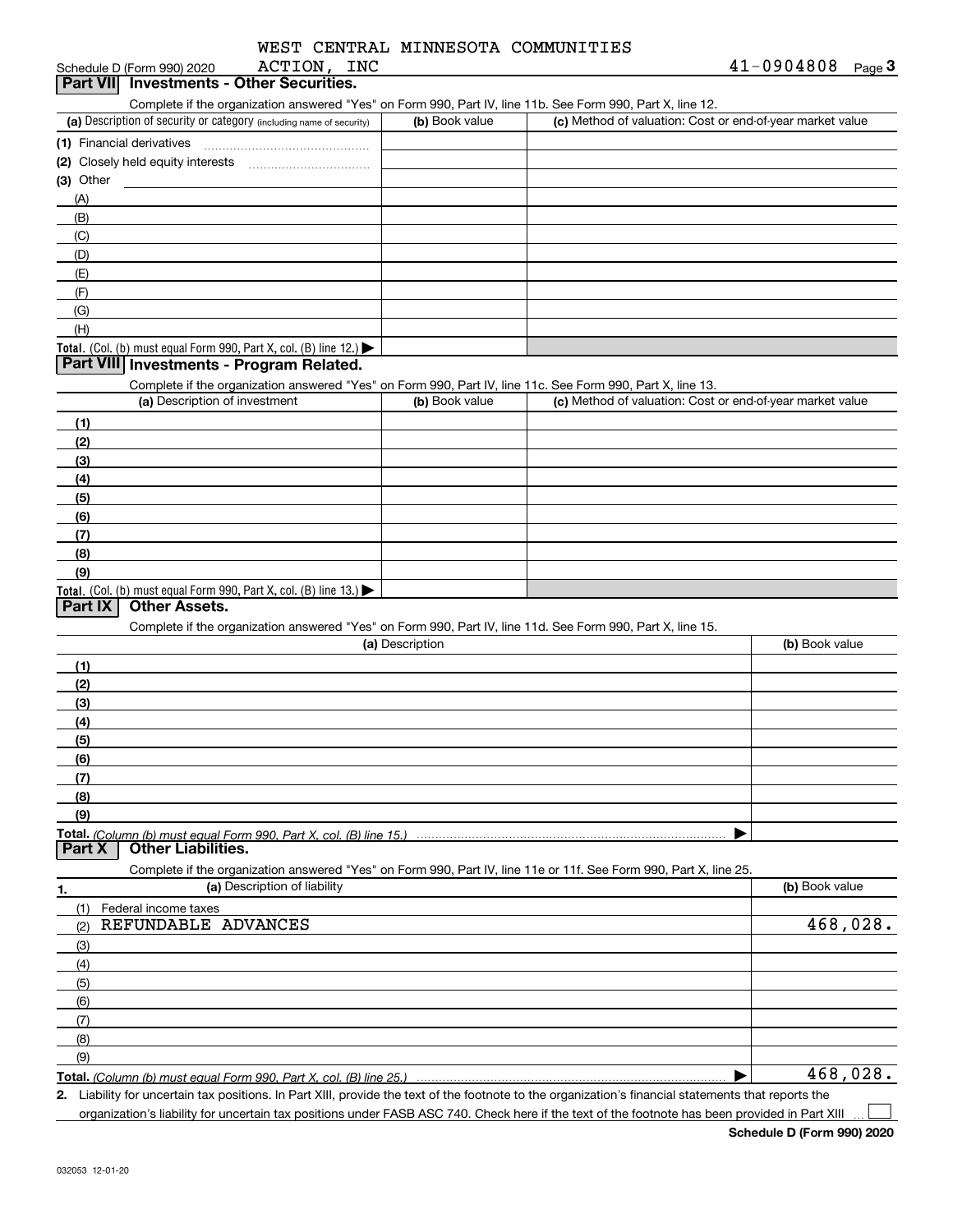|             |  | WEST CENTRAL MINNESOTA COMMUNITIES |
|-------------|--|------------------------------------|
| ACTION, INC |  |                                    |

| <b>Part VII</b> Investments - Other Securities |  |
|------------------------------------------------|--|
| ACTION,<br>Schedule D (Form 990) 2020          |  |

| Complete if the organization answered "Yes" on Form 990, Part IV, line 11b, See Form 990 |  |  |  |  |
|------------------------------------------------------------------------------------------|--|--|--|--|

| Complete if the organization answered "Yes" on Form 990, Part IV, line 11b. See Form 990, Part X, line 12. |                |                                                           |
|------------------------------------------------------------------------------------------------------------|----------------|-----------------------------------------------------------|
| (a) Description of security or category (including name of security)                                       | (b) Book value | (c) Method of valuation: Cost or end-of-year market value |
| (1) Financial derivatives                                                                                  |                |                                                           |
| (2) Closely held equity interests                                                                          |                |                                                           |
| (3) Other                                                                                                  |                |                                                           |
| (A)                                                                                                        |                |                                                           |
| (B)                                                                                                        |                |                                                           |
| (C)                                                                                                        |                |                                                           |
| (D)                                                                                                        |                |                                                           |
| (E)                                                                                                        |                |                                                           |
| (F)                                                                                                        |                |                                                           |
| (G)                                                                                                        |                |                                                           |
| (H)                                                                                                        |                |                                                           |
| <b>Total.</b> (Col. (b) must equal Form 990, Part X, col. (B) line $12$ .)                                 |                |                                                           |

### **Part VIII Investments - Program Related.**

Complete if the organization answered "Yes" on Form 990, Part IV, line 11c. See Form 990, Part X, line 13.

| (a) Description of investment                                       | (b) Book value | (c) Method of valuation: Cost or end-of-year market value |
|---------------------------------------------------------------------|----------------|-----------------------------------------------------------|
| (1)                                                                 |                |                                                           |
| (2)                                                                 |                |                                                           |
| $\frac{1}{2}$                                                       |                |                                                           |
| (4)                                                                 |                |                                                           |
| (5)                                                                 |                |                                                           |
| (6)                                                                 |                |                                                           |
| (7)                                                                 |                |                                                           |
| (8)                                                                 |                |                                                           |
| (9)                                                                 |                |                                                           |
| Total. (Col. (b) must equal Form 990, Part X, col. (B) line $13.$ ) |                |                                                           |

### **Part IX Other Assets.**

Complete if the organization answered "Yes" on Form 990, Part IV, line 11d. See Form 990, Part X, line 15.

| (a) Description                                                                                                   | (b) Book value |
|-------------------------------------------------------------------------------------------------------------------|----------------|
| (1)                                                                                                               |                |
| (2)                                                                                                               |                |
| (3)                                                                                                               |                |
| (4)                                                                                                               |                |
| (5)                                                                                                               |                |
| (6)                                                                                                               |                |
| (7)                                                                                                               |                |
| (8)                                                                                                               |                |
| (9)                                                                                                               |                |
|                                                                                                                   |                |
| <b>Other Liabilities.</b><br><b>Part X</b>                                                                        |                |
| Complete if the organization answered "Yes" on Form 990, Part IV, line 11e or 11f. See Form 990, Part X, line 25. |                |
| (a) Description of liability<br>1.                                                                                | (b) Book value |
| Federal income taxes<br>(1)                                                                                       |                |

| $\cup$<br>regeral inconie taxes |          |
|---------------------------------|----------|
| REFUNDABLE ADVANCES<br>(2)      | 468,028. |
| (3)                             |          |
| (4)                             |          |
| (5)                             |          |
| (6)                             |          |
| (7)                             |          |
| (8)                             |          |
| (9)                             |          |
|                                 | 468,028. |

**Total.**  *(Column (b) must equal Form 990, Part X, col. (B) line 25.)* 

**2.** Liability for uncertain tax positions. In Part XIII, provide the text of the footnote to the organization's financial statements that reports the

 $\mathcal{L}^{\text{max}}$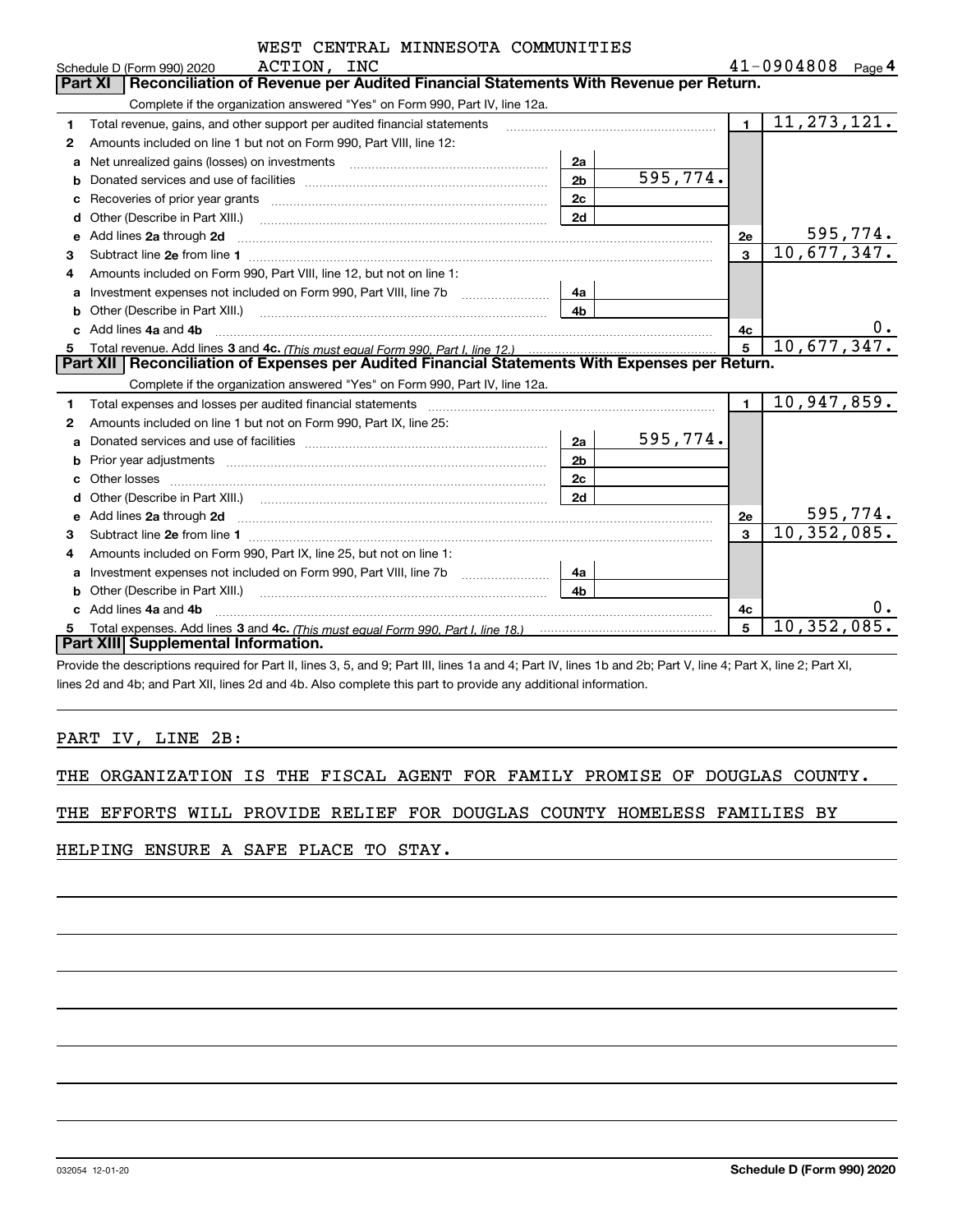|   | WEST CENTRAL MINNESOTA COMMUNITIES                                                                                                                                                                                             |                |          |                |                           |           |
|---|--------------------------------------------------------------------------------------------------------------------------------------------------------------------------------------------------------------------------------|----------------|----------|----------------|---------------------------|-----------|
|   | ACTION, INC<br>Schedule D (Form 990) 2020                                                                                                                                                                                      |                |          |                | $41 - 0904808$ Page 4     |           |
|   | Reconciliation of Revenue per Audited Financial Statements With Revenue per Return.<br><b>Part XI</b>                                                                                                                          |                |          |                |                           |           |
|   | Complete if the organization answered "Yes" on Form 990, Part IV, line 12a.                                                                                                                                                    |                |          |                |                           |           |
| 1 | Total revenue, gains, and other support per audited financial statements                                                                                                                                                       |                |          | $\mathbf{1}$   | 11, 273, 121.             |           |
| 2 | Amounts included on line 1 but not on Form 990, Part VIII, line 12:                                                                                                                                                            |                |          |                |                           |           |
| a | Net unrealized gains (losses) on investments [11] matter contracts and the unrealized gains (losses) on investments                                                                                                            | 2a             |          |                |                           |           |
| b |                                                                                                                                                                                                                                | 2 <sub>b</sub> | 595,774. |                |                           |           |
| с |                                                                                                                                                                                                                                | 2c             |          |                |                           |           |
| d | Other (Describe in Part XIII.)                                                                                                                                                                                                 | 2d             |          |                |                           |           |
| е | Add lines 2a through 2d                                                                                                                                                                                                        |                |          | 2e             |                           | 595,774.  |
| 3 |                                                                                                                                                                                                                                |                |          | $\overline{3}$ | $\overline{10,677,347}$ . |           |
| 4 | Amounts included on Form 990, Part VIII, line 12, but not on line 1:                                                                                                                                                           |                |          |                |                           |           |
| a |                                                                                                                                                                                                                                | 4a             |          |                |                           |           |
| b |                                                                                                                                                                                                                                | 4b             |          |                |                           |           |
|   | Add lines 4a and 4b                                                                                                                                                                                                            |                |          | 4c             |                           | $0 \cdot$ |
| 5 |                                                                                                                                                                                                                                |                |          |                | 10,677,347.               |           |
|   | Part XII   Reconciliation of Expenses per Audited Financial Statements With Expenses per Return.                                                                                                                               |                |          |                |                           |           |
|   | Complete if the organization answered "Yes" on Form 990, Part IV, line 12a.                                                                                                                                                    |                |          |                |                           |           |
| 1 | Total expenses and losses per audited financial statements [11] [12] manuscription and contract the statements [13] manuscription and the statements [13] manuscription and the statements and the statements and the statemen |                |          | $\blacksquare$ | 10,947,859.               |           |
| 2 | Amounts included on line 1 but not on Form 990, Part IX, line 25:                                                                                                                                                              |                |          |                |                           |           |
| a |                                                                                                                                                                                                                                | 2a             | 595,774. |                |                           |           |
| b |                                                                                                                                                                                                                                | 2 <sub>b</sub> |          |                |                           |           |
|   |                                                                                                                                                                                                                                | 2c             |          |                |                           |           |
|   |                                                                                                                                                                                                                                | 2d             |          |                |                           |           |
| е | Add lines 2a through 2d <b>contained a contained a contained a contained a</b> contained a contained a contact the set                                                                                                         |                |          | 2е             |                           | 595,774.  |
| 3 |                                                                                                                                                                                                                                |                |          | $\mathbf{3}$   | 10,352,085.               |           |
| 4 | Amounts included on Form 990, Part IX, line 25, but not on line 1:                                                                                                                                                             |                |          |                |                           |           |
| a | Investment expenses not included on Form 990, Part VIII, line 7b [100] [100] [100] [100] [100] [100] [100] [10                                                                                                                 | 4a             |          |                |                           |           |
| b | Other (Describe in Part XIII.)                                                                                                                                                                                                 | 4h             |          |                |                           |           |
| c | Add lines 4a and 4b                                                                                                                                                                                                            |                |          | 4с             |                           |           |
|   |                                                                                                                                                                                                                                |                |          | 5              | 10, 352, 085              |           |
|   | Part XIII Supplemental Information.                                                                                                                                                                                            |                |          |                |                           |           |

Provide the descriptions required for Part II, lines 3, 5, and 9; Part III, lines 1a and 4; Part IV, lines 1b and 2b; Part V, line 4; Part X, line 2; Part XI, lines 2d and 4b; and Part XII, lines 2d and 4b. Also complete this part to provide any additional information.

# PART IV, LINE 2B:

|  | THE ORGANIZATION IS THE FISCAL AGENT FOR FAMILY PROMISE OF DOUGLAS COUNTY. |  |  |  |  |  |  |  |  |  |  |
|--|----------------------------------------------------------------------------|--|--|--|--|--|--|--|--|--|--|
|--|----------------------------------------------------------------------------|--|--|--|--|--|--|--|--|--|--|

|  |  |  |  |  |  |  |  |  | THE EFFORTS WILL PROVIDE RELIEF FOR DOUGLAS COUNTY HOMELESS FAMILIES BY |  |
|--|--|--|--|--|--|--|--|--|-------------------------------------------------------------------------|--|
|--|--|--|--|--|--|--|--|--|-------------------------------------------------------------------------|--|

HELPING ENSURE A SAFE PLACE TO STAY.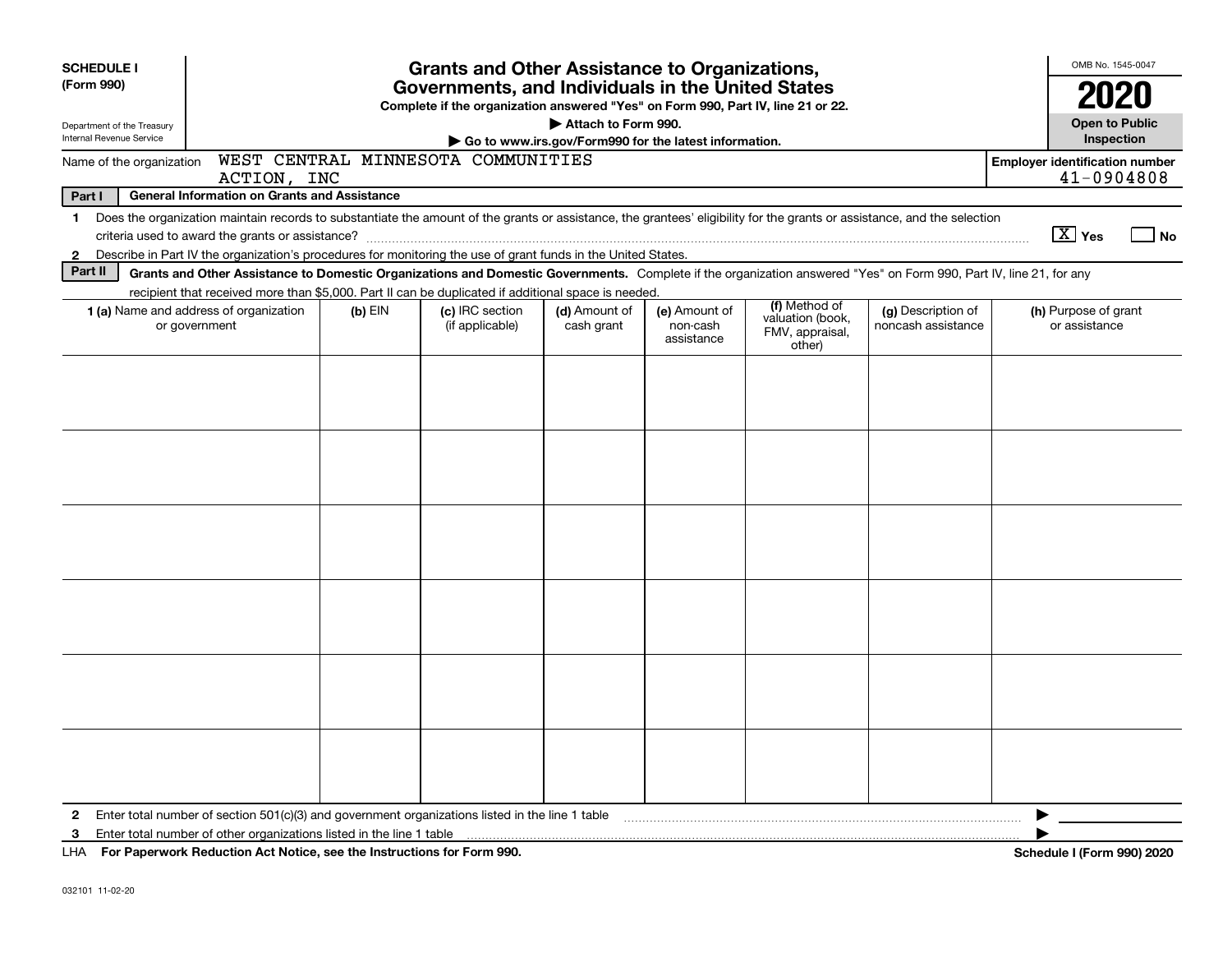| <b>SCHEDULE I</b><br><b>Grants and Other Assistance to Organizations,</b> |                                                                                                                                                                                                                                                                                           |         |                                                                                                                                       |                                                                              |                                         |                                                                |                                          |                                                     |
|---------------------------------------------------------------------------|-------------------------------------------------------------------------------------------------------------------------------------------------------------------------------------------------------------------------------------------------------------------------------------------|---------|---------------------------------------------------------------------------------------------------------------------------------------|------------------------------------------------------------------------------|-----------------------------------------|----------------------------------------------------------------|------------------------------------------|-----------------------------------------------------|
| (Form 990)                                                                |                                                                                                                                                                                                                                                                                           |         | Governments, and Individuals in the United States<br>Complete if the organization answered "Yes" on Form 990, Part IV, line 21 or 22. |                                                                              |                                         |                                                                |                                          | 2020                                                |
| Department of the Treasury<br>Internal Revenue Service                    |                                                                                                                                                                                                                                                                                           |         |                                                                                                                                       | Attach to Form 990.<br>Go to www.irs.gov/Form990 for the latest information. |                                         |                                                                |                                          | <b>Open to Public</b><br>Inspection                 |
| Name of the organization                                                  | ACTION, INC                                                                                                                                                                                                                                                                               |         | WEST CENTRAL MINNESOTA COMMUNITIES                                                                                                    |                                                                              |                                         |                                                                |                                          | <b>Employer identification number</b><br>41-0904808 |
| Part I                                                                    | <b>General Information on Grants and Assistance</b>                                                                                                                                                                                                                                       |         |                                                                                                                                       |                                                                              |                                         |                                                                |                                          |                                                     |
| 1<br>$\mathbf{2}$                                                         | Does the organization maintain records to substantiate the amount of the grants or assistance, the grantees' eligibility for the grants or assistance, and the selection<br>Describe in Part IV the organization's procedures for monitoring the use of grant funds in the United States. |         |                                                                                                                                       |                                                                              |                                         |                                                                |                                          | $\boxed{\text{X}}$ Yes<br>l No                      |
| Part II                                                                   | Grants and Other Assistance to Domestic Organizations and Domestic Governments. Complete if the organization answered "Yes" on Form 990, Part IV, line 21, for any                                                                                                                        |         |                                                                                                                                       |                                                                              |                                         |                                                                |                                          |                                                     |
|                                                                           | recipient that received more than \$5,000. Part II can be duplicated if additional space is needed.<br>1 (a) Name and address of organization<br>or government                                                                                                                            | (b) EIN | (c) IRC section<br>(if applicable)                                                                                                    | (d) Amount of<br>cash grant                                                  | (e) Amount of<br>non-cash<br>assistance | (f) Method of<br>valuation (book,<br>FMV, appraisal,<br>other) | (g) Description of<br>noncash assistance | (h) Purpose of grant<br>or assistance               |
|                                                                           |                                                                                                                                                                                                                                                                                           |         |                                                                                                                                       |                                                                              |                                         |                                                                |                                          |                                                     |
|                                                                           |                                                                                                                                                                                                                                                                                           |         |                                                                                                                                       |                                                                              |                                         |                                                                |                                          |                                                     |
|                                                                           |                                                                                                                                                                                                                                                                                           |         |                                                                                                                                       |                                                                              |                                         |                                                                |                                          |                                                     |
|                                                                           |                                                                                                                                                                                                                                                                                           |         |                                                                                                                                       |                                                                              |                                         |                                                                |                                          |                                                     |
|                                                                           |                                                                                                                                                                                                                                                                                           |         |                                                                                                                                       |                                                                              |                                         |                                                                |                                          |                                                     |
|                                                                           |                                                                                                                                                                                                                                                                                           |         |                                                                                                                                       |                                                                              |                                         |                                                                |                                          |                                                     |
| $\mathbf{2}$<br>3                                                         | UUA Deu Den surrent: De diretten, Ast Nattes, ass the Instructions for Form 000                                                                                                                                                                                                           |         |                                                                                                                                       |                                                                              |                                         |                                                                |                                          | ▶<br><b>Calcadole Lines</b><br>0.001000             |

**For Paperwork Reduction Act Notice, see the Instructions for Form 990. Schedule I (Form 990) 2020** LHA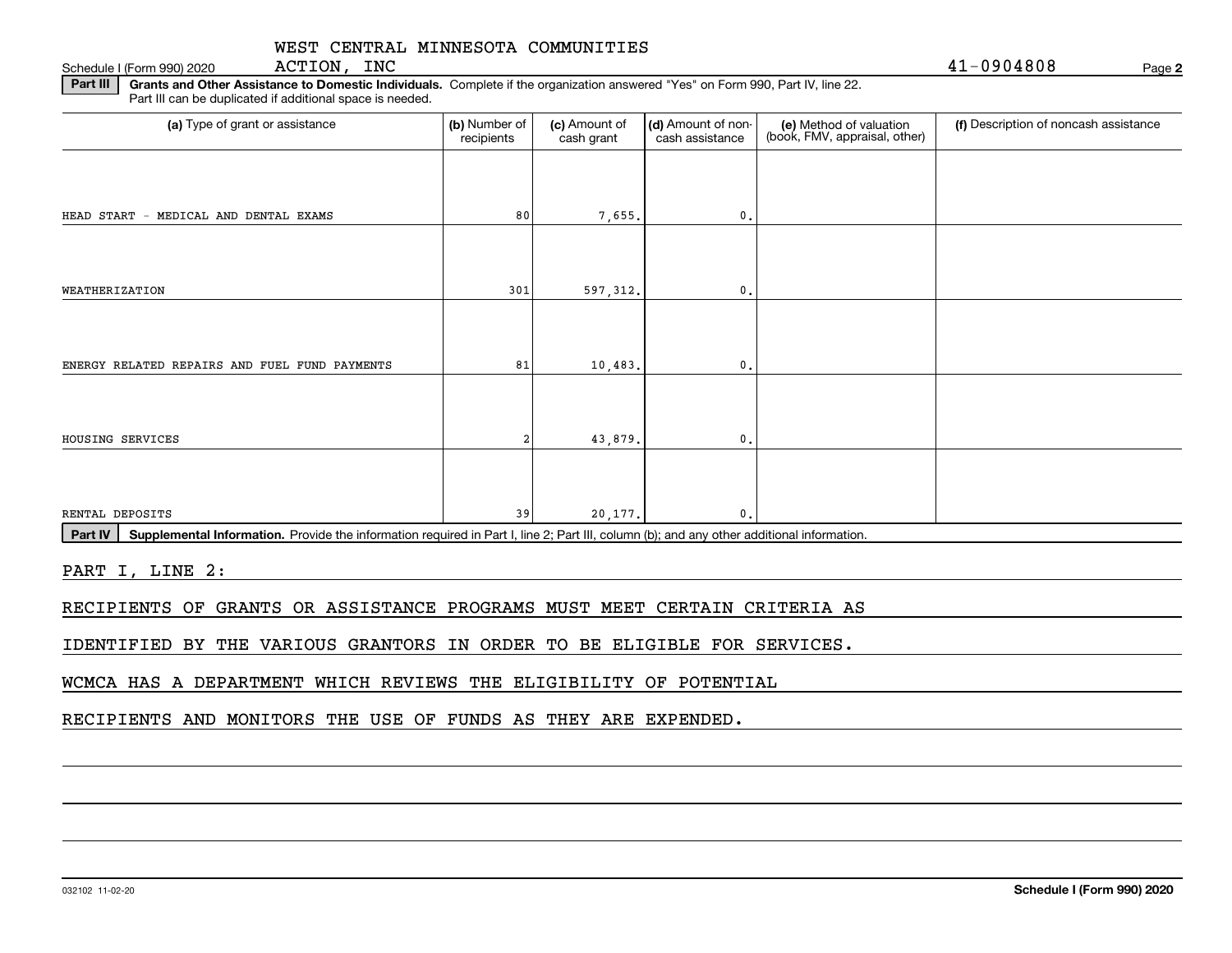Schedule I (Form 990) 2020  $\overline{ACTION}$ ,  $\overline{INC}$ ACTION, INC

**2**

**Part III | Grants and Other Assistance to Domestic Individuals. Complete if the organization answered "Yes" on Form 990, Part IV, line 22.** Part III can be duplicated if additional space is needed.

| (b) Number of<br>recipients | (c) Amount of<br>cash grant | cash assistance | (e) Method of valuation<br>(book, FMV, appraisal, other) | (f) Description of noncash assistance |
|-----------------------------|-----------------------------|-----------------|----------------------------------------------------------|---------------------------------------|
|                             |                             |                 |                                                          |                                       |
| 80                          |                             | $^{\circ}$ .    |                                                          |                                       |
|                             |                             |                 |                                                          |                                       |
| 301                         |                             | 0               |                                                          |                                       |
|                             |                             |                 |                                                          |                                       |
| 81                          |                             | 0.              |                                                          |                                       |
|                             |                             |                 |                                                          |                                       |
|                             |                             | $\mathbf{0}$ .  |                                                          |                                       |
|                             |                             |                 |                                                          |                                       |
| 39                          |                             | $\mathbf{0}$    |                                                          |                                       |
|                             |                             |                 | 7,655.<br>597,312.<br>10,483.<br>43,879.<br>20,177.      | (d) Amount of non-                    |

Part IV | Supplemental Information. Provide the information required in Part I, line 2; Part III, column (b); and any other additional information.

PART I, LINE 2:

RECIPIENTS OF GRANTS OR ASSISTANCE PROGRAMS MUST MEET CERTAIN CRITERIA AS

IDENTIFIED BY THE VARIOUS GRANTORS IN ORDER TO BE ELIGIBLE FOR SERVICES.

WCMCA HAS A DEPARTMENT WHICH REVIEWS THE ELIGIBILITY OF POTENTIAL

RECIPIENTS AND MONITORS THE USE OF FUNDS AS THEY ARE EXPENDED.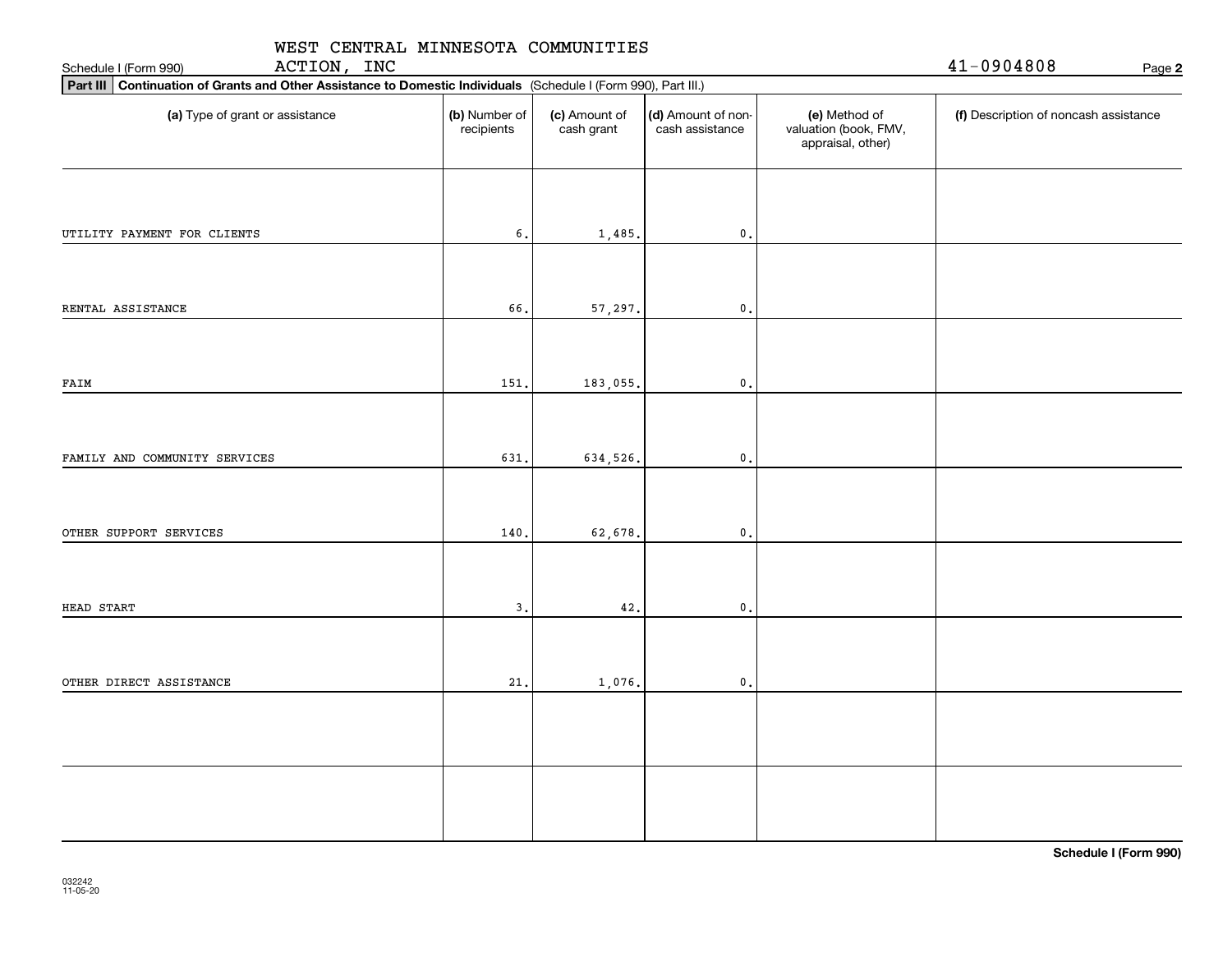| WEST CENTRAL MINNESOTA COMMUNITIES<br>ACTION, INC<br>Schedule I (Form 990)                                      | 41-0904808<br>Page 2        |                             |                                       |                                                             |                                       |
|-----------------------------------------------------------------------------------------------------------------|-----------------------------|-----------------------------|---------------------------------------|-------------------------------------------------------------|---------------------------------------|
| Part III Continuation of Grants and Other Assistance to Domestic Individuals (Schedule I (Form 990), Part III.) |                             |                             |                                       |                                                             |                                       |
| (a) Type of grant or assistance                                                                                 | (b) Number of<br>recipients | (c) Amount of<br>cash grant | (d) Amount of non-<br>cash assistance | (e) Method of<br>valuation (book, FMV,<br>appraisal, other) | (f) Description of noncash assistance |
|                                                                                                                 |                             |                             |                                       |                                                             |                                       |
| UTILITY PAYMENT FOR CLIENTS                                                                                     | 6.                          | 1,485.                      | $\mathbf 0$ .                         |                                                             |                                       |
| RENTAL ASSISTANCE                                                                                               | 66.                         | 57,297.                     | $\mathbf{0}$                          |                                                             |                                       |
| FAIM                                                                                                            | 151.                        | 183,055.                    | $\mathbf 0$ .                         |                                                             |                                       |
|                                                                                                                 | 631.                        |                             | $\mathbf{0}$ .                        |                                                             |                                       |
| FAMILY AND COMMUNITY SERVICES                                                                                   |                             | 634,526.                    |                                       |                                                             |                                       |
| OTHER SUPPORT SERVICES                                                                                          | 140.                        | 62,678.                     | $\mathbf{0}$ .                        |                                                             |                                       |
| HEAD START                                                                                                      | 3.                          | 42.                         | $\mathbf{0}$ .                        |                                                             |                                       |
| OTHER DIRECT ASSISTANCE                                                                                         | 21.                         |                             | $\mathbf{0}$                          |                                                             |                                       |
|                                                                                                                 |                             | 1,076.                      |                                       |                                                             |                                       |
|                                                                                                                 |                             |                             |                                       |                                                             |                                       |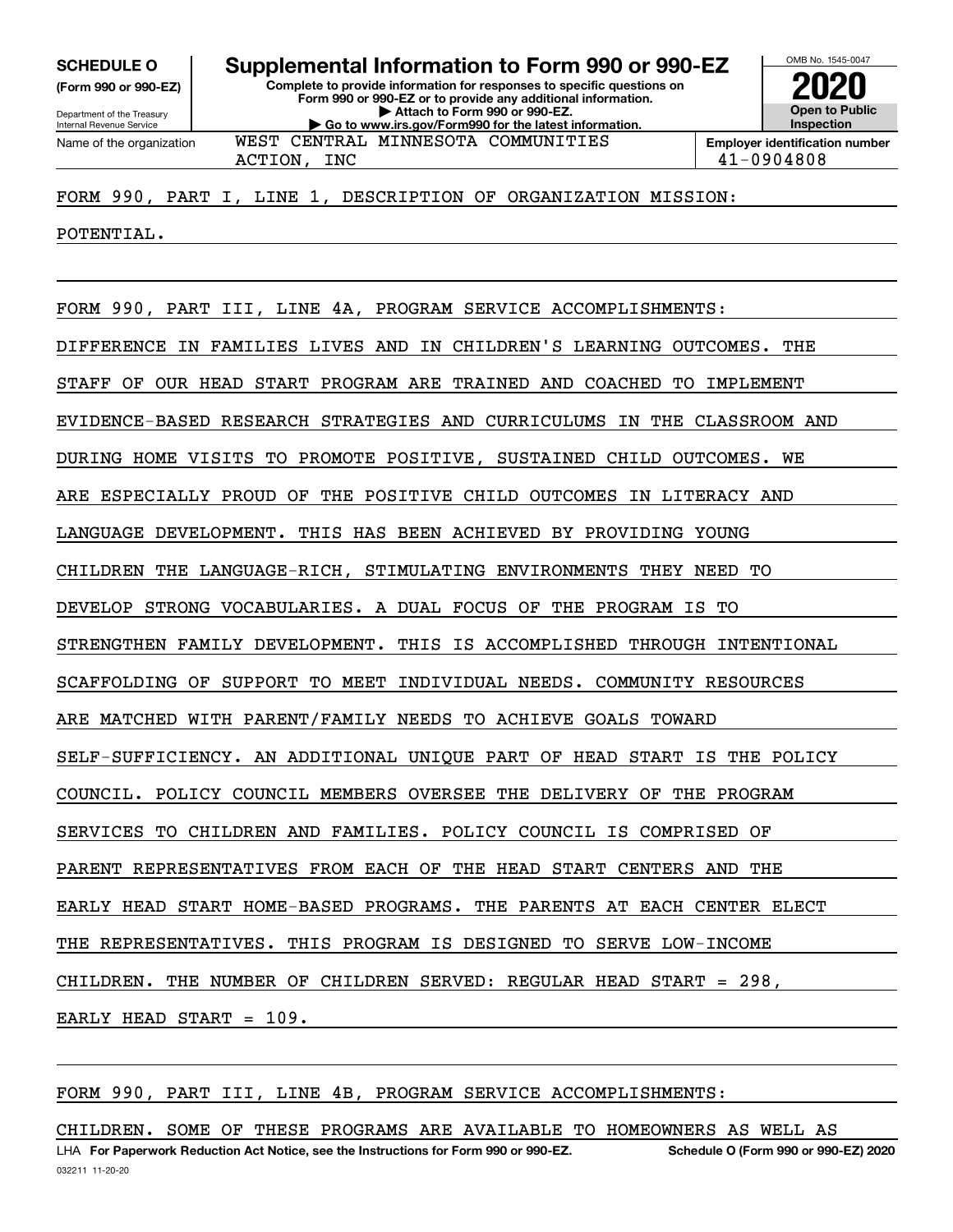**(Form 990 or 990-EZ)**

Department of the Treasury Internal Revenue Service Name of the organization

**Complete to provide information for responses to specific questions on Form 990 or 990-EZ or to provide any additional information. | Attach to Form 990 or 990-EZ. | Go to www.irs.gov/Form990 for the latest information. SCHEDULE O Supplemental Information to Form 990 or 990-EZ** WEST CENTRAL MINNESOTA COMMUNITIES

OMB No. 1545-0047 **Open to Public InspectionEmployer identification number 2020**

ACTION, INC 41-0904808

FORM 990, PART I, LINE 1, DESCRIPTION OF ORGANIZATION MISSION:

POTENTIAL.

FORM 990, PART III, LINE 4A, PROGRAM SERVICE ACCOMPLISHMENTS: DIFFERENCE IN FAMILIES LIVES AND IN CHILDREN'S LEARNING OUTCOMES. THE STAFF OF OUR HEAD START PROGRAM ARE TRAINED AND COACHED TO IMPLEMENT EVIDENCE-BASED RESEARCH STRATEGIES AND CURRICULUMS IN THE CLASSROOM AND DURING HOME VISITS TO PROMOTE POSITIVE, SUSTAINED CHILD OUTCOMES. WE ARE ESPECIALLY PROUD OF THE POSITIVE CHILD OUTCOMES IN LITERACY AND LANGUAGE DEVELOPMENT. THIS HAS BEEN ACHIEVED BY PROVIDING YOUNG CHILDREN THE LANGUAGE-RICH, STIMULATING ENVIRONMENTS THEY NEED TO DEVELOP STRONG VOCABULARIES. A DUAL FOCUS OF THE PROGRAM IS TO STRENGTHEN FAMILY DEVELOPMENT. THIS IS ACCOMPLISHED THROUGH INTENTIONAL SCAFFOLDING OF SUPPORT TO MEET INDIVIDUAL NEEDS. COMMUNITY RESOURCES ARE MATCHED WITH PARENT/FAMILY NEEDS TO ACHIEVE GOALS TOWARD SELF-SUFFICIENCY. AN ADDITIONAL UNIQUE PART OF HEAD START IS THE POLICY COUNCIL. POLICY COUNCIL MEMBERS OVERSEE THE DELIVERY OF THE PROGRAM SERVICES TO CHILDREN AND FAMILIES. POLICY COUNCIL IS COMPRISED OF PARENT REPRESENTATIVES FROM EACH OF THE HEAD START CENTERS AND THE EARLY HEAD START HOME-BASED PROGRAMS. THE PARENTS AT EACH CENTER ELECT THE REPRESENTATIVES. THIS PROGRAM IS DESIGNED TO SERVE LOW-INCOME CHILDREN. THE NUMBER OF CHILDREN SERVED: REGULAR HEAD START = 298, EARLY HEAD START = 109.

FORM 990, PART III, LINE 4B, PROGRAM SERVICE ACCOMPLISHMENTS:

LHA For Paperwork Reduction Act Notice, see the Instructions for Form 990 or 990-EZ. Schedule O (Form 990 or 990-EZ) 2020 CHILDREN. SOME OF THESE PROGRAMS ARE AVAILABLE TO HOMEOWNERS AS WELL AS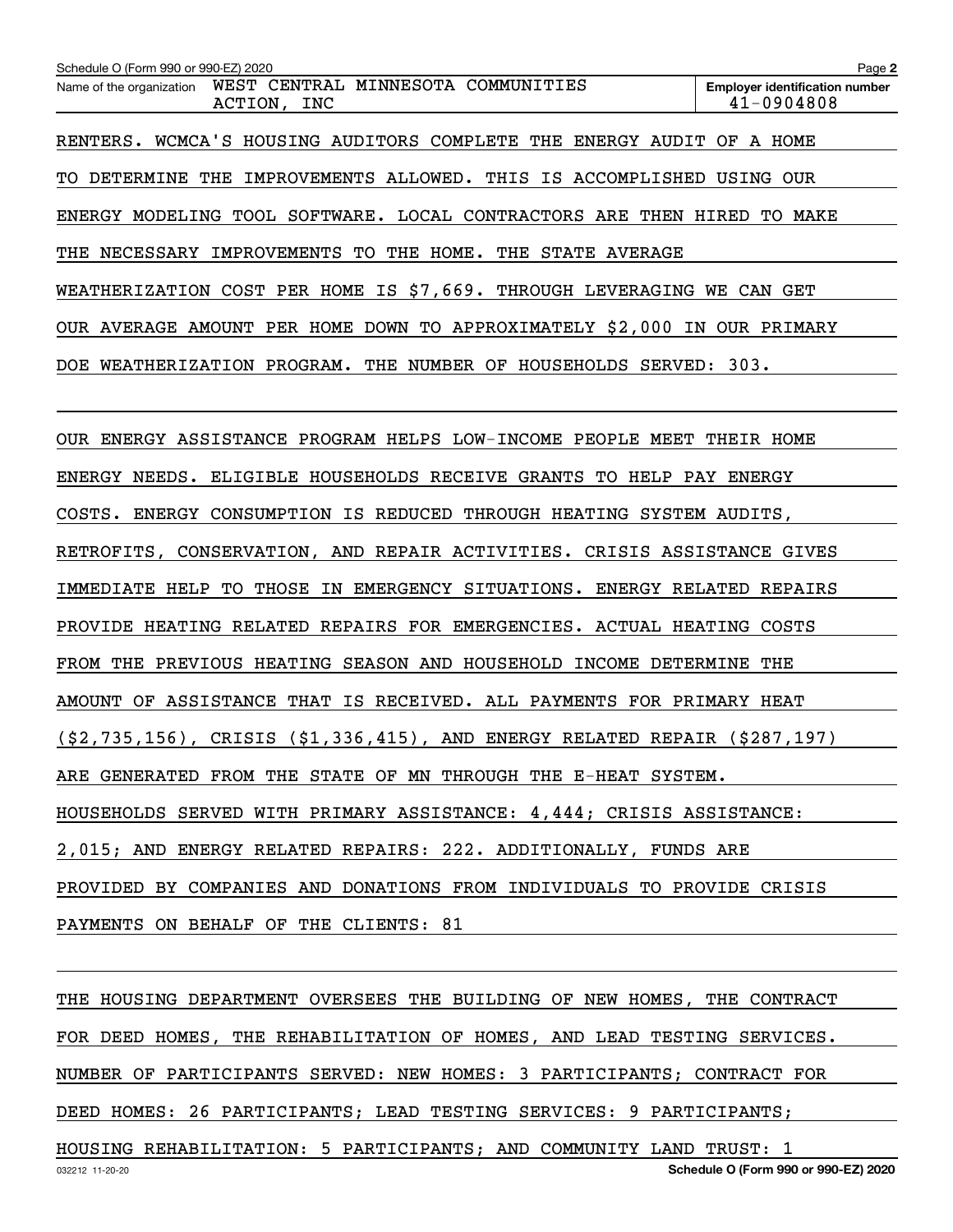| Schedule O (Form 990 or 990-EZ) 2020                                                 | Page 2                                              |
|--------------------------------------------------------------------------------------|-----------------------------------------------------|
| WEST CENTRAL MINNESOTA COMMUNITIES<br>Name of the organization<br>ACTION, INC        | <b>Employer identification number</b><br>41-0904808 |
| RENTERS. WCMCA'S HOUSING AUDITORS COMPLETE THE ENERGY AUDIT OF A HOME                |                                                     |
| TO DETERMINE THE IMPROVEMENTS ALLOWED. THIS IS ACCOMPLISHED USING OUR                |                                                     |
| ENERGY MODELING TOOL SOFTWARE. LOCAL CONTRACTORS ARE THEN HIRED TO MAKE              |                                                     |
| THE NECESSARY IMPROVEMENTS TO THE HOME. THE STATE AVERAGE                            |                                                     |
| WEATHERIZATION COST PER HOME IS \$7,669. THROUGH LEVERAGING WE CAN GET               |                                                     |
| OUR AVERAGE AMOUNT PER HOME DOWN TO APPROXIMATELY \$2,000 IN OUR PRIMARY             |                                                     |
| DOE WEATHERIZATION PROGRAM. THE NUMBER OF HOUSEHOLDS SERVED: 303.                    |                                                     |
|                                                                                      |                                                     |
| OUR ENERGY ASSISTANCE PROGRAM HELPS LOW-INCOME PEOPLE MEET THEIR HOME                |                                                     |
| ENERGY NEEDS. ELIGIBLE HOUSEHOLDS RECEIVE GRANTS TO HELP PAY ENERGY                  |                                                     |
| COSTS. ENERGY CONSUMPTION IS REDUCED THROUGH HEATING SYSTEM AUDITS,                  |                                                     |
| RETROFITS, CONSERVATION, AND REPAIR ACTIVITIES. CRISIS ASSISTANCE GIVES              |                                                     |
| IMMEDIATE HELP TO THOSE IN EMERGENCY SITUATIONS. ENERGY RELATED REPAIRS              |                                                     |
| PROVIDE HEATING RELATED REPAIRS FOR EMERGENCIES. ACTUAL HEATING COSTS                |                                                     |
| FROM THE PREVIOUS HEATING SEASON AND HOUSEHOLD INCOME DETERMINE THE                  |                                                     |
| AMOUNT OF ASSISTANCE THAT IS RECEIVED. ALL PAYMENTS FOR PRIMARY HEAT                 |                                                     |
| $(52, 735, 156)$ , CRISIS $(51, 336, 415)$ , AND ENERGY RELATED REPAIR $(5287, 197)$ |                                                     |
| ARE GENERATED FROM THE STATE OF MN THROUGH THE E-HEAT SYSTEM.                        |                                                     |
| HOUSEHOLDS SERVED WITH PRIMARY ASSISTANCE: 4,444; CRISIS ASSISTANCE:                 |                                                     |
| 2,015; AND ENERGY RELATED REPAIRS: 222. ADDITIONALLY, FUNDS ARE                      |                                                     |
| PROVIDED BY COMPANIES AND DONATIONS FROM INDIVIDUALS TO PROVIDE CRISIS               |                                                     |
| PAYMENTS ON BEHALF OF THE CLIENTS: 81                                                |                                                     |
|                                                                                      |                                                     |
| THE HOUSING DEPARTMENT OVERSEES THE BUILDING OF NEW HOMES, THE CONTRACT              |                                                     |
| FOR DEED HOMES, THE REHABILITATION OF HOMES, AND LEAD TESTING SERVICES.              |                                                     |
| NUMBER OF PARTICIPANTS SERVED: NEW HOMES: 3 PARTICIPANTS; CONTRACT FOR               |                                                     |
|                                                                                      |                                                     |

DEED HOMES: 26 PARTICIPANTS; LEAD TESTING SERVICES: 9 PARTICIPANTS;

HOUSING REHABILITATION: 5 PARTICIPANTS; AND COMMUNITY LAND TRUST: 1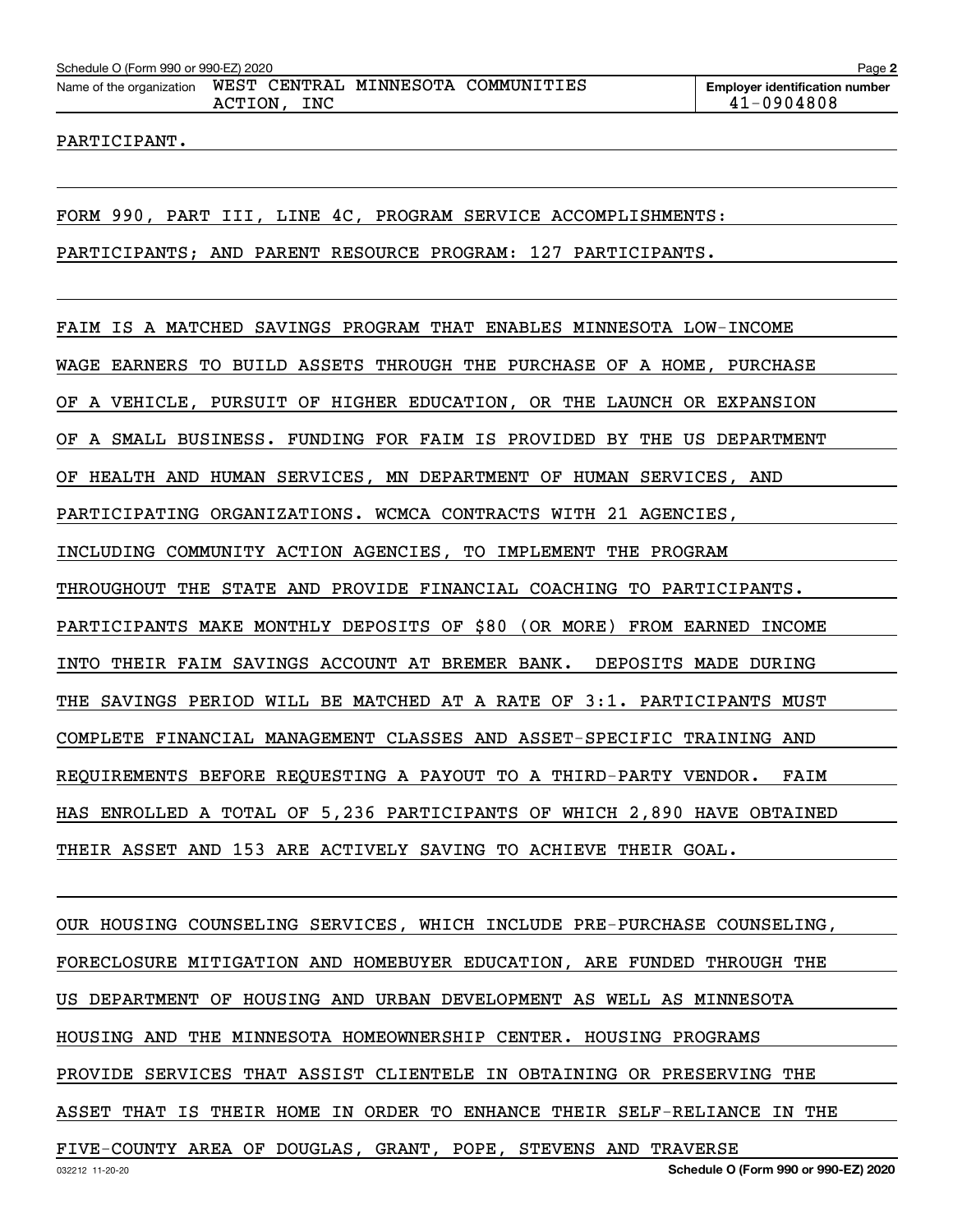### PARTICIPANT.

FORM 990, PART III, LINE 4C, PROGRAM SERVICE ACCOMPLISHMENTS:

PARTICIPANTS; AND PARENT RESOURCE PROGRAM: 127 PARTICIPANTS.

FAIM IS A MATCHED SAVINGS PROGRAM THAT ENABLES MINNESOTA LOW-INCOME

WAGE EARNERS TO BUILD ASSETS THROUGH THE PURCHASE OF A HOME, PURCHASE

OF A VEHICLE, PURSUIT OF HIGHER EDUCATION, OR THE LAUNCH OR EXPANSION

OF A SMALL BUSINESS. FUNDING FOR FAIM IS PROVIDED BY THE US DEPARTMENT

OF HEALTH AND HUMAN SERVICES, MN DEPARTMENT OF HUMAN SERVICES, AND

PARTICIPATING ORGANIZATIONS. WCMCA CONTRACTS WITH 21 AGENCIES,

INCLUDING COMMUNITY ACTION AGENCIES, TO IMPLEMENT THE PROGRAM

THROUGHOUT THE STATE AND PROVIDE FINANCIAL COACHING TO PARTICIPANTS.

PARTICIPANTS MAKE MONTHLY DEPOSITS OF \$80 (OR MORE) FROM EARNED INCOME

INTO THEIR FAIM SAVINGS ACCOUNT AT BREMER BANK. DEPOSITS MADE DURING

THE SAVINGS PERIOD WILL BE MATCHED AT A RATE OF 3:1. PARTICIPANTS MUST

COMPLETE FINANCIAL MANAGEMENT CLASSES AND ASSET-SPECIFIC TRAINING AND

REQUIREMENTS BEFORE REQUESTING A PAYOUT TO A THIRD-PARTY VENDOR. FAIM

HAS ENROLLED A TOTAL OF 5,236 PARTICIPANTS OF WHICH 2,890 HAVE OBTAINED

THEIR ASSET AND 153 ARE ACTIVELY SAVING TO ACHIEVE THEIR GOAL.

OUR HOUSING COUNSELING SERVICES, WHICH INCLUDE PRE-PURCHASE COUNSELING, FORECLOSURE MITIGATION AND HOMEBUYER EDUCATION, ARE FUNDED THROUGH THE US DEPARTMENT OF HOUSING AND URBAN DEVELOPMENT AS WELL AS MINNESOTA HOUSING AND THE MINNESOTA HOMEOWNERSHIP CENTER. HOUSING PROGRAMS PROVIDE SERVICES THAT ASSIST CLIENTELE IN OBTAINING OR PRESERVING THE ASSET THAT IS THEIR HOME IN ORDER TO ENHANCE THEIR SELF-RELIANCE IN THE FIVE-COUNTY AREA OF DOUGLAS, GRANT, POPE, STEVENS AND TRAVERSE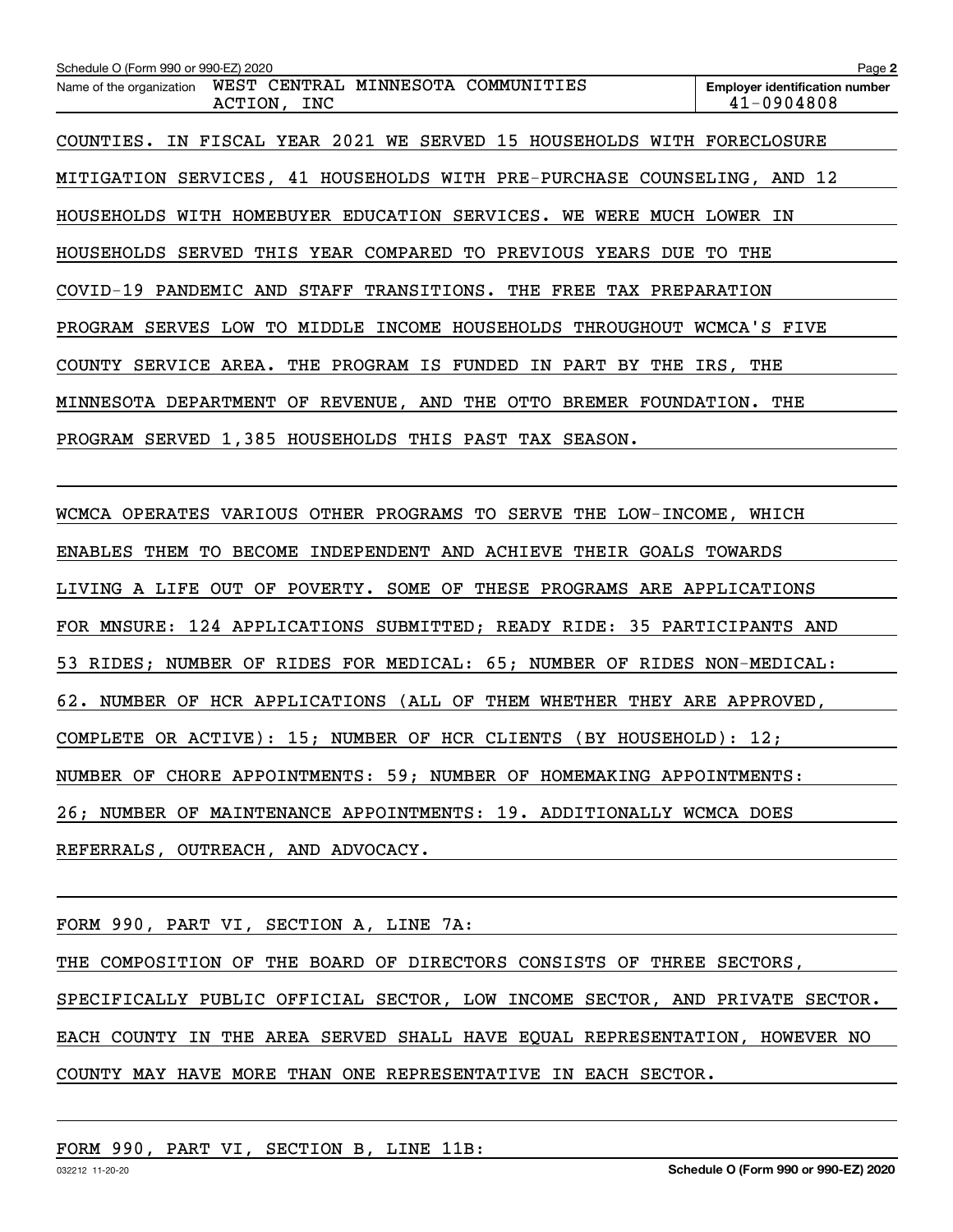| Schedule O (Form 990 or 990-EZ) 2020                                          | Page 2                                              |
|-------------------------------------------------------------------------------|-----------------------------------------------------|
| WEST CENTRAL MINNESOTA COMMUNITIES<br>Name of the organization<br>ACTION, INC | <b>Employer identification number</b><br>41-0904808 |
| IN FISCAL YEAR 2021 WE SERVED 15 HOUSEHOLDS WITH FORECLOSURE<br>COUNTIES.     |                                                     |
| MITIGATION SERVICES, 41 HOUSEHOLDS WITH PRE-PURCHASE COUNSELING, AND 12       |                                                     |
| HOUSEHOLDS WITH HOMEBUYER EDUCATION SERVICES. WE WERE MUCH LOWER IN           |                                                     |
| SERVED<br>THIS YEAR COMPARED TO PREVIOUS<br>HOUSEHOLDS<br>YEARS<br>DUE        | THE<br>TO.                                          |
| COVID-19 PANDEMIC AND STAFF TRANSITIONS. THE FREE TAX PREPARATION             |                                                     |
| SERVES LOW<br>TО<br>MIDDLE INCOME HOUSEHOLDS THROUGHOUT<br>PROGRAM            | WCMCA'S FIVE                                        |
| COUNTY SERVICE AREA. THE PROGRAM IS FUNDED IN PART BY THE IRS, THE            |                                                     |
| DEPARTMENT OF REVENUE, AND THE OTTO BREMER<br>MINNESOTA                       | FOUNDATION.<br>THE                                  |
| PROGRAM SERVED 1,385 HOUSEHOLDS THIS PAST TAX SEASON.                         |                                                     |
|                                                                               |                                                     |

WCMCA OPERATES VARIOUS OTHER PROGRAMS TO SERVE THE LOW-INCOME, WHICH ENABLES THEM TO BECOME INDEPENDENT AND ACHIEVE THEIR GOALS TOWARDS LIVING A LIFE OUT OF POVERTY. SOME OF THESE PROGRAMS ARE APPLICATIONS FOR MNSURE: 124 APPLICATIONS SUBMITTED; READY RIDE: 35 PARTICIPANTS AND 53 RIDES; NUMBER OF RIDES FOR MEDICAL: 65; NUMBER OF RIDES NON-MEDICAL: 62. NUMBER OF HCR APPLICATIONS (ALL OF THEM WHETHER THEY ARE APPROVED, COMPLETE OR ACTIVE): 15; NUMBER OF HCR CLIENTS (BY HOUSEHOLD): 12; NUMBER OF CHORE APPOINTMENTS: 59; NUMBER OF HOMEMAKING APPOINTMENTS: 26; NUMBER OF MAINTENANCE APPOINTMENTS: 19. ADDITIONALLY WCMCA DOES REFERRALS, OUTREACH, AND ADVOCACY.

FORM 990, PART VI, SECTION A, LINE 7A:

THE COMPOSITION OF THE BOARD OF DIRECTORS CONSISTS OF THREE SECTORS,

SPECIFICALLY PUBLIC OFFICIAL SECTOR, LOW INCOME SECTOR, AND PRIVATE SECTOR. EACH COUNTY IN THE AREA SERVED SHALL HAVE EQUAL REPRESENTATION, HOWEVER NO COUNTY MAY HAVE MORE THAN ONE REPRESENTATIVE IN EACH SECTOR.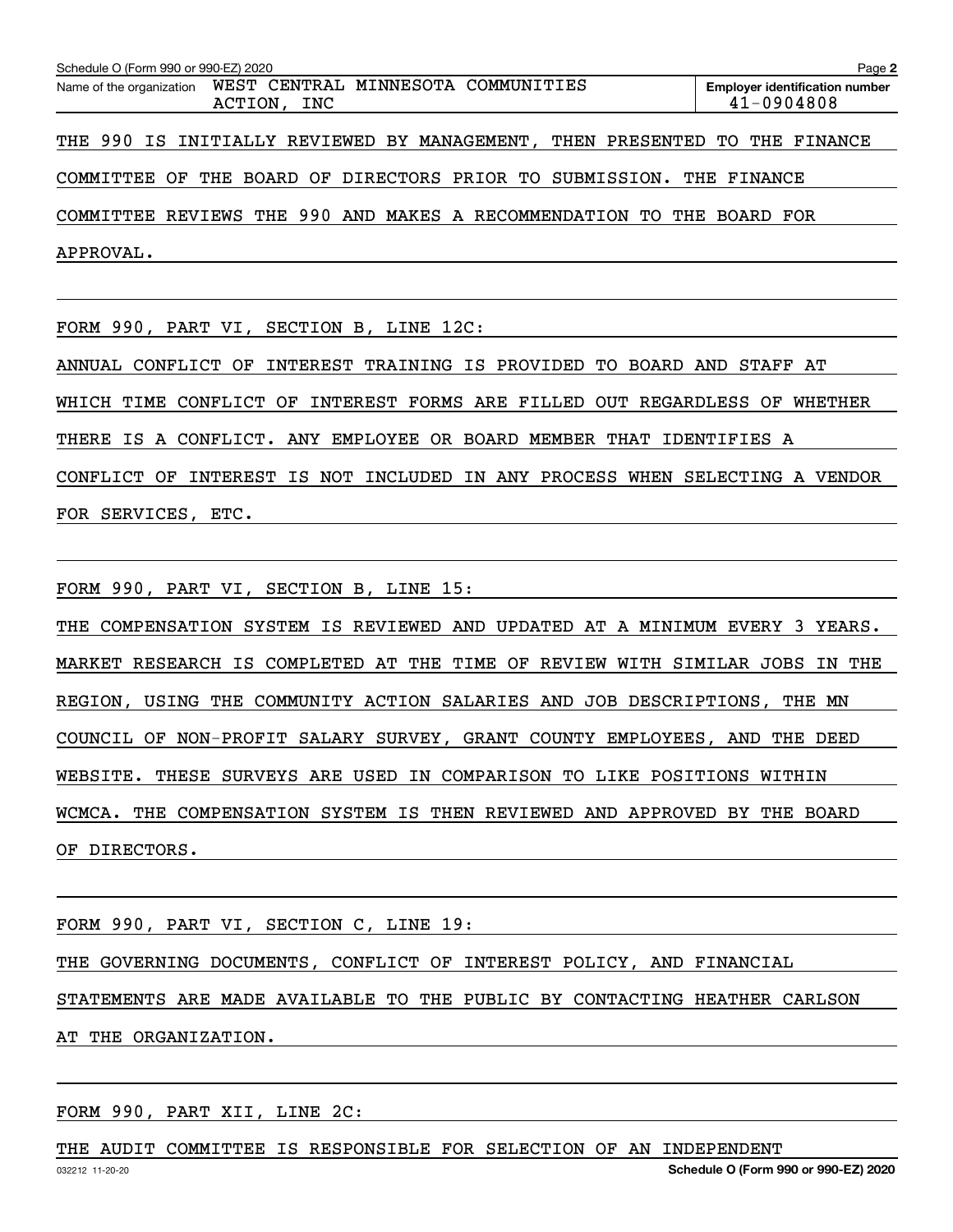| Schedule O (Form 990 or 990-EZ) 2020                                       | Page 2                                                  |
|----------------------------------------------------------------------------|---------------------------------------------------------|
| Name of the organization WEST CENTRAL MINNESOTA COMMUNITIES<br>ACTION, INC | <b>Employer identification number</b><br>$41 - 0904808$ |
| THE 990 IS INITIALLY REVIEWED BY MANAGEMENT, THEN PRESENTED TO THE FINANCE |                                                         |
| COMMITTEE OF THE BOARD OF DIRECTORS PRIOR TO SUBMISSION. THE FINANCE       |                                                         |
| COMMITTEE REVIEWS THE 990 AND MAKES A RECOMMENDATION TO THE BOARD FOR      |                                                         |
| APPROVAL.                                                                  |                                                         |

FORM 990, PART VI, SECTION B, LINE 12C:

ANNUAL CONFLICT OF INTEREST TRAINING IS PROVIDED TO BOARD AND STAFF AT WHICH TIME CONFLICT OF INTEREST FORMS ARE FILLED OUT REGARDLESS OF WHETHER THERE IS A CONFLICT. ANY EMPLOYEE OR BOARD MEMBER THAT IDENTIFIES A CONFLICT OF INTEREST IS NOT INCLUDED IN ANY PROCESS WHEN SELECTING A VENDOR FOR SERVICES, ETC.

FORM 990, PART VI, SECTION B, LINE 15:

THE COMPENSATION SYSTEM IS REVIEWED AND UPDATED AT A MINIMUM EVERY 3 YEARS. MARKET RESEARCH IS COMPLETED AT THE TIME OF REVIEW WITH SIMILAR JOBS IN THE REGION, USING THE COMMUNITY ACTION SALARIES AND JOB DESCRIPTIONS, THE MN COUNCIL OF NON-PROFIT SALARY SURVEY, GRANT COUNTY EMPLOYEES, AND THE DEED WEBSITE. THESE SURVEYS ARE USED IN COMPARISON TO LIKE POSITIONS WITHIN WCMCA. THE COMPENSATION SYSTEM IS THEN REVIEWED AND APPROVED BY THE BOARD OF DIRECTORS.

FORM 990, PART VI, SECTION C, LINE 19:

THE GOVERNING DOCUMENTS, CONFLICT OF INTEREST POLICY, AND FINANCIAL

STATEMENTS ARE MADE AVAILABLE TO THE PUBLIC BY CONTACTING HEATHER CARLSON

AT THE ORGANIZATION.

### FORM 990, PART XII, LINE 2C:

THE AUDIT COMMITTEE IS RESPONSIBLE FOR SELECTION OF AN INDEPENDENT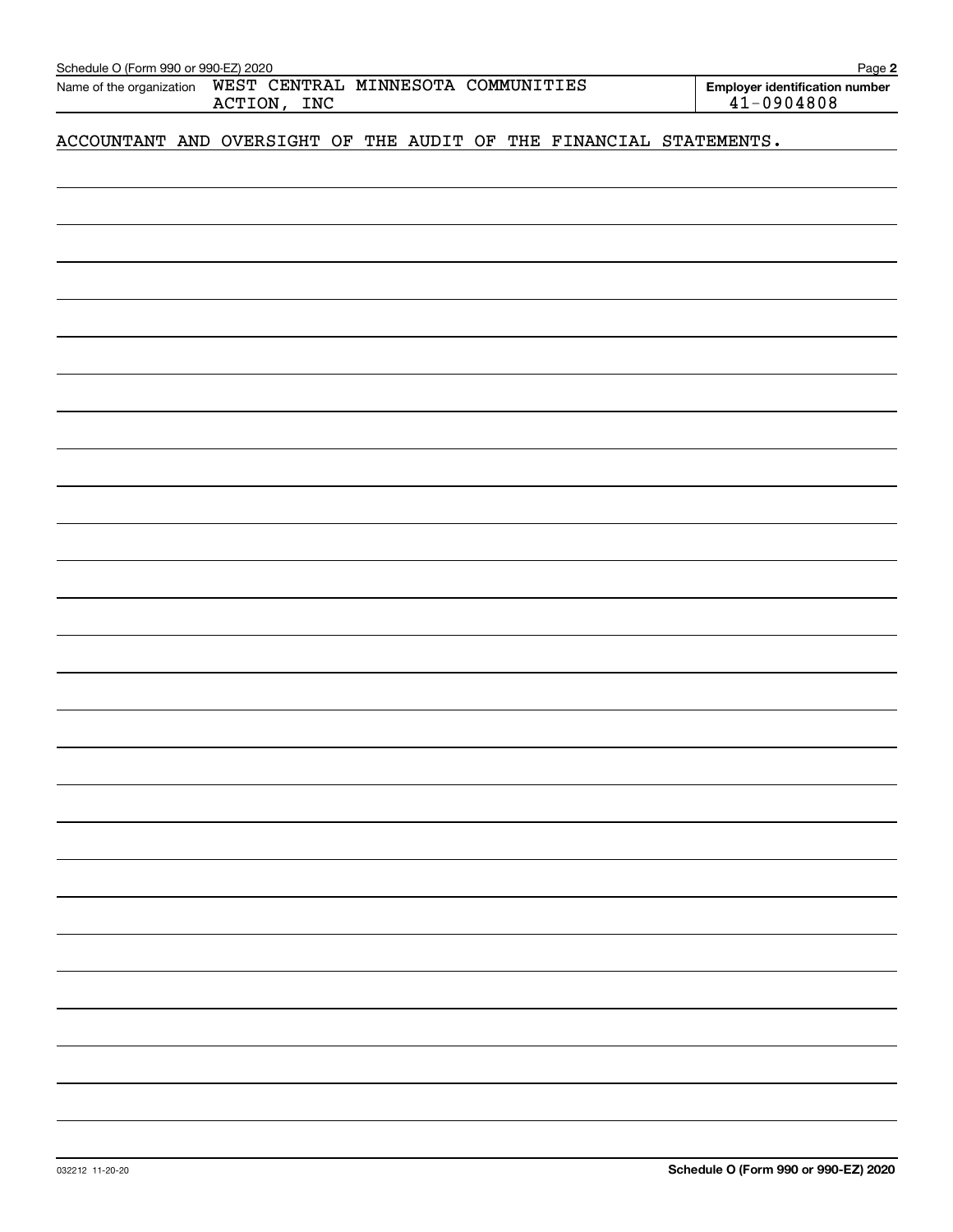| Schedule O (Form 990 or 990-EZ) 2020                                          |  |  |  |  |  |  |  |                                                     | Page 2 |
|-------------------------------------------------------------------------------|--|--|--|--|--|--|--|-----------------------------------------------------|--------|
| WEST CENTRAL MINNESOTA COMMUNITIES<br>Name of the organization<br>ACTION, INC |  |  |  |  |  |  |  | <b>Employer identification number</b><br>41-0904808 |        |
| ACCOUNTANT AND OVERSIGHT OF THE AUDIT OF THE FINANCIAL STATEMENTS.            |  |  |  |  |  |  |  |                                                     |        |
|                                                                               |  |  |  |  |  |  |  |                                                     |        |
|                                                                               |  |  |  |  |  |  |  |                                                     |        |
|                                                                               |  |  |  |  |  |  |  |                                                     |        |
|                                                                               |  |  |  |  |  |  |  |                                                     |        |
|                                                                               |  |  |  |  |  |  |  |                                                     |        |
|                                                                               |  |  |  |  |  |  |  |                                                     |        |
|                                                                               |  |  |  |  |  |  |  |                                                     |        |
|                                                                               |  |  |  |  |  |  |  |                                                     |        |
|                                                                               |  |  |  |  |  |  |  |                                                     |        |
|                                                                               |  |  |  |  |  |  |  |                                                     |        |
|                                                                               |  |  |  |  |  |  |  |                                                     |        |
|                                                                               |  |  |  |  |  |  |  |                                                     |        |
|                                                                               |  |  |  |  |  |  |  |                                                     |        |
|                                                                               |  |  |  |  |  |  |  |                                                     |        |
|                                                                               |  |  |  |  |  |  |  |                                                     |        |
|                                                                               |  |  |  |  |  |  |  |                                                     |        |
|                                                                               |  |  |  |  |  |  |  |                                                     |        |
|                                                                               |  |  |  |  |  |  |  |                                                     |        |
|                                                                               |  |  |  |  |  |  |  |                                                     |        |
|                                                                               |  |  |  |  |  |  |  |                                                     |        |
|                                                                               |  |  |  |  |  |  |  |                                                     |        |
|                                                                               |  |  |  |  |  |  |  |                                                     |        |
|                                                                               |  |  |  |  |  |  |  |                                                     |        |
|                                                                               |  |  |  |  |  |  |  |                                                     |        |
|                                                                               |  |  |  |  |  |  |  |                                                     |        |
|                                                                               |  |  |  |  |  |  |  |                                                     |        |
|                                                                               |  |  |  |  |  |  |  |                                                     |        |
|                                                                               |  |  |  |  |  |  |  |                                                     |        |
|                                                                               |  |  |  |  |  |  |  |                                                     |        |
|                                                                               |  |  |  |  |  |  |  |                                                     |        |
|                                                                               |  |  |  |  |  |  |  |                                                     |        |
|                                                                               |  |  |  |  |  |  |  |                                                     |        |
|                                                                               |  |  |  |  |  |  |  |                                                     |        |
|                                                                               |  |  |  |  |  |  |  |                                                     |        |
|                                                                               |  |  |  |  |  |  |  |                                                     |        |
|                                                                               |  |  |  |  |  |  |  |                                                     |        |
|                                                                               |  |  |  |  |  |  |  |                                                     |        |
|                                                                               |  |  |  |  |  |  |  |                                                     |        |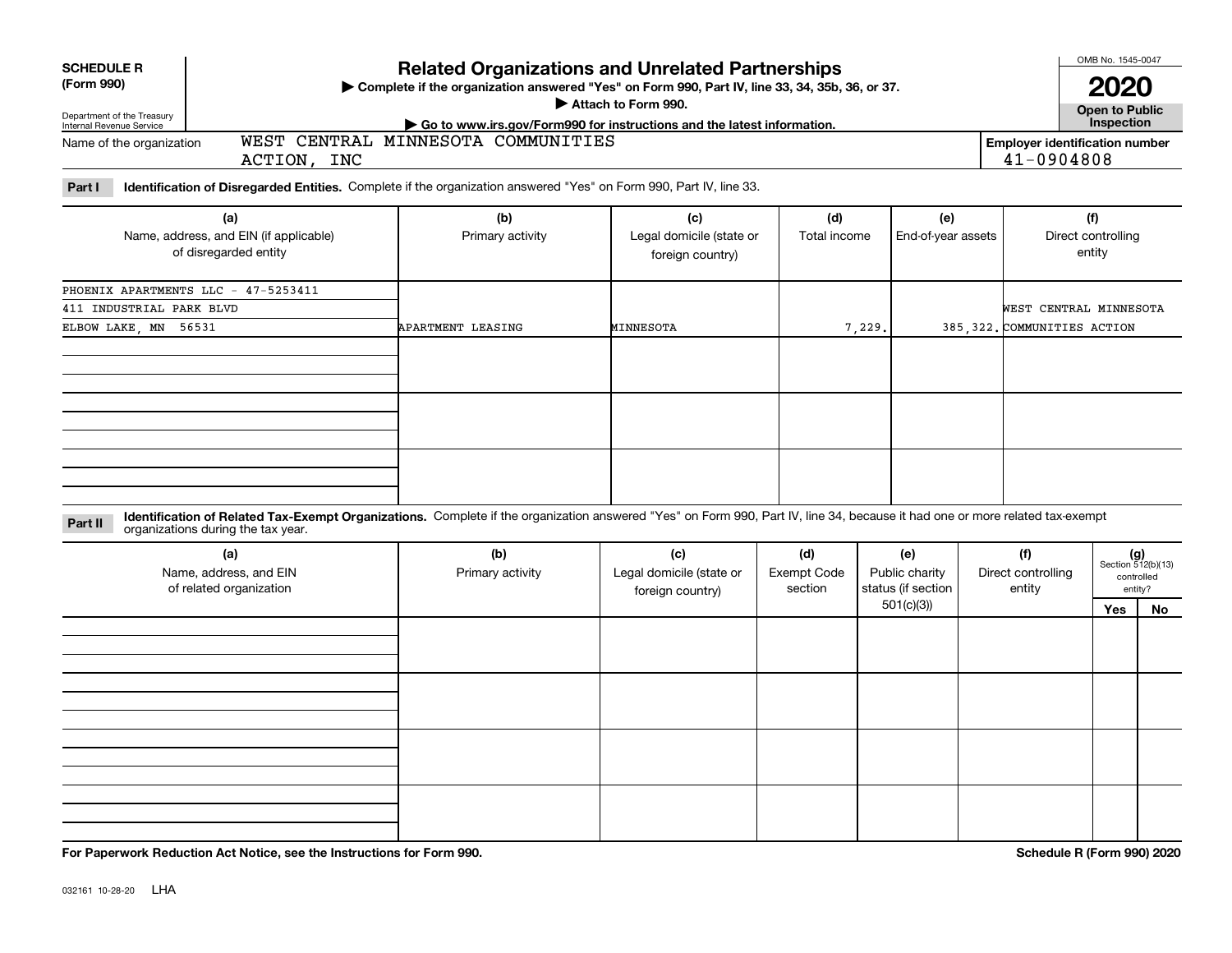| <b>Related Organizations and Unrelated Partnerships</b><br><b>SCHEDULE R</b><br>(Form 990)<br>▶ Complete if the organization answered "Yes" on Form 990, Part IV, line 33, 34, 35b, 36, or 37.<br>Attach to Form 990.<br>Department of the Treasury<br>► Go to www.irs.gov/Form990 for instructions and the latest information.<br>Internal Revenue Service |                                                                                                                           |                                    |                                                     |                     |                           |                                                                       |  |  |
|-------------------------------------------------------------------------------------------------------------------------------------------------------------------------------------------------------------------------------------------------------------------------------------------------------------------------------------------------------------|---------------------------------------------------------------------------------------------------------------------------|------------------------------------|-----------------------------------------------------|---------------------|---------------------------|-----------------------------------------------------------------------|--|--|
| Name of the organization                                                                                                                                                                                                                                                                                                                                    | ACTION, INC                                                                                                               | WEST CENTRAL MINNESOTA COMMUNITIES |                                                     |                     |                           | Inspection<br><b>Employer identification number</b><br>$41 - 0904808$ |  |  |
| Part I                                                                                                                                                                                                                                                                                                                                                      | <b>Identification of Disregarded Entities.</b> Complete if the organization answered "Yes" on Form 990, Part IV, line 33. |                                    |                                                     |                     |                           |                                                                       |  |  |
| (a)<br>Name, address, and EIN (if applicable)<br>of disregarded entity                                                                                                                                                                                                                                                                                      |                                                                                                                           | (b)<br>Primary activity            | (c)<br>Legal domicile (state or<br>foreign country) | (d)<br>Total income | (e)<br>End-of-year assets | (f)<br>Direct controlling<br>entity                                   |  |  |
| 411 INDUSTRIAL PARK BLVD                                                                                                                                                                                                                                                                                                                                    | PHOENIX APARTMENTS LLC - 47-5253411                                                                                       |                                    |                                                     |                     |                           | WEST CENTRAL MINNESOTA                                                |  |  |

APARTMENT LEASING MINNESOTA 1 7,229.

MINNESOTA

**Identification of Related Tax-Exempt Organizations.** Complete if the organization answered "Yes" on Form 990, Part IV, line 34, because it had one or more related tax-exempt **Part II** organizations during the tax year.

| (a)<br>Name, address, and EIN<br>of related organization | (b)<br>Primary activity | (c)<br>Legal domicile (state or<br>foreign country) | (d)<br><b>Exempt Code</b><br>section | (e)<br>Public charity<br>status (if section | (f)<br>Direct controlling<br>entity | $(g)$<br>Section 512(b)(13) | controlled<br>entity? |
|----------------------------------------------------------|-------------------------|-----------------------------------------------------|--------------------------------------|---------------------------------------------|-------------------------------------|-----------------------------|-----------------------|
|                                                          |                         |                                                     |                                      | 501(c)(3)                                   |                                     | Yes                         | No                    |
|                                                          |                         |                                                     |                                      |                                             |                                     |                             |                       |
|                                                          |                         |                                                     |                                      |                                             |                                     |                             |                       |
|                                                          |                         |                                                     |                                      |                                             |                                     |                             |                       |
|                                                          |                         |                                                     |                                      |                                             |                                     |                             |                       |

**For Paperwork Reduction Act Notice, see the Instructions for Form 990. Schedule R (Form 990) 2020**

385, 322. COMMUNITIES ACTION

ELBOW LAKE, MN 56531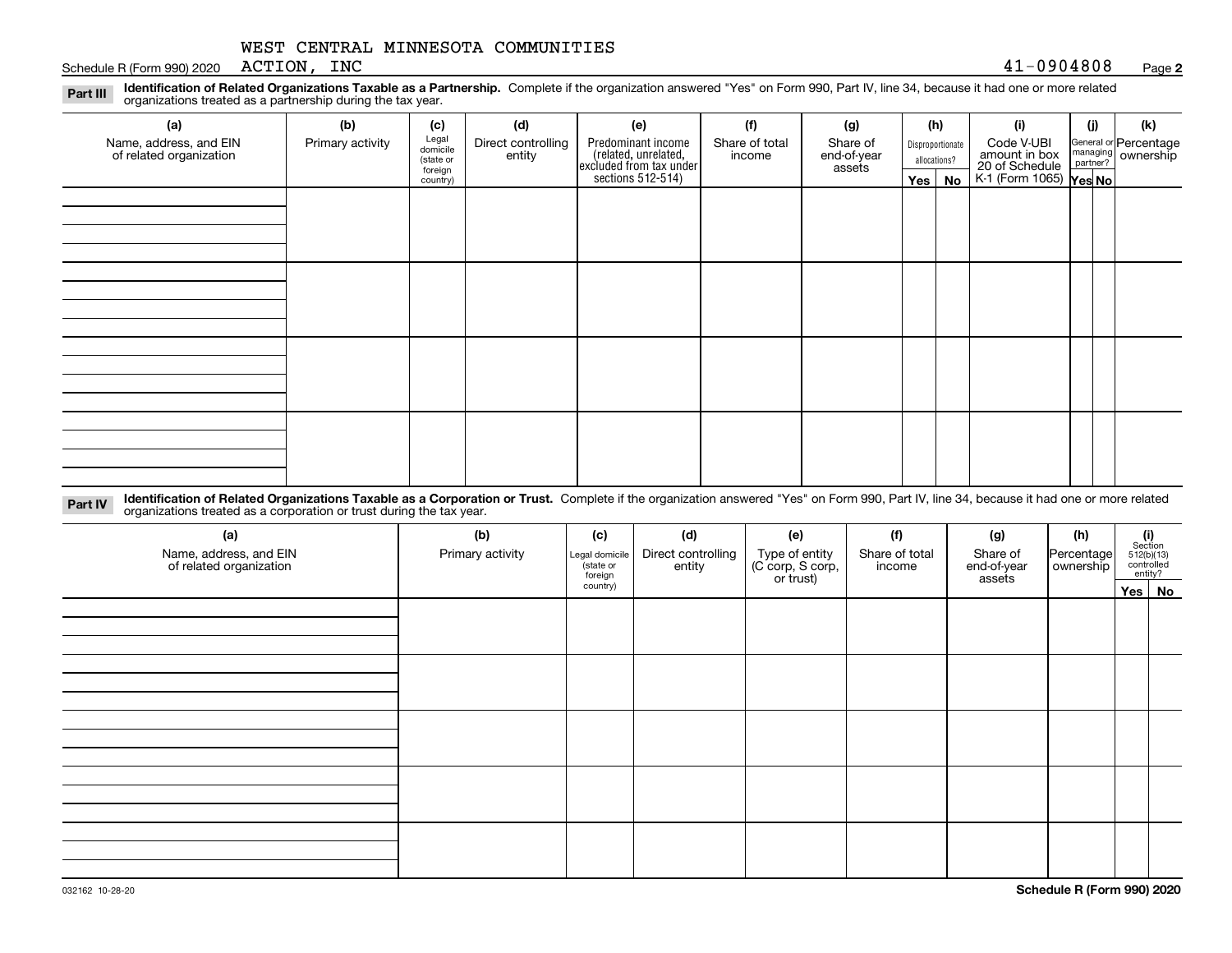Schedule R (Form 990) 2020 Page ACTION, INC

### **2**

**Identification of Related Organizations Taxable as a Partnership.** Complete if the organization answered "Yes" on Form 990, Part IV, line 34, because it had one or more related **Part III** organizations treated as a partnership during the tax year.

| (a)                                               | (b)              | (c)                  | (d)                          | (e)                                                                 | (f)                      | (g)                     |                  | (h)          | (i)                                       | (j) | (k)                                                       |
|---------------------------------------------------|------------------|----------------------|------------------------------|---------------------------------------------------------------------|--------------------------|-------------------------|------------------|--------------|-------------------------------------------|-----|-----------------------------------------------------------|
| Name, address, and EIN<br>of related organization | Primary activity | Legal<br>domicile    | Direct controlling<br>entity | Predominant income                                                  | Share of total<br>income | Share of<br>end-of-year | Disproportionate |              | Code V-UBI<br>amount in box               |     | General or Percentage<br>managing<br>partner?<br>partner? |
|                                                   |                  | (state or<br>foreign |                              |                                                                     |                          | assets                  |                  | allocations? |                                           |     |                                                           |
|                                                   |                  | country)             |                              | related, unrelated,<br>excluded from tax under<br>sections 512-514) |                          |                         | Yes $ $          | No           | 20 of Schedule<br>K-1 (Form 1065) Yes No. |     |                                                           |
|                                                   |                  |                      |                              |                                                                     |                          |                         |                  |              |                                           |     |                                                           |
|                                                   |                  |                      |                              |                                                                     |                          |                         |                  |              |                                           |     |                                                           |
|                                                   |                  |                      |                              |                                                                     |                          |                         |                  |              |                                           |     |                                                           |
|                                                   |                  |                      |                              |                                                                     |                          |                         |                  |              |                                           |     |                                                           |
|                                                   |                  |                      |                              |                                                                     |                          |                         |                  |              |                                           |     |                                                           |
|                                                   |                  |                      |                              |                                                                     |                          |                         |                  |              |                                           |     |                                                           |
|                                                   |                  |                      |                              |                                                                     |                          |                         |                  |              |                                           |     |                                                           |
|                                                   |                  |                      |                              |                                                                     |                          |                         |                  |              |                                           |     |                                                           |
|                                                   |                  |                      |                              |                                                                     |                          |                         |                  |              |                                           |     |                                                           |
|                                                   |                  |                      |                              |                                                                     |                          |                         |                  |              |                                           |     |                                                           |
|                                                   |                  |                      |                              |                                                                     |                          |                         |                  |              |                                           |     |                                                           |
|                                                   |                  |                      |                              |                                                                     |                          |                         |                  |              |                                           |     |                                                           |
|                                                   |                  |                      |                              |                                                                     |                          |                         |                  |              |                                           |     |                                                           |
|                                                   |                  |                      |                              |                                                                     |                          |                         |                  |              |                                           |     |                                                           |
|                                                   |                  |                      |                              |                                                                     |                          |                         |                  |              |                                           |     |                                                           |
|                                                   |                  |                      |                              |                                                                     |                          |                         |                  |              |                                           |     |                                                           |
|                                                   |                  |                      |                              |                                                                     |                          |                         |                  |              |                                           |     |                                                           |

**Identification of Related Organizations Taxable as a Corporation or Trust.** Complete if the organization answered "Yes" on Form 990, Part IV, line 34, because it had one or more related **Part IV** organizations treated as a corporation or trust during the tax year.

| (a)<br>Name, address, and EIN<br>of related organization | (b)<br>Primary activity | (c)<br>Legal domicile<br>(state or<br>foreign | (d)<br>Direct controlling<br>entity | (e)<br>Type of entity<br>(C corp, S corp,<br>or trust) | (f)<br>Share of total<br>income | (g)<br>Share of<br>end-of-year<br>assets | (h)<br>Percentage<br>ownership | $\begin{array}{c} \textbf{(i)}\\ \text{Section}\\ 512 \text{(b)} \text{(13)}\\ \text{controlled}\\ \text{entity?} \end{array}$ |
|----------------------------------------------------------|-------------------------|-----------------------------------------------|-------------------------------------|--------------------------------------------------------|---------------------------------|------------------------------------------|--------------------------------|--------------------------------------------------------------------------------------------------------------------------------|
|                                                          |                         | country)                                      |                                     |                                                        |                                 |                                          |                                | Yes No                                                                                                                         |
|                                                          |                         |                                               |                                     |                                                        |                                 |                                          |                                |                                                                                                                                |
|                                                          |                         |                                               |                                     |                                                        |                                 |                                          |                                |                                                                                                                                |
|                                                          |                         |                                               |                                     |                                                        |                                 |                                          |                                |                                                                                                                                |
|                                                          |                         |                                               |                                     |                                                        |                                 |                                          |                                |                                                                                                                                |
|                                                          |                         |                                               |                                     |                                                        |                                 |                                          |                                |                                                                                                                                |
|                                                          |                         |                                               |                                     |                                                        |                                 |                                          |                                |                                                                                                                                |
|                                                          |                         |                                               |                                     |                                                        |                                 |                                          |                                |                                                                                                                                |
|                                                          |                         |                                               |                                     |                                                        |                                 |                                          |                                |                                                                                                                                |
|                                                          |                         |                                               |                                     |                                                        |                                 |                                          |                                |                                                                                                                                |
|                                                          |                         |                                               |                                     |                                                        |                                 |                                          |                                |                                                                                                                                |
|                                                          |                         |                                               |                                     |                                                        |                                 |                                          |                                |                                                                                                                                |
|                                                          |                         |                                               |                                     |                                                        |                                 |                                          |                                |                                                                                                                                |
|                                                          |                         |                                               |                                     |                                                        |                                 |                                          |                                |                                                                                                                                |
|                                                          |                         |                                               |                                     |                                                        |                                 |                                          |                                |                                                                                                                                |
|                                                          |                         |                                               |                                     |                                                        |                                 |                                          |                                |                                                                                                                                |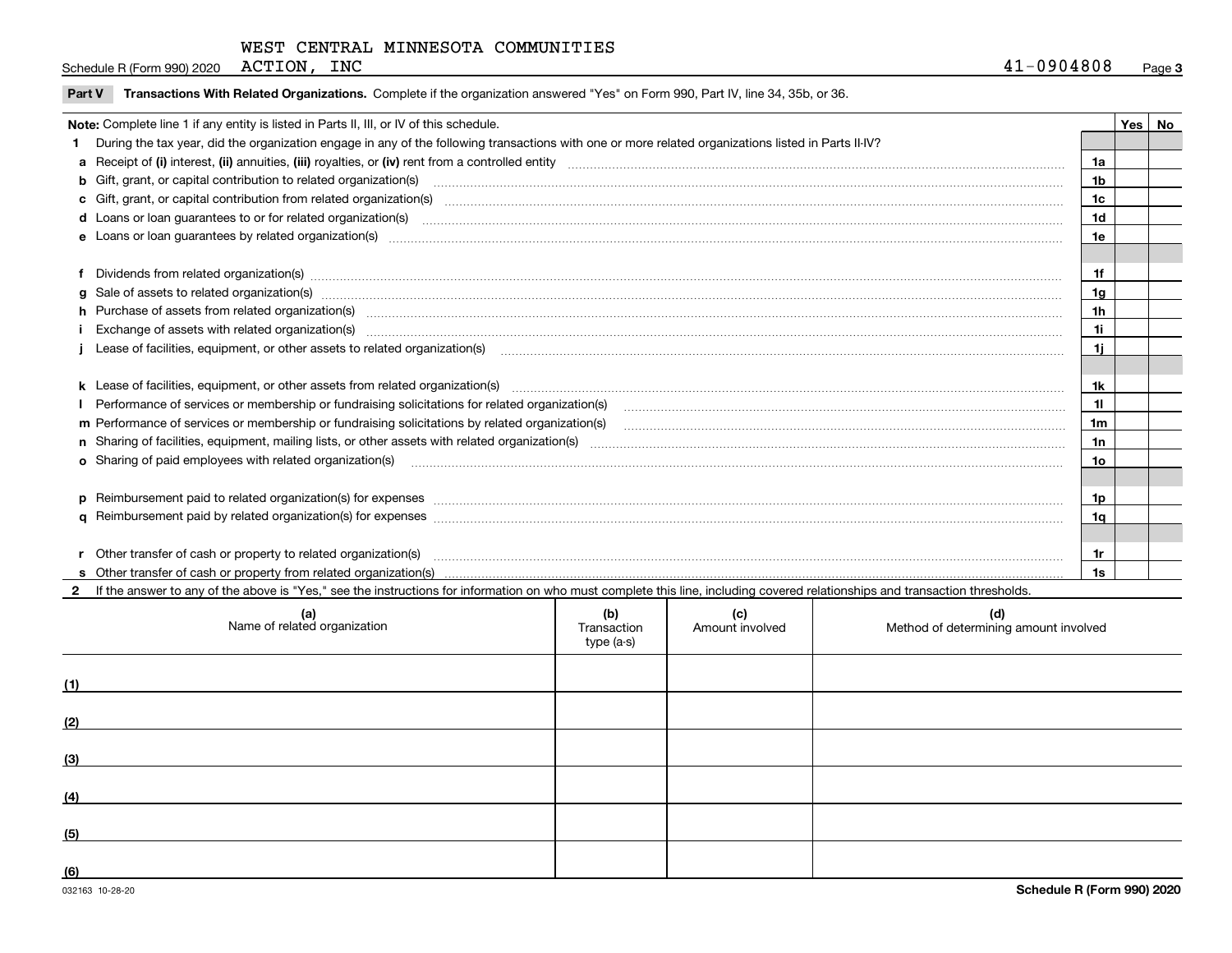| ACTION<br>INC<br>. .<br>0904808<br>$\mathbf{r}$<br>(Form 990) 2020<br>Schedule R | Paɑe |
|----------------------------------------------------------------------------------|------|
|----------------------------------------------------------------------------------|------|

|  | Part V Transactions With Related Organizations. Complete if the organization answered "Yes" on Form 990, Part IV, line 34, 35b, or 36 |  |  |
|--|---------------------------------------------------------------------------------------------------------------------------------------|--|--|
|--|---------------------------------------------------------------------------------------------------------------------------------------|--|--|

| Note: Complete line 1 if any entity is listed in Parts II, III, or IV of this schedule. |                                                                                                                                                                                                                                |                |  |  |
|-----------------------------------------------------------------------------------------|--------------------------------------------------------------------------------------------------------------------------------------------------------------------------------------------------------------------------------|----------------|--|--|
|                                                                                         | During the tax year, did the organization engage in any of the following transactions with one or more related organizations listed in Parts II-IV?                                                                            |                |  |  |
|                                                                                         |                                                                                                                                                                                                                                | 1a             |  |  |
|                                                                                         | <b>b</b> Gift, grant, or capital contribution to related organization(s)                                                                                                                                                       | 1 <sub>b</sub> |  |  |
|                                                                                         | c Gift, grant, or capital contribution from related organization(s) CONCORDIAL CONSERVITY OF Gift, grant, or capital contribution from related organization(s)                                                                 | 1 <sub>c</sub> |  |  |
|                                                                                         | <b>d</b> Loans or loan quarantees to or for related organization(s)                                                                                                                                                            | 1d             |  |  |
|                                                                                         |                                                                                                                                                                                                                                | 1e             |  |  |
|                                                                                         |                                                                                                                                                                                                                                |                |  |  |
|                                                                                         | f Dividends from related organization(s) manufactured contains and contained and contained contained and contained and contained and contained and contained and contained and contained and contained and contained and conta | 1f             |  |  |
|                                                                                         | g Sale of assets to related organization(s) www.assettion.com/www.assettion.com/www.assettion.com/www.assettion.com/www.assettion.com/www.assettion.com/www.assettion.com/www.assettion.com/www.assettion.com/www.assettion.co | 1a             |  |  |
|                                                                                         | h Purchase of assets from related organization(s) www.assettion.com/www.assettion.com/www.assettion.com/www.assettion.com/www.assettion.com/www.assettion.com/www.assettion.com/www.assettion.com/www.assettion.com/www.assett | 1 <sub>h</sub> |  |  |
|                                                                                         |                                                                                                                                                                                                                                | 11             |  |  |
|                                                                                         | Lease of facilities, equipment, or other assets to related organization(s) [11] manufactured manufactured manufactured manufactured manufactured manufactured manufactured manufactured manufactured manufactured manufactured | 1j             |  |  |
|                                                                                         |                                                                                                                                                                                                                                |                |  |  |
|                                                                                         |                                                                                                                                                                                                                                | 1k             |  |  |
|                                                                                         | Performance of services or membership or fundraising solicitations for related organization(s) manufaction manufactured content and the services or membership or fundraising solicitations for related organization(s) manufa | 11             |  |  |
|                                                                                         | m Performance of services or membership or fundraising solicitations by related organization(s)                                                                                                                                | 1m             |  |  |
|                                                                                         |                                                                                                                                                                                                                                | 1n             |  |  |
|                                                                                         | <b>o</b> Sharing of paid employees with related organization(s)                                                                                                                                                                | 10             |  |  |
|                                                                                         |                                                                                                                                                                                                                                |                |  |  |
|                                                                                         | p Reimbursement paid to related organization(s) for expenses [11111] and the content of the content of the content of the content of the content of the content of the content of the content of the content of the content of | 1p             |  |  |
|                                                                                         |                                                                                                                                                                                                                                | 1q             |  |  |
|                                                                                         |                                                                                                                                                                                                                                |                |  |  |
|                                                                                         | r Other transfer of cash or property to related organization(s)                                                                                                                                                                | 1r             |  |  |
|                                                                                         |                                                                                                                                                                                                                                | 1s             |  |  |
|                                                                                         | 2 If the answer to any of the above is "Yes," see the instructions for information on who must complete this line, including covered relationships and transaction thresholds.                                                 |                |  |  |

**2**

|     | (a)<br>Name of related organization | (b)<br>Transaction<br>type (a-s) | (c)<br>Amount involved | (d)<br>Method of determining amount involved |
|-----|-------------------------------------|----------------------------------|------------------------|----------------------------------------------|
| (1) |                                     |                                  |                        |                                              |
| (2) |                                     |                                  |                        |                                              |
| (3) |                                     |                                  |                        |                                              |
| (4) |                                     |                                  |                        |                                              |
| (5) |                                     |                                  |                        |                                              |
| (6) |                                     |                                  |                        |                                              |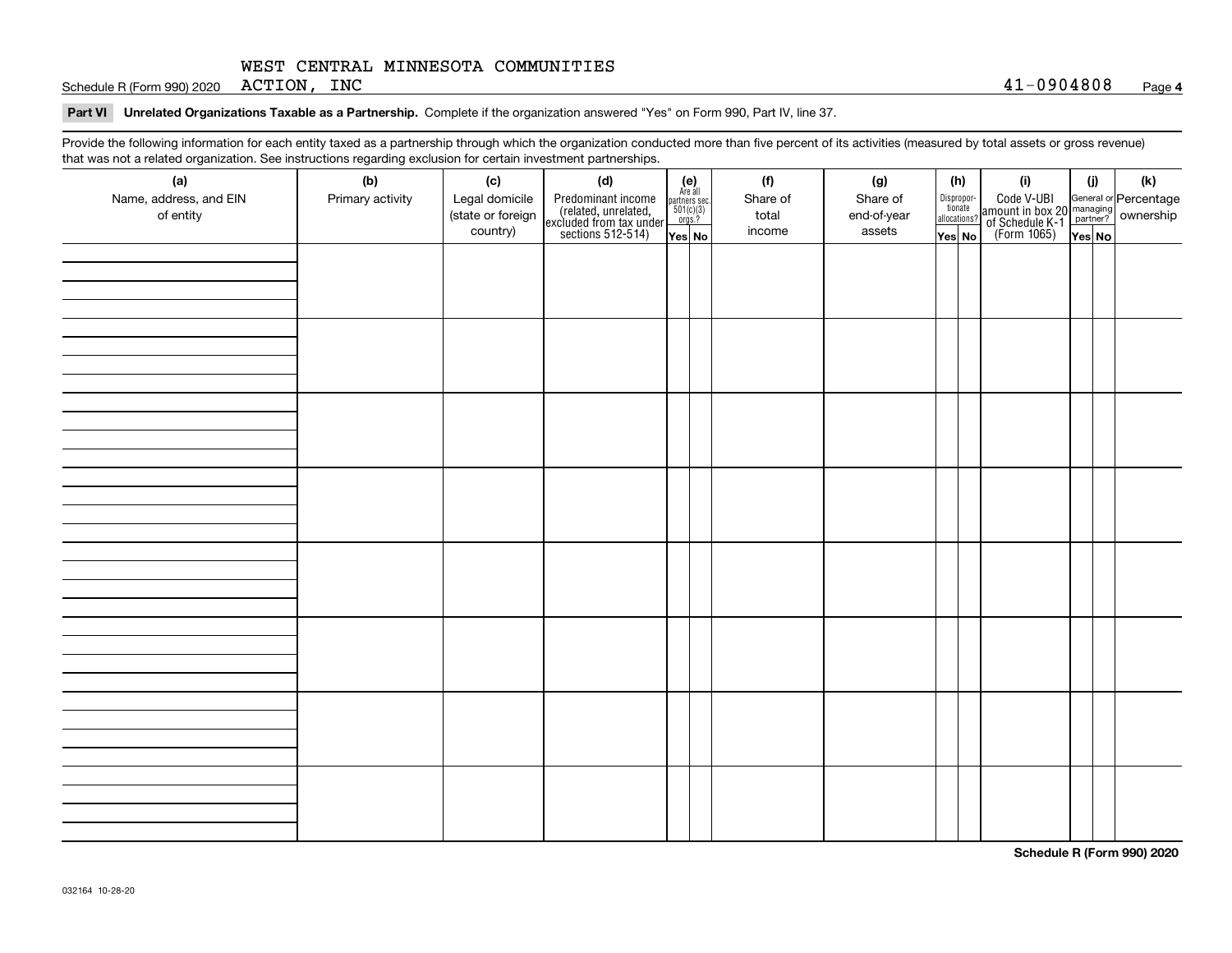Schedule R (Form 990) 2020 Page ACTION, INC 41-0904808

### **Part VI Unrelated Organizations Taxable as a Partnership. Complete if the organization answered "Yes" on Form 990, Part IV, line 37.**

Provide the following information for each entity taxed as a partnership through which the organization conducted more than five percent of its activities (measured by total assets or gross revenue) that was not a related organization. See instructions regarding exclusion for certain investment partnerships.

| that was not a related erganization. See includitions regarding excludion for contain invectment partnerompe.<br>(a) | (b)              | (c)               | (d)                                                                                        |                                                                                                                  | (f)      | (g)         | (h)                              |  | (i)                                                                                          | (i)    | (k) |
|----------------------------------------------------------------------------------------------------------------------|------------------|-------------------|--------------------------------------------------------------------------------------------|------------------------------------------------------------------------------------------------------------------|----------|-------------|----------------------------------|--|----------------------------------------------------------------------------------------------|--------|-----|
| Name, address, and EIN                                                                                               | Primary activity | Legal domicile    |                                                                                            | $\begin{array}{c} \textbf{(e)}\\ \text{Are all} \\ \text{partners sec.}\\ 501(c)(3)\\ \text{orgs.?} \end{array}$ | Share of | Share of    |                                  |  |                                                                                              |        |     |
| of entity                                                                                                            |                  | (state or foreign | Predominant income<br>(related, unrelated,<br>excluded from tax under<br>sections 512-514) |                                                                                                                  | total    | end-of-year | Disproportionate<br>allocations? |  | Code V-UBI<br>amount in box 20 managing<br>of Schedule K-1 partner?<br>(Form 1065)<br>ves No |        |     |
|                                                                                                                      |                  | country)          |                                                                                            |                                                                                                                  | income   | assets      |                                  |  |                                                                                              |        |     |
|                                                                                                                      |                  |                   |                                                                                            | Yes No                                                                                                           |          |             | Yes No                           |  |                                                                                              | Yes No |     |
|                                                                                                                      |                  |                   |                                                                                            |                                                                                                                  |          |             |                                  |  |                                                                                              |        |     |
|                                                                                                                      |                  |                   |                                                                                            |                                                                                                                  |          |             |                                  |  |                                                                                              |        |     |
|                                                                                                                      |                  |                   |                                                                                            |                                                                                                                  |          |             |                                  |  |                                                                                              |        |     |
|                                                                                                                      |                  |                   |                                                                                            |                                                                                                                  |          |             |                                  |  |                                                                                              |        |     |
|                                                                                                                      |                  |                   |                                                                                            |                                                                                                                  |          |             |                                  |  |                                                                                              |        |     |
|                                                                                                                      |                  |                   |                                                                                            |                                                                                                                  |          |             |                                  |  |                                                                                              |        |     |
|                                                                                                                      |                  |                   |                                                                                            |                                                                                                                  |          |             |                                  |  |                                                                                              |        |     |
|                                                                                                                      |                  |                   |                                                                                            |                                                                                                                  |          |             |                                  |  |                                                                                              |        |     |
|                                                                                                                      |                  |                   |                                                                                            |                                                                                                                  |          |             |                                  |  |                                                                                              |        |     |
|                                                                                                                      |                  |                   |                                                                                            |                                                                                                                  |          |             |                                  |  |                                                                                              |        |     |
|                                                                                                                      |                  |                   |                                                                                            |                                                                                                                  |          |             |                                  |  |                                                                                              |        |     |
|                                                                                                                      |                  |                   |                                                                                            |                                                                                                                  |          |             |                                  |  |                                                                                              |        |     |
|                                                                                                                      |                  |                   |                                                                                            |                                                                                                                  |          |             |                                  |  |                                                                                              |        |     |
|                                                                                                                      |                  |                   |                                                                                            |                                                                                                                  |          |             |                                  |  |                                                                                              |        |     |
|                                                                                                                      |                  |                   |                                                                                            |                                                                                                                  |          |             |                                  |  |                                                                                              |        |     |
|                                                                                                                      |                  |                   |                                                                                            |                                                                                                                  |          |             |                                  |  |                                                                                              |        |     |
|                                                                                                                      |                  |                   |                                                                                            |                                                                                                                  |          |             |                                  |  |                                                                                              |        |     |
|                                                                                                                      |                  |                   |                                                                                            |                                                                                                                  |          |             |                                  |  |                                                                                              |        |     |
|                                                                                                                      |                  |                   |                                                                                            |                                                                                                                  |          |             |                                  |  |                                                                                              |        |     |
|                                                                                                                      |                  |                   |                                                                                            |                                                                                                                  |          |             |                                  |  |                                                                                              |        |     |
|                                                                                                                      |                  |                   |                                                                                            |                                                                                                                  |          |             |                                  |  |                                                                                              |        |     |
|                                                                                                                      |                  |                   |                                                                                            |                                                                                                                  |          |             |                                  |  |                                                                                              |        |     |
|                                                                                                                      |                  |                   |                                                                                            |                                                                                                                  |          |             |                                  |  |                                                                                              |        |     |
|                                                                                                                      |                  |                   |                                                                                            |                                                                                                                  |          |             |                                  |  |                                                                                              |        |     |
|                                                                                                                      |                  |                   |                                                                                            |                                                                                                                  |          |             |                                  |  |                                                                                              |        |     |
|                                                                                                                      |                  |                   |                                                                                            |                                                                                                                  |          |             |                                  |  |                                                                                              |        |     |
|                                                                                                                      |                  |                   |                                                                                            |                                                                                                                  |          |             |                                  |  |                                                                                              |        |     |
|                                                                                                                      |                  |                   |                                                                                            |                                                                                                                  |          |             |                                  |  |                                                                                              |        |     |
|                                                                                                                      |                  |                   |                                                                                            |                                                                                                                  |          |             |                                  |  |                                                                                              |        |     |
|                                                                                                                      |                  |                   |                                                                                            |                                                                                                                  |          |             |                                  |  |                                                                                              |        |     |
|                                                                                                                      |                  |                   |                                                                                            |                                                                                                                  |          |             |                                  |  |                                                                                              |        |     |
|                                                                                                                      |                  |                   |                                                                                            |                                                                                                                  |          |             |                                  |  |                                                                                              |        |     |
|                                                                                                                      |                  |                   |                                                                                            |                                                                                                                  |          |             |                                  |  |                                                                                              |        |     |
|                                                                                                                      |                  |                   |                                                                                            |                                                                                                                  |          |             |                                  |  |                                                                                              |        |     |

**Schedule R (Form 990) 2020**